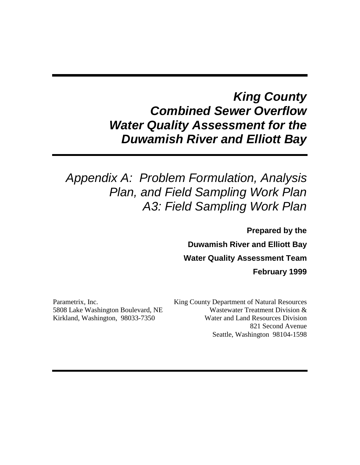# *King County Combined Sewer Overflow Water Quality Assessment for the Duwamish River and Elliott Bay*

# *Appendix A: Problem Formulation, Analysis Plan, and Field Sampling Work Plan A3: Field Sampling Work Plan*

**Prepared by the Duwamish River and Elliott Bay Water Quality Assessment Team February 1999**

Parametrix, Inc. 5808 Lake Washington Boulevard, NE Kirkland, Washington, 98033-7350

King County Department of Natural Resources Wastewater Treatment Division & Water and Land Resources Division 821 Second Avenue Seattle, Washington 98104-1598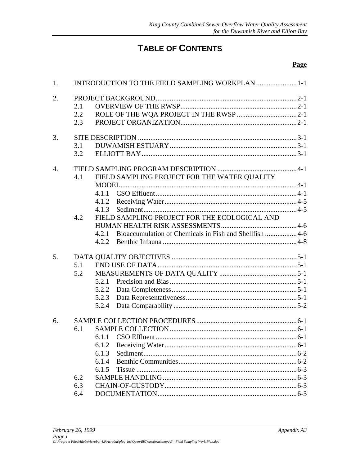# **TABLE OF CONTENTS**

#### **Page**

| 1.               |     |                                              | INTRODUCTION TO THE FIELD SAMPLING WORKPLAN  1-1       |  |  |
|------------------|-----|----------------------------------------------|--------------------------------------------------------|--|--|
| 2.               |     |                                              |                                                        |  |  |
|                  | 2.1 |                                              |                                                        |  |  |
|                  | 2.2 |                                              |                                                        |  |  |
|                  | 2.3 |                                              |                                                        |  |  |
| 3.               |     |                                              |                                                        |  |  |
|                  | 3.1 |                                              |                                                        |  |  |
|                  | 3.2 |                                              |                                                        |  |  |
| $\overline{4}$ . |     |                                              |                                                        |  |  |
|                  | 4.1 | FIELD SAMPLING PROJECT FOR THE WATER QUALITY |                                                        |  |  |
|                  |     |                                              |                                                        |  |  |
|                  |     | 4.1.1                                        |                                                        |  |  |
|                  |     |                                              |                                                        |  |  |
|                  |     |                                              |                                                        |  |  |
|                  | 4.2 |                                              | FIELD SAMPLING PROJECT FOR THE ECOLOGICAL AND          |  |  |
|                  |     |                                              |                                                        |  |  |
|                  |     | 4.2.1                                        | Bioaccumulation of Chemicals in Fish and Shellfish 4-6 |  |  |
|                  |     |                                              |                                                        |  |  |
| 5.               |     |                                              |                                                        |  |  |
|                  | 5.1 |                                              |                                                        |  |  |
|                  | 5.2 |                                              |                                                        |  |  |
|                  |     | 5.2.1                                        |                                                        |  |  |
|                  |     | 5.2.2                                        |                                                        |  |  |
|                  |     | 5.2.3                                        |                                                        |  |  |
|                  |     | 5.2.4                                        |                                                        |  |  |
| 6.               |     |                                              |                                                        |  |  |
|                  | 6.1 |                                              |                                                        |  |  |
|                  |     |                                              |                                                        |  |  |
|                  |     | 6.1.2                                        |                                                        |  |  |
|                  |     | 6.1.3                                        |                                                        |  |  |
|                  |     | 6.1.4                                        |                                                        |  |  |
|                  |     | 6.1.5                                        |                                                        |  |  |
|                  | 6.2 |                                              |                                                        |  |  |
|                  | 6.3 |                                              |                                                        |  |  |
|                  | 6.4 |                                              |                                                        |  |  |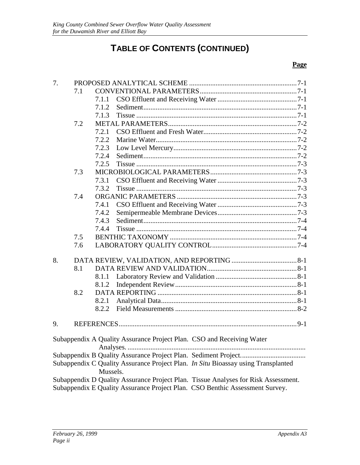# **TABLE OF CONTENTS (CONTINUED)**

#### **Page**

| 7. |     |          |                                                                                    |  |  |
|----|-----|----------|------------------------------------------------------------------------------------|--|--|
|    | 7.1 |          |                                                                                    |  |  |
|    |     | 7.1.1    |                                                                                    |  |  |
|    |     | 7.1.2    |                                                                                    |  |  |
|    |     | 7.1.3    |                                                                                    |  |  |
|    | 7.2 |          |                                                                                    |  |  |
|    |     | 7.2.1    |                                                                                    |  |  |
|    |     | 7.2.2    |                                                                                    |  |  |
|    |     | 7.2.3    |                                                                                    |  |  |
|    |     | 7.2.4    |                                                                                    |  |  |
|    |     | 7.2.5    |                                                                                    |  |  |
|    | 7.3 |          |                                                                                    |  |  |
|    |     | 7.3.1    |                                                                                    |  |  |
|    |     | 7.3.2    |                                                                                    |  |  |
|    | 7.4 |          |                                                                                    |  |  |
|    |     | 7.4.1    |                                                                                    |  |  |
|    |     | 7.4.2    |                                                                                    |  |  |
|    |     | 7.4.3    |                                                                                    |  |  |
|    |     | 7.4.4    |                                                                                    |  |  |
|    | 7.5 |          |                                                                                    |  |  |
|    | 7.6 |          |                                                                                    |  |  |
| 8. |     |          |                                                                                    |  |  |
|    | 8.1 |          |                                                                                    |  |  |
|    |     | 8.1.1    |                                                                                    |  |  |
|    |     | 8.1.2    |                                                                                    |  |  |
|    | 8.2 |          |                                                                                    |  |  |
|    |     |          |                                                                                    |  |  |
|    |     | 8.2.1    |                                                                                    |  |  |
|    |     | 8.2.2    |                                                                                    |  |  |
| 9. |     |          |                                                                                    |  |  |
|    |     |          | Subappendix A Quality Assurance Project Plan. CSO and Receiving Water              |  |  |
|    |     |          |                                                                                    |  |  |
|    |     |          |                                                                                    |  |  |
|    |     |          | Subappendix C Quality Assurance Project Plan. In Situ Bioassay using Transplanted  |  |  |
|    |     | Mussels. |                                                                                    |  |  |
|    |     |          | Subappendix D Quality Assurance Project Plan. Tissue Analyses for Risk Assessment. |  |  |
|    |     |          | Subappendix E Quality Assurance Project Plan. CSO Benthic Assessment Survey.       |  |  |
|    |     |          |                                                                                    |  |  |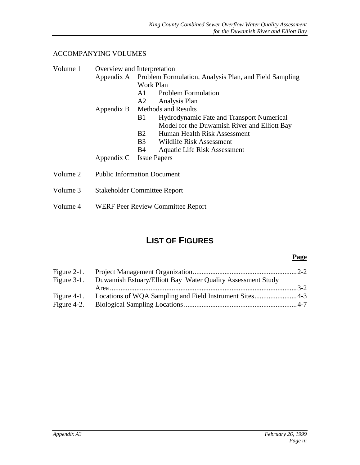#### ACCOMPANYING VOLUMES

| Volume 1 | Overview and Interpretation         |                                                                   |                                                  |  |  |
|----------|-------------------------------------|-------------------------------------------------------------------|--------------------------------------------------|--|--|
|          |                                     | Appendix A Problem Formulation, Analysis Plan, and Field Sampling |                                                  |  |  |
|          |                                     |                                                                   | Work Plan                                        |  |  |
|          |                                     | A1                                                                | <b>Problem Formulation</b>                       |  |  |
|          |                                     |                                                                   | A2 Analysis Plan                                 |  |  |
|          |                                     | Appendix B Methods and Results                                    |                                                  |  |  |
|          |                                     | B <sub>1</sub>                                                    | <b>Hydrodynamic Fate and Transport Numerical</b> |  |  |
|          |                                     |                                                                   | Model for the Duwamish River and Elliott Bay     |  |  |
|          |                                     | B2                                                                | Human Health Risk Assessment                     |  |  |
|          |                                     | <b>B</b> 3                                                        | Wildlife Risk Assessment                         |  |  |
|          |                                     | <b>B</b> 4                                                        | Aquatic Life Risk Assessment                     |  |  |
|          | Appendix C Issue Papers             |                                                                   |                                                  |  |  |
| Volume 2 | <b>Public Information Document</b>  |                                                                   |                                                  |  |  |
| Volume 3 | <b>Stakeholder Committee Report</b> |                                                                   |                                                  |  |  |

Volume 4 WERF Peer Review Committee Report

# **LIST OF FIGURES**

#### **Page**

| Figure 3-1. Duwamish Estuary/Elliott Bay Water Quality Assessment Study |  |
|-------------------------------------------------------------------------|--|
|                                                                         |  |
| Figure 4-1. Locations of WQA Sampling and Field Instrument Sites4-3     |  |
|                                                                         |  |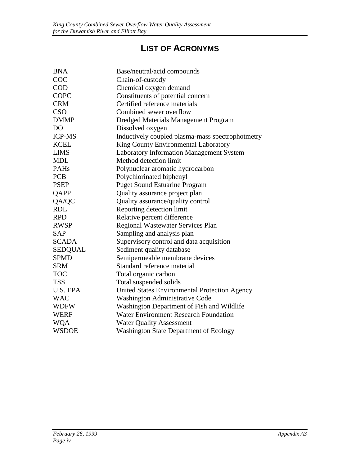# **LIST OF ACRONYMS**

| <b>BNA</b>     | Base/neutral/acid compounds                      |
|----------------|--------------------------------------------------|
| COC            | Chain-of-custody                                 |
| <b>COD</b>     | Chemical oxygen demand                           |
| COPC           | Constituents of potential concern                |
| <b>CRM</b>     | Certified reference materials                    |
| <b>CSO</b>     | Combined sewer overflow                          |
| <b>DMMP</b>    | Dredged Materials Management Program             |
| D <sub>O</sub> | Dissolved oxygen                                 |
| <b>ICP-MS</b>  | Inductively coupled plasma-mass spectrophotmetry |
| <b>KCEL</b>    | King County Environmental Laboratory             |
| <b>LIMS</b>    | Laboratory Information Management System         |
| <b>MDL</b>     | Method detection limit                           |
| <b>PAHs</b>    | Polynuclear aromatic hydrocarbon                 |
| <b>PCB</b>     | Polychlorinated biphenyl                         |
| <b>PSEP</b>    | <b>Puget Sound Estuarine Program</b>             |
| QAPP           | Quality assurance project plan                   |
| QA/QC          | Quality assurance/quality control                |
| <b>RDL</b>     | Reporting detection limit                        |
| <b>RPD</b>     | Relative percent difference                      |
| <b>RWSP</b>    | Regional Wastewater Services Plan                |
| <b>SAP</b>     | Sampling and analysis plan                       |
| <b>SCADA</b>   | Supervisory control and data acquisition         |
| <b>SEDQUAL</b> | Sediment quality database                        |
| <b>SPMD</b>    | Semipermeable membrane devices                   |
| <b>SRM</b>     | Standard reference material                      |
| <b>TOC</b>     | Total organic carbon                             |
| <b>TSS</b>     | Total suspended solids                           |
| U.S. EPA       | United States Environmental Protection Agency    |
| <b>WAC</b>     | Washington Administrative Code                   |
| <b>WDFW</b>    | Washington Department of Fish and Wildlife       |
| <b>WERF</b>    | <b>Water Environment Research Foundation</b>     |
| <b>WQA</b>     | <b>Water Quality Assessment</b>                  |
| <b>WSDOE</b>   | <b>Washington State Department of Ecology</b>    |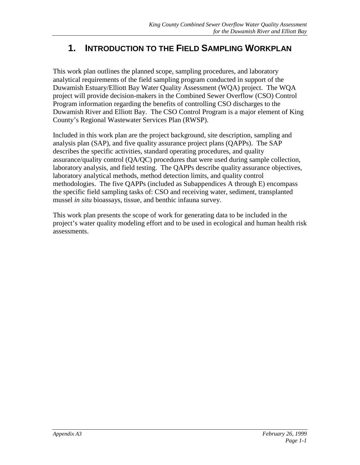# <span id="page-5-0"></span>**1. INTRODUCTION TO THE FIELD SAMPLING WORKPLAN**

This work plan outlines the planned scope, sampling procedures, and laboratory analytical requirements of the field sampling program conducted in support of the Duwamish Estuary/Elliott Bay Water Quality Assessment (WQA) project. The WQA project will provide decision-makers in the Combined Sewer Overflow (CSO) Control Program information regarding the benefits of controlling CSO discharges to the Duwamish River and Elliott Bay. The CSO Control Program is a major element of King County's Regional Wastewater Services Plan (RWSP).

Included in this work plan are the project background, site description, sampling and analysis plan (SAP), and five quality assurance project plans (QAPPs). The SAP describes the specific activities, standard operating procedures, and quality assurance/quality control (QA/QC) procedures that were used during sample collection, laboratory analysis, and field testing. The QAPPs describe quality assurance objectives, laboratory analytical methods, method detection limits, and quality control methodologies. The five QAPPs (included as Subappendices A through E) encompass the specific field sampling tasks of: CSO and receiving water, sediment, transplanted mussel *in situ* bioassays, tissue, and benthic infauna survey.

This work plan presents the scope of work for generating data to be included in the project's water quality modeling effort and to be used in ecological and human health risk assessments.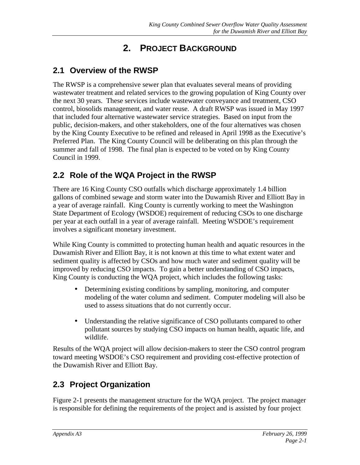# **2. PROJECT BACKGROUND**

# <span id="page-6-0"></span>**2.1 Overview of the RWSP**

The RWSP is a comprehensive sewer plan that evaluates several means of providing wastewater treatment and related services to the growing population of King County over the next 30 years. These services include wastewater conveyance and treatment, CSO control, biosolids management, and water reuse. A draft RWSP was issued in May 1997 that included four alternative wastewater service strategies. Based on input from the public, decision-makers, and other stakeholders, one of the four alternatives was chosen by the King County Executive to be refined and released in April 1998 as the Executive's Preferred Plan. The King County Council will be deliberating on this plan through the summer and fall of 1998. The final plan is expected to be voted on by King County Council in 1999.

# **2.2 Role of the WQA Project in the RWSP**

There are 16 King County CSO outfalls which discharge approximately 1.4 billion gallons of combined sewage and storm water into the Duwamish River and Elliott Bay in a year of average rainfall. King County is currently working to meet the Washington State Department of Ecology (WSDOE) requirement of reducing CSOs to one discharge per year at each outfall in a year of average rainfall. Meeting WSDOE's requirement involves a significant monetary investment.

While King County is committed to protecting human health and aquatic resources in the Duwamish River and Elliott Bay, it is not known at this time to what extent water and sediment quality is affected by CSOs and how much water and sediment quality will be improved by reducing CSO impacts. To gain a better understanding of CSO impacts, King County is conducting the WQA project, which includes the following tasks:

- Determining existing conditions by sampling, monitoring, and computer modeling of the water column and sediment. Computer modeling will also be used to assess situations that do not currently occur.
- Understanding the relative significance of CSO pollutants compared to other pollutant sources by studying CSO impacts on human health, aquatic life, and wildlife.

Results of the WQA project will allow decision-makers to steer the CSO control program toward meeting WSDOE's CSO requirement and providing cost-effective protection of the Duwamish River and Elliott Bay.

# **2.3 Project Organization**

Figure 2-1 presents the management structure for the WQA project. The project manager is responsible for defining the requirements of the project and is assisted by four project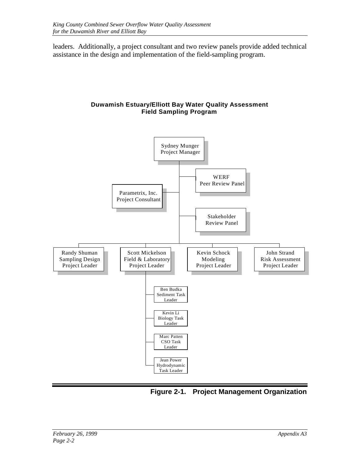<span id="page-7-0"></span>leaders. Additionally, a project consultant and two review panels provide added technical assistance in the design and implementation of the field-sampling program.

#### **Duwamish Estuary/Elliott Bay Water Quality Assessment Field Sampling Program**



**Figure 2-1. Project Management Organization**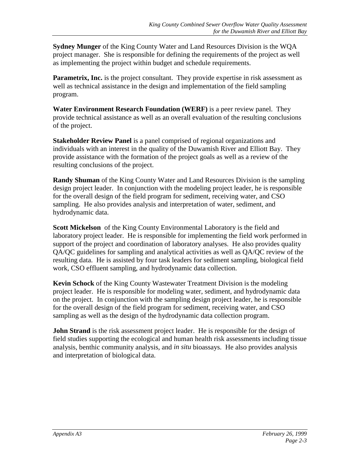**Sydney Munger** of the King County Water and Land Resources Division is the WQA project manager. She is responsible for defining the requirements of the project as well as implementing the project within budget and schedule requirements.

**Parametrix, Inc.** is the project consultant. They provide expertise in risk assessment as well as technical assistance in the design and implementation of the field sampling program.

**Water Environment Research Foundation (WERF)** is a peer review panel. They provide technical assistance as well as an overall evaluation of the resulting conclusions of the project.

**Stakeholder Review Panel** is a panel comprised of regional organizations and individuals with an interest in the quality of the Duwamish River and Elliott Bay. They provide assistance with the formation of the project goals as well as a review of the resulting conclusions of the project.

**Randy Shuman** of the King County Water and Land Resources Division is the sampling design project leader. In conjunction with the modeling project leader, he is responsible for the overall design of the field program for sediment, receiving water, and CSO sampling. He also provides analysis and interpretation of water, sediment, and hydrodynamic data.

**Scott Mickelson** of the King County Environmental Laboratory is the field and laboratory project leader. He is responsible for implementing the field work performed in support of the project and coordination of laboratory analyses. He also provides quality QA/QC guidelines for sampling and analytical activities as well as QA/QC review of the resulting data. He is assisted by four task leaders for sediment sampling, biological field work, CSO effluent sampling, and hydrodynamic data collection.

**Kevin Schock** of the King County Wastewater Treatment Division is the modeling project leader. He is responsible for modeling water, sediment, and hydrodynamic data on the project. In conjunction with the sampling design project leader, he is responsible for the overall design of the field program for sediment, receiving water, and CSO sampling as well as the design of the hydrodynamic data collection program.

**John Strand** is the risk assessment project leader. He is responsible for the design of field studies supporting the ecological and human health risk assessments including tissue analysis, benthic community analysis, and *in situ* bioassays. He also provides analysis and interpretation of biological data.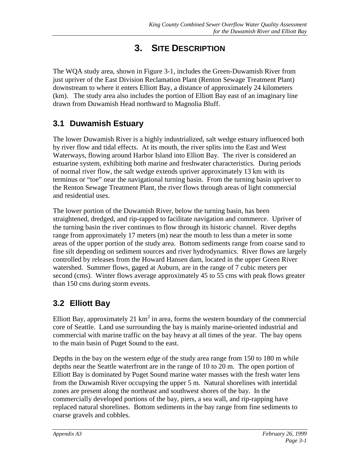# **3. SITE DESCRIPTION**

<span id="page-9-0"></span>The WQA study area, shown in Figure 3-1, includes the Green-Duwamish River from just upriver of the East Division Reclamation Plant (Renton Sewage Treatment Plant) downstream to where it enters Elliott Bay, a distance of approximately 24 kilometers (km). The study area also includes the portion of Elliott Bay east of an imaginary line drawn from Duwamish Head northward to Magnolia Bluff.

# **3.1 Duwamish Estuary**

The lower Duwamish River is a highly industrialized, salt wedge estuary influenced both by river flow and tidal effects. At its mouth, the river splits into the East and West Waterways, flowing around Harbor Island into Elliott Bay. The river is considered an estuarine system, exhibiting both marine and freshwater characteristics. During periods of normal river flow, the salt wedge extends upriver approximately 13 km with its terminus or "toe" near the navigational turning basin. From the turning basin upriver to the Renton Sewage Treatment Plant, the river flows through areas of light commercial and residential uses.

The lower portion of the Duwamish River, below the turning basin, has been straightened, dredged, and rip-rapped to facilitate navigation and commerce. Upriver of the turning basin the river continues to flow through its historic channel. River depths range from approximately 17 meters (m) near the mouth to less than a meter in some areas of the upper portion of the study area. Bottom sediments range from coarse sand to fine silt depending on sediment sources and river hydrodynamics. River flows are largely controlled by releases from the Howard Hansen dam, located in the upper Green River watershed. Summer flows, gaged at Auburn, are in the range of 7 cubic meters per second (cms). Winter flows average approximately 45 to 55 cms with peak flows greater than 150 cms during storm events.

# **3.2 Elliott Bay**

Elliott Bay, approximately 21  $km^2$  in area, forms the western boundary of the commercial core of Seattle. Land use surrounding the bay is mainly marine-oriented industrial and commercial with marine traffic on the bay heavy at all times of the year. The bay opens to the main basin of Puget Sound to the east.

Depths in the bay on the western edge of the study area range from 150 to 180 m while depths near the Seattle waterfront are in the range of 10 to 20 m. The open portion of Elliott Bay is dominated by Puget Sound marine water masses with the fresh water lens from the Duwamish River occupying the upper 5 m. Natural shorelines with intertidal zones are present along the northeast and southwest shores of the bay. In the commercially developed portions of the bay, piers, a sea wall, and rip-rapping have replaced natural shorelines. Bottom sediments in the bay range from fine sediments to coarse gravels and cobbles.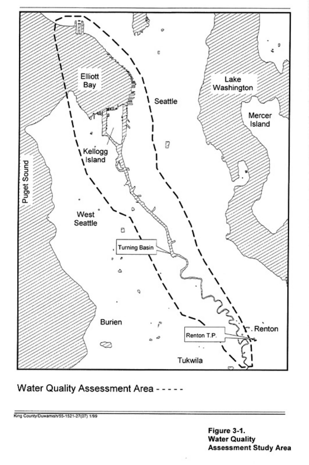

Water Quality Assessment Area - - - - -

King County Duwamands-1521-27(27) 199

Figure 3-1. Water Quality Assessment Study Area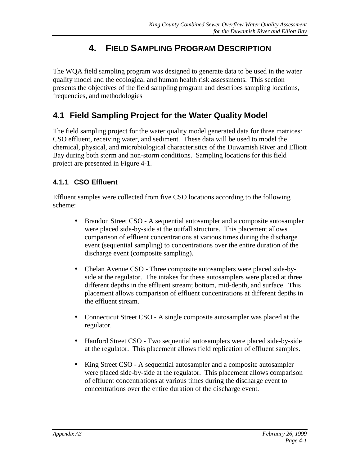# **4. FIELD SAMPLING PROGRAM DESCRIPTION**

<span id="page-11-0"></span>The WQA field sampling program was designed to generate data to be used in the water quality model and the ecological and human health risk assessments. This section presents the objectives of the field sampling program and describes sampling locations, frequencies, and methodologies

## **4.1 Field Sampling Project for the Water Quality Model**

The field sampling project for the water quality model generated data for three matrices: CSO effluent, receiving water, and sediment. These data will be used to model the chemical, physical, and microbiological characteristics of the Duwamish River and Elliott Bay during both storm and non-storm conditions. Sampling locations for this field project are presented in Figure 4-1.

#### **4.1.1 CSO Effluent**

Effluent samples were collected from five CSO locations according to the following scheme:

- Brandon Street CSO A sequential autosampler and a composite autosampler were placed side-by-side at the outfall structure. This placement allows comparison of effluent concentrations at various times during the discharge event (sequential sampling) to concentrations over the entire duration of the discharge event (composite sampling).
- Chelan Avenue CSO Three composite autosamplers were placed side-byside at the regulator. The intakes for these autosamplers were placed at three different depths in the effluent stream; bottom, mid-depth, and surface. This placement allows comparison of effluent concentrations at different depths in the effluent stream.
- Connecticut Street CSO A single composite autosampler was placed at the regulator.
- Hanford Street CSO Two sequential autosamplers were placed side-by-side at the regulator. This placement allows field replication of effluent samples.
- King Street CSO A sequential autosampler and a composite autosampler were placed side-by-side at the regulator. This placement allows comparison of effluent concentrations at various times during the discharge event to concentrations over the entire duration of the discharge event.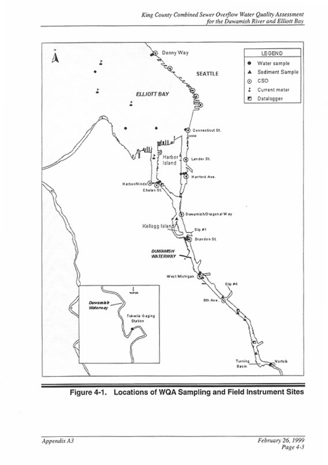

Figure 4-1. Locations of WQA Sampling and Field Instrument Sites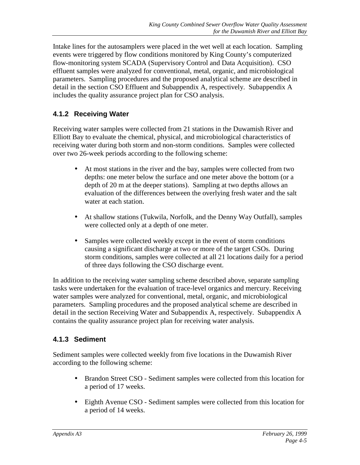<span id="page-13-0"></span>Intake lines for the autosamplers were placed in the wet well at each location. Sampling events were triggered by flow conditions monitored by King County's computerized flow-monitoring system SCADA (Supervisory Control and Data Acquisition). CSO effluent samples were analyzed for conventional, metal, organic, and microbiological parameters. Sampling procedures and the proposed analytical scheme are described in detail in the section CSO Effluent and Subappendix A, respectively. Subappendix A includes the quality assurance project plan for CSO analysis.

## **4.1.2 Receiving Water**

Receiving water samples were collected from 21 stations in the Duwamish River and Elliott Bay to evaluate the chemical, physical, and microbiological characteristics of receiving water during both storm and non-storm conditions. Samples were collected over two 26-week periods according to the following scheme:

- At most stations in the river and the bay, samples were collected from two depths: one meter below the surface and one meter above the bottom (or a depth of 20 m at the deeper stations). Sampling at two depths allows an evaluation of the differences between the overlying fresh water and the salt water at each station.
- At shallow stations (Tukwila, Norfolk, and the Denny Way Outfall), samples were collected only at a depth of one meter.
- Samples were collected weekly except in the event of storm conditions causing a significant discharge at two or more of the target CSOs. During storm conditions, samples were collected at all 21 locations daily for a period of three days following the CSO discharge event.

In addition to the receiving water sampling scheme described above, separate sampling tasks were undertaken for the evaluation of trace-level organics and mercury. Receiving water samples were analyzed for conventional, metal, organic, and microbiological parameters. Sampling procedures and the proposed analytical scheme are described in detail in the section Receiving Water and Subappendix A, respectively. Subappendix A contains the quality assurance project plan for receiving water analysis.

#### **4.1.3 Sediment**

Sediment samples were collected weekly from five locations in the Duwamish River according to the following scheme:

- Brandon Street CSO Sediment samples were collected from this location for a period of 17 weeks.
- Eighth Avenue CSO Sediment samples were collected from this location for a period of 14 weeks.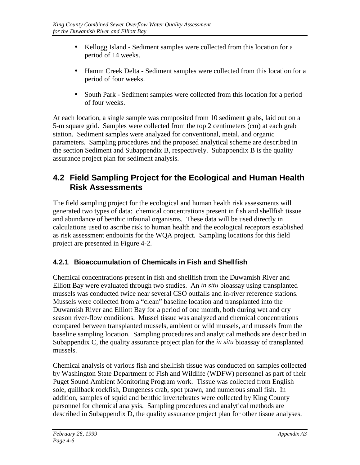- <span id="page-14-0"></span>• Kellogg Island - Sediment samples were collected from this location for a period of 14 weeks.
- Hamm Creek Delta Sediment samples were collected from this location for a period of four weeks.
- South Park Sediment samples were collected from this location for a period of four weeks.

At each location, a single sample was composited from 10 sediment grabs, laid out on a 5-m square grid. Samples were collected from the top 2 centimeters (cm) at each grab station. Sediment samples were analyzed for conventional, metal, and organic parameters. Sampling procedures and the proposed analytical scheme are described in the section Sediment and Subappendix B, respectively. Subappendix B is the quality assurance project plan for sediment analysis.

## **4.2 Field Sampling Project for the Ecological and Human Health Risk Assessments**

The field sampling project for the ecological and human health risk assessments will generated two types of data: chemical concentrations present in fish and shellfish tissue and abundance of benthic infaunal organisms. These data will be used directly in calculations used to ascribe risk to human health and the ecological receptors established as risk assessment endpoints for the WQA project. Sampling locations for this field project are presented in Figure 4-2.

## **4.2.1 Bioaccumulation of Chemicals in Fish and Shellfish**

Chemical concentrations present in fish and shellfish from the Duwamish River and Elliott Bay were evaluated through two studies. An *in situ* bioassay using transplanted mussels was conducted twice near several CSO outfalls and in-river reference stations. Mussels were collected from a "clean" baseline location and transplanted into the Duwamish River and Elliott Bay for a period of one month, both during wet and dry season river-flow conditions. Mussel tissue was analyzed and chemical concentrations compared between transplanted mussels, ambient or wild mussels, and mussels from the baseline sampling location. Sampling procedures and analytical methods are described in Subappendix C, the quality assurance project plan for the *in situ* bioassay of transplanted mussels.

Chemical analysis of various fish and shellfish tissue was conducted on samples collected by Washington State Department of Fish and Wildlife (WDFW) personnel as part of their Puget Sound Ambient Monitoring Program work. Tissue was collected from English sole, quillback rockfish, Dungeness crab, spot prawn, and numerous small fish. In addition, samples of squid and benthic invertebrates were collected by King County personnel for chemical analysis. Sampling procedures and analytical methods are described in Subappendix D, the quality assurance project plan for other tissue analyses.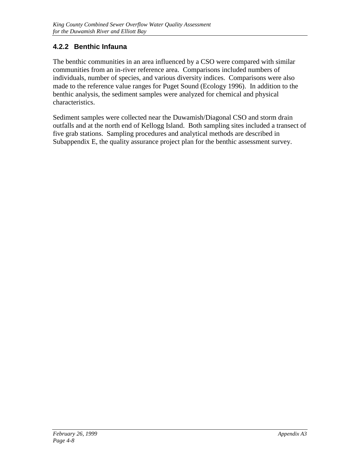#### <span id="page-16-0"></span>**4.2.2 Benthic Infauna**

The benthic communities in an area influenced by a CSO were compared with similar communities from an in-river reference area. Comparisons included numbers of individuals, number of species, and various diversity indices. Comparisons were also made to the reference value ranges for Puget Sound (Ecology 1996). In addition to the benthic analysis, the sediment samples were analyzed for chemical and physical characteristics.

Sediment samples were collected near the Duwamish/Diagonal CSO and storm drain outfalls and at the north end of Kellogg Island. Both sampling sites included a transect of five grab stations. Sampling procedures and analytical methods are described in Subappendix E, the quality assurance project plan for the benthic assessment survey.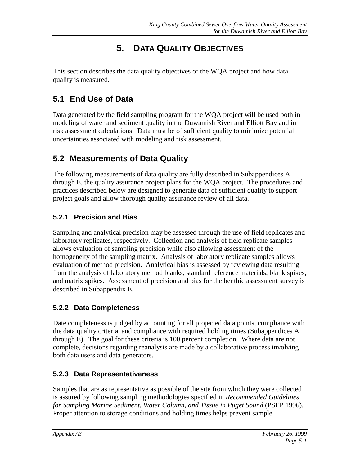# **5. DATA QUALITY OBJECTIVES**

<span id="page-17-0"></span>This section describes the data quality objectives of the WQA project and how data quality is measured.

# **5.1 End Use of Data**

Data generated by the field sampling program for the WQA project will be used both in modeling of water and sediment quality in the Duwamish River and Elliott Bay and in risk assessment calculations. Data must be of sufficient quality to minimize potential uncertainties associated with modeling and risk assessment.

# **5.2 Measurements of Data Quality**

The following measurements of data quality are fully described in Subappendices A through E, the quality assurance project plans for the WQA project. The procedures and practices described below are designed to generate data of sufficient quality to support project goals and allow thorough quality assurance review of all data.

## **5.2.1 Precision and Bias**

Sampling and analytical precision may be assessed through the use of field replicates and laboratory replicates, respectively. Collection and analysis of field replicate samples allows evaluation of sampling precision while also allowing assessment of the homogeneity of the sampling matrix. Analysis of laboratory replicate samples allows evaluation of method precision. Analytical bias is assessed by reviewing data resulting from the analysis of laboratory method blanks, standard reference materials, blank spikes, and matrix spikes. Assessment of precision and bias for the benthic assessment survey is described in Subappendix E.

## **5.2.2 Data Completeness**

Date completeness is judged by accounting for all projected data points, compliance with the data quality criteria, and compliance with required holding times (Subappendices A through E). The goal for these criteria is 100 percent completion. Where data are not complete, decisions regarding reanalysis are made by a collaborative process involving both data users and data generators.

## **5.2.3 Data Representativeness**

Samples that are as representative as possible of the site from which they were collected is assured by following sampling methodologies specified in *Recommended Guidelines for Sampling Marine Sediment, Water Column, and Tissue in Puget Sound (PSEP 1996).* Proper attention to storage conditions and holding times helps prevent sample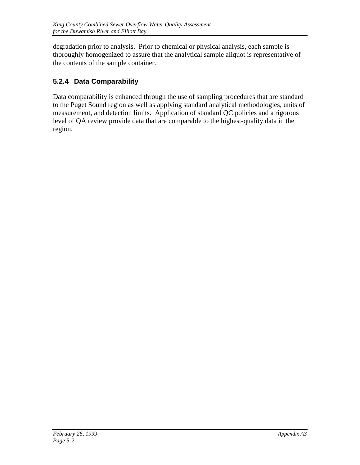<span id="page-18-0"></span>degradation prior to analysis. Prior to chemical or physical analysis, each sample is thoroughly homogenized to assure that the analytical sample aliquot is representative of the contents of the sample container.

## **5.2.4 Data Comparability**

Data comparability is enhanced through the use of sampling procedures that are standard to the Puget Sound region as well as applying standard analytical methodologies, units of measurement, and detection limits. Application of standard QC policies and a rigorous level of QA review provide data that are comparable to the highest-quality data in the region.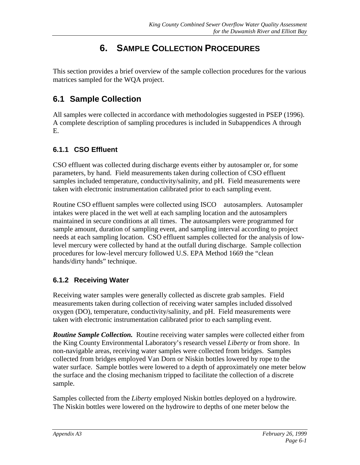# **6. SAMPLE COLLECTION PROCEDURES**

<span id="page-19-0"></span>This section provides a brief overview of the sample collection procedures for the various matrices sampled for the WQA project.

## **6.1 Sample Collection**

All samples were collected in accordance with methodologies suggested in PSEP (1996). A complete description of sampling procedures is included in Subappendices A through E.

#### **6.1.1 CSO Effluent**

CSO effluent was collected during discharge events either by autosampler or, for some parameters, by hand. Field measurements taken during collection of CSO effluent samples included temperature, conductivity/salinity, and pH. Field measurements were taken with electronic instrumentation calibrated prior to each sampling event.

Routine CSO effluent samples were collected using ISCO<sup>®</sup> autosamplers. Autosampler intakes were placed in the wet well at each sampling location and the autosamplers maintained in secure conditions at all times. The autosamplers were programmed for sample amount, duration of sampling event, and sampling interval according to project needs at each sampling location. CSO effluent samples collected for the analysis of lowlevel mercury were collected by hand at the outfall during discharge. Sample collection procedures for low-level mercury followed U.S. EPA Method 1669 the "clean hands/dirty hands" technique.

## **6.1.2 Receiving Water**

Receiving water samples were generally collected as discrete grab samples. Field measurements taken during collection of receiving water samples included dissolved oxygen (DO), temperature, conductivity/salinity, and pH. Field measurements were taken with electronic instrumentation calibrated prior to each sampling event.

*Routine Sample Collection.*Routine receiving water samples were collected either from the King County Environmental Laboratory's research vessel *Liberty* or from shore. In non-navigable areas, receiving water samples were collected from bridges. Samples collected from bridges employed Van Dorn or Niskin bottles lowered by rope to the water surface. Sample bottles were lowered to a depth of approximately one meter below the surface and the closing mechanism tripped to facilitate the collection of a discrete sample.

Samples collected from the *Liberty* employed Niskin bottles deployed on a hydrowire. The Niskin bottles were lowered on the hydrowire to depths of one meter below the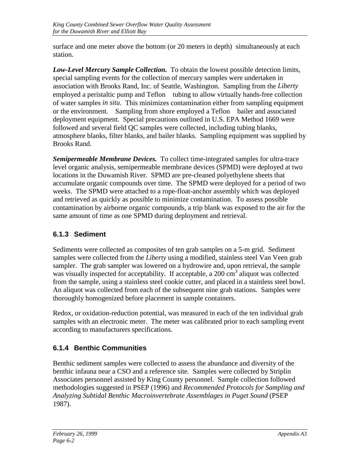<span id="page-20-0"></span>surface and one meter above the bottom (or 20 meters in depth) simultaneously at each station.

*Low-Level Mercury Sample Collection.* To obtain the lowest possible detection limits, special sampling events for the collection of mercury samples were undertaken in association with Brooks Rand, Inc. of Seattle, Washington. Sampling from the *Liberty* employed a peristaltic pump and Teflon<sup>®</sup> tubing to allow virtually hands-free collection of water samples *in situ*. This minimizes contamination either from sampling equipment or the environment. Sampling from shore employed a Teflon<sup>®</sup> bailer and associated deployment equipment. Special precautions outlined in U.S. EPA Method 1669 were followed and several field QC samples were collected, including tubing blanks, atmosphere blanks, filter blanks, and bailer blanks. Sampling equipment was supplied by Brooks Rand.

*Semipermeable Membrane Devices.*To collect time-integrated samples for ultra-trace level organic analysis, semipermeable membrane devices (SPMD) were deployed at two locations in the Duwamish River. SPMD are pre-cleaned polyethylene sheets that accumulate organic compounds over time. The SPMD were deployed for a period of two weeks. The SPMD were attached to a rope-float-anchor assembly which was deployed and retrieved as quickly as possible to minimize contamination. To assess possible contamination by airborne organic compounds, a trip blank was exposed to the air for the same amount of time as one SPMD during deployment and retrieval.

## **6.1.3 Sediment**

Sediments were collected as composites of ten grab samples on a 5-m grid. Sediment samples were collected from the *Liberty* using a modified, stainless steel Van Veen grab sampler. The grab sampler was lowered on a hydrowire and, upon retrieval, the sample was visually inspected for acceptability. If acceptable, a 200 cm<sup>3</sup> aliquot was collected from the sample, using a stainless steel cookie cutter, and placed in a stainless steel bowl. An aliquot was collected from each of the subsequent nine grab stations. Samples were thoroughly homogenized before placement in sample containers.

Redox, or oxidation-reduction potential, was measured in each of the ten individual grab samples with an electronic meter. The meter was calibrated prior to each sampling event according to manufacturers specifications.

## **6.1.4 Benthic Communities**

Benthic sediment samples were collected to assess the abundance and diversity of the benthic infauna near a CSO and a reference site. Samples were collected by Striplin Associates personnel assisted by King County personnel. Sample collection followed methodologies suggested in PSEP (1996) and *Recommended Protocols for Sampling and Analyzing Subtidal Benthic Macroinvertebrate Assemblages in Puget Sound* (PSEP 1987).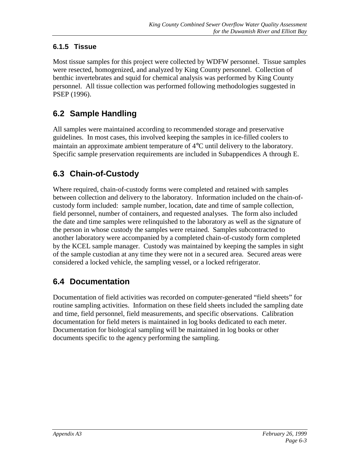## <span id="page-21-0"></span>**6.1.5 Tissue**

Most tissue samples for this project were collected by WDFW personnel. Tissue samples were resected, homogenized, and analyzed by King County personnel. Collection of benthic invertebrates and squid for chemical analysis was performed by King County personnel. All tissue collection was performed following methodologies suggested in PSEP (1996).

# **6.2 Sample Handling**

All samples were maintained according to recommended storage and preservative guidelines. In most cases, this involved keeping the samples in ice-filled coolers to maintain an approximate ambient temperature of 4°C until delivery to the laboratory. Specific sample preservation requirements are included in Subappendices A through E.

# **6.3 Chain-of-Custody**

Where required, chain-of-custody forms were completed and retained with samples between collection and delivery to the laboratory. Information included on the chain-ofcustody form included: sample number, location, date and time of sample collection, field personnel, number of containers, and requested analyses. The form also included the date and time samples were relinquished to the laboratory as well as the signature of the person in whose custody the samples were retained. Samples subcontracted to another laboratory were accompanied by a completed chain-of-custody form completed by the KCEL sample manager. Custody was maintained by keeping the samples in sight of the sample custodian at any time they were not in a secured area. Secured areas were considered a locked vehicle, the sampling vessel, or a locked refrigerator.

# **6.4 Documentation**

Documentation of field activities was recorded on computer-generated "field sheets" for routine sampling activities. Information on these field sheets included the sampling date and time, field personnel, field measurements, and specific observations. Calibration documentation for field meters is maintained in log books dedicated to each meter. Documentation for biological sampling will be maintained in log books or other documents specific to the agency performing the sampling.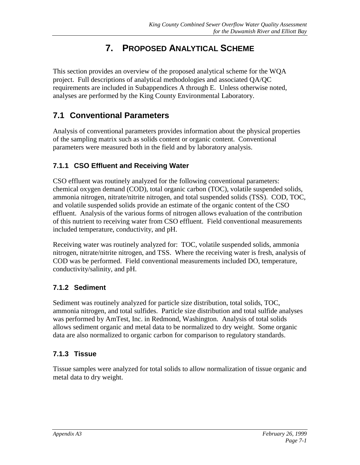# **7. PROPOSED ANALYTICAL SCHEME**

<span id="page-22-0"></span>This section provides an overview of the proposed analytical scheme for the WQA project. Full descriptions of analytical methodologies and associated QA/QC requirements are included in Subappendices A through E. Unless otherwise noted, analyses are performed by the King County Environmental Laboratory.

## **7.1 Conventional Parameters**

Analysis of conventional parameters provides information about the physical properties of the sampling matrix such as solids content or organic content. Conventional parameters were measured both in the field and by laboratory analysis.

#### **7.1.1 CSO Effluent and Receiving Water**

CSO effluent was routinely analyzed for the following conventional parameters: chemical oxygen demand (COD), total organic carbon (TOC), volatile suspended solids, ammonia nitrogen, nitrate/nitrite nitrogen, and total suspended solids (TSS). COD, TOC, and volatile suspended solids provide an estimate of the organic content of the CSO effluent. Analysis of the various forms of nitrogen allows evaluation of the contribution of this nutrient to receiving water from CSO effluent. Field conventional measurements included temperature, conductivity, and pH.

Receiving water was routinely analyzed for: TOC, volatile suspended solids, ammonia nitrogen, nitrate/nitrite nitrogen, and TSS. Where the receiving water is fresh, analysis of COD was be performed. Field conventional measurements included DO, temperature, conductivity/salinity, and pH.

#### **7.1.2 Sediment**

Sediment was routinely analyzed for particle size distribution, total solids, TOC, ammonia nitrogen, and total sulfides. Particle size distribution and total sulfide analyses was performed by AmTest, Inc. in Redmond, Washington. Analysis of total solids allows sediment organic and metal data to be normalized to dry weight. Some organic data are also normalized to organic carbon for comparison to regulatory standards.

#### **7.1.3 Tissue**

Tissue samples were analyzed for total solids to allow normalization of tissue organic and metal data to dry weight.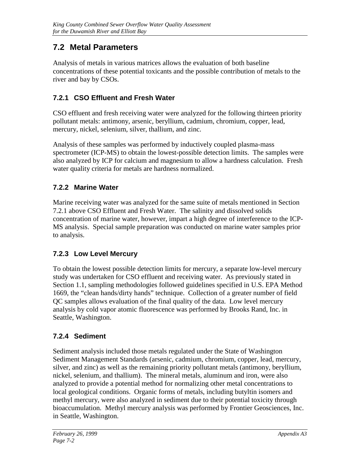## <span id="page-23-0"></span>**7.2 Metal Parameters**

Analysis of metals in various matrices allows the evaluation of both baseline concentrations of these potential toxicants and the possible contribution of metals to the river and bay by CSOs.

## **7.2.1 CSO Effluent and Fresh Water**

CSO effluent and fresh receiving water were analyzed for the following thirteen priority pollutant metals: antimony, arsenic, beryllium, cadmium, chromium, copper, lead, mercury, nickel, selenium, silver, thallium, and zinc.

Analysis of these samples was performed by inductively coupled plasma-mass spectrometer (ICP-MS) to obtain the lowest-possible detection limits. The samples were also analyzed by ICP for calcium and magnesium to allow a hardness calculation. Fresh water quality criteria for metals are hardness normalized.

## **7.2.2 Marine Water**

Marine receiving water was analyzed for the same suite of metals mentioned in Section 7.2.1 above CSO Effluent and Fresh Water. The salinity and dissolved solids concentration of marine water, however, impart a high degree of interference to the ICP-MS analysis. Special sample preparation was conducted on marine water samples prior to analysis.

## **7.2.3 Low Level Mercury**

To obtain the lowest possible detection limits for mercury, a separate low-level mercury study was undertaken for CSO effluent and receiving water. As previously stated in Section 1.1, sampling methodologies followed guidelines specified in U.S. EPA Method 1669, the "clean hands/dirty hands" technique. Collection of a greater number of field QC samples allows evaluation of the final quality of the data. Low level mercury analysis by cold vapor atomic fluorescence was performed by Brooks Rand, Inc. in Seattle, Washington.

## **7.2.4 Sediment**

Sediment analysis included those metals regulated under the State of Washington Sediment Management Standards (arsenic, cadmium, chromium, copper, lead, mercury, silver, and zinc) as well as the remaining priority pollutant metals (antimony, beryllium, nickel, selenium, and thallium). The mineral metals, aluminum and iron, were also analyzed to provide a potential method for normalizing other metal concentrations to local geological conditions. Organic forms of metals, including butyltin isomers and methyl mercury, were also analyzed in sediment due to their potential toxicity through bioaccumulation. Methyl mercury analysis was performed by Frontier Geosciences, Inc. in Seattle, Washington.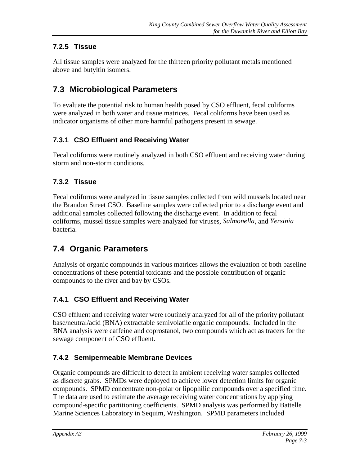## <span id="page-24-0"></span>**7.2.5 Tissue**

All tissue samples were analyzed for the thirteen priority pollutant metals mentioned above and butyltin isomers.

# **7.3 Microbiological Parameters**

To evaluate the potential risk to human health posed by CSO effluent, fecal coliforms were analyzed in both water and tissue matrices. Fecal coliforms have been used as indicator organisms of other more harmful pathogens present in sewage.

## **7.3.1 CSO Effluent and Receiving Water**

Fecal coliforms were routinely analyzed in both CSO effluent and receiving water during storm and non-storm conditions.

## **7.3.2 Tissue**

Fecal coliforms were analyzed in tissue samples collected from wild mussels located near the Brandon Street CSO. Baseline samples were collected prior to a discharge event and additional samples collected following the discharge event. In addition to fecal coliforms, mussel tissue samples were analyzed for viruses, *Salmonella*, and *Yersinia* bacteria.

# **7.4 Organic Parameters**

Analysis of organic compounds in various matrices allows the evaluation of both baseline concentrations of these potential toxicants and the possible contribution of organic compounds to the river and bay by CSOs.

## **7.4.1 CSO Effluent and Receiving Water**

CSO effluent and receiving water were routinely analyzed for all of the priority pollutant base/neutral/acid (BNA) extractable semivolatile organic compounds. Included in the BNA analysis were caffeine and coprostanol, two compounds which act as tracers for the sewage component of CSO effluent.

## **7.4.2 Semipermeable Membrane Devices**

Organic compounds are difficult to detect in ambient receiving water samples collected as discrete grabs. SPMDs were deployed to achieve lower detection limits for organic compounds. SPMD concentrate non-polar or lipophilic compounds over a specified time. The data are used to estimate the average receiving water concentrations by applying compound-specific partitioning coefficients. SPMD analysis was performed by Battelle Marine Sciences Laboratory in Sequim, Washington. SPMD parameters included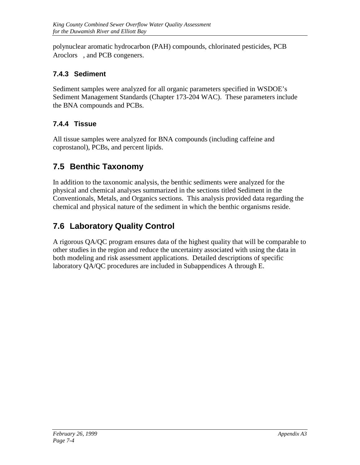<span id="page-25-0"></span>polynuclear aromatic hydrocarbon (PAH) compounds, chlorinated pesticides, PCB Aroclors<sup>®</sup>, and PCB congeners.

## **7.4.3 Sediment**

Sediment samples were analyzed for all organic parameters specified in WSDOE's Sediment Management Standards (Chapter 173-204 WAC). These parameters include the BNA compounds and PCBs.

## **7.4.4 Tissue**

All tissue samples were analyzed for BNA compounds (including caffeine and coprostanol), PCBs, and percent lipids.

# **7.5 Benthic Taxonomy**

In addition to the taxonomic analysis, the benthic sediments were analyzed for the physical and chemical analyses summarized in the sections titled Sediment in the Conventionals, Metals, and Organics sections. This analysis provided data regarding the chemical and physical nature of the sediment in which the benthic organisms reside.

# **7.6 Laboratory Quality Control**

A rigorous QA/QC program ensures data of the highest quality that will be comparable to other studies in the region and reduce the uncertainty associated with using the data in both modeling and risk assessment applications. Detailed descriptions of specific laboratory QA/QC procedures are included in Subappendices A through E.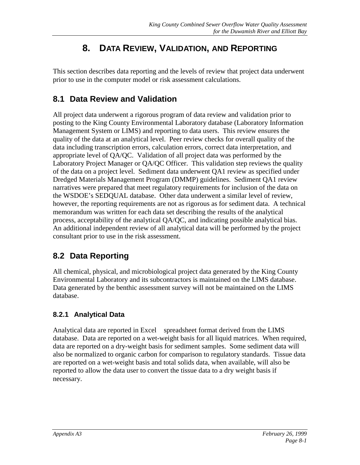# **8. DATA REVIEW, VALIDATION, AND REPORTING**

<span id="page-26-0"></span>This section describes data reporting and the levels of review that project data underwent prior to use in the computer model or risk assessment calculations.

## **8.1 Data Review and Validation**

All project data underwent a rigorous program of data review and validation prior to posting to the King County Environmental Laboratory database (Laboratory Information Management System or LIMS) and reporting to data users. This review ensures the quality of the data at an analytical level. Peer review checks for overall quality of the data including transcription errors, calculation errors, correct data interpretation, and appropriate level of QA/QC. Validation of all project data was performed by the Laboratory Project Manager or QA/QC Officer. This validation step reviews the quality of the data on a project level. Sediment data underwent QA1 review as specified under Dredged Materials Management Program (DMMP) guidelines. Sediment QA1 review narratives were prepared that meet regulatory requirements for inclusion of the data on the WSDOE's SEDQUAL database. Other data underwent a similar level of review, however, the reporting requirements are not as rigorous as for sediment data. A technical memorandum was written for each data set describing the results of the analytical process, acceptability of the analytical QA/QC, and indicating possible analytical bias. An additional independent review of all analytical data will be performed by the project consultant prior to use in the risk assessment.

# **8.2 Data Reporting**

All chemical, physical, and microbiological project data generated by the King County Environmental Laboratory and its subcontractors is maintained on the LIMS database. Data generated by the benthic assessment survey will not be maintained on the LIMS database.

## **8.2.1 Analytical Data**

Analytical data are reported in  $\text{Excel} \otimes \text{spreadsheet}$  format derived from the LIMS database. Data are reported on a wet-weight basis for all liquid matrices. When required, data are reported on a dry-weight basis for sediment samples. Some sediment data will also be normalized to organic carbon for comparison to regulatory standards. Tissue data are reported on a wet-weight basis and total solids data, when available, will also be reported to allow the data user to convert the tissue data to a dry weight basis if necessary.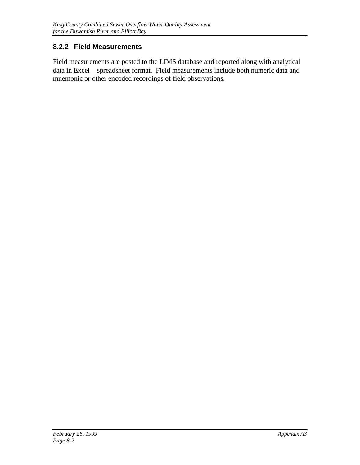#### <span id="page-27-0"></span>**8.2.2 Field Measurements**

Field measurements are posted to the LIMS database and reported along with analytical data in Excel® spreadsheet format. Field measurements include both numeric data and mnemonic or other encoded recordings of field observations.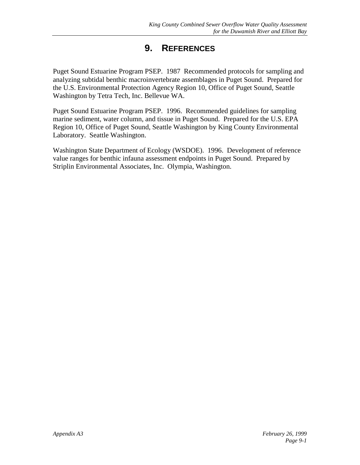# **9. REFERENCES**

<span id="page-28-0"></span>Puget Sound Estuarine Program PSEP. 1987 Recommended protocols for sampling and analyzing subtidal benthic macroinvertebrate assemblages in Puget Sound. Prepared for the U.S. Environmental Protection Agency Region 10, Office of Puget Sound, Seattle Washington by Tetra Tech, Inc. Bellevue WA.

Puget Sound Estuarine Program PSEP. 1996. Recommended guidelines for sampling marine sediment, water column, and tissue in Puget Sound. Prepared for the U.S. EPA Region 10, Office of Puget Sound, Seattle Washington by King County Environmental Laboratory. Seattle Washington.

Washington State Department of Ecology (WSDOE). 1996. Development of reference value ranges for benthic infauna assessment endpoints in Puget Sound. Prepared by Striplin Environmental Associates, Inc. Olympia, Washington.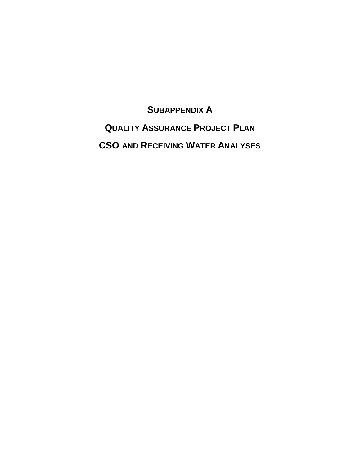<span id="page-29-0"></span>**SUBAPPENDIX A QUALITY ASSURANCE PROJECT PLAN CSO AND RECEIVING WATER ANALYSES**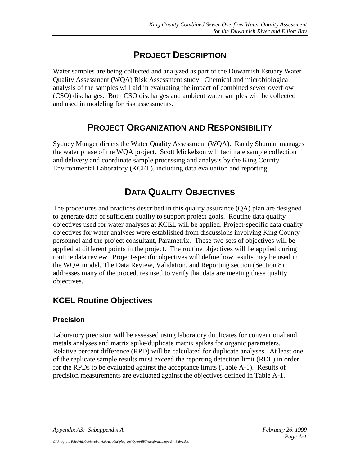# **PROJECT DESCRIPTION**

Water samples are being collected and analyzed as part of the Duwamish Estuary Water Quality Assessment (WQA) Risk Assessment study. Chemical and microbiological analysis of the samples will aid in evaluating the impact of combined sewer overflow (CSO) discharges. Both CSO discharges and ambient water samples will be collected and used in modeling for risk assessments.

## **PROJECT ORGANIZATION AND RESPONSIBILITY**

Sydney Munger directs the Water Quality Assessment (WQA). Randy Shuman manages the water phase of the WQA project. Scott Mickelson will facilitate sample collection and delivery and coordinate sample processing and analysis by the King County Environmental Laboratory (KCEL), including data evaluation and reporting.

# **DATA QUALITY OBJECTIVES**

The procedures and practices described in this quality assurance (QA) plan are designed to generate data of sufficient quality to support project goals. Routine data quality objectives used for water analyses at KCEL will be applied. Project-specific data quality objectives for water analyses were established from discussions involving King County personnel and the project consultant, Parametrix. These two sets of objectives will be applied at different points in the project. The routine objectives will be applied during routine data review. Project-specific objectives will define how results may be used in the WQA model. The Data Review, Validation, and Reporting section (Section 8) addresses many of the procedures used to verify that data are meeting these quality objectives.

## **KCEL Routine Objectives**

#### **Precision**

Laboratory precision will be assessed using laboratory duplicates for conventional and metals analyses and matrix spike/duplicate matrix spikes for organic parameters. Relative percent difference (RPD) will be calculated for duplicate analyses. At least one of the replicate sample results must exceed the reporting detection limit (RDL) in order for the RPDs to be evaluated against the acceptance limits (Table A-1). Results of precision measurements are evaluated against the objectives defined in Table A-1.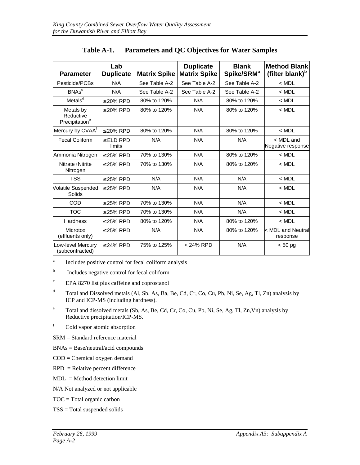| <b>Parameter</b>                                     | Lab<br><b>Duplicate</b> | <b>Matrix Spike</b> | <b>Duplicate</b><br><b>Matrix Spike</b> | <b>Blank</b><br>Spike/SRM <sup>a</sup> | <b>Method Blank</b><br>(filter blank) <sup>b</sup> |
|------------------------------------------------------|-------------------------|---------------------|-----------------------------------------|----------------------------------------|----------------------------------------------------|
| Pesticide/PCBs                                       | N/A                     | See Table A-2       | See Table A-2                           | See Table A-2                          | $<$ MDL                                            |
| BNAs <sup>c</sup>                                    | N/A                     | See Table A-2       | See Table A-2                           | See Table A-2                          | $<$ MDL                                            |
| Metals <sup>d</sup>                                  | $\leq$ 20% RPD          | 80% to 120%         | N/A                                     | 80% to 120%                            | $<$ MDL                                            |
| Metals by<br>Reductive<br>Precipitation <sup>e</sup> | $\leq$ 20% RPD          | 80% to 120%         | N/A                                     | 80% to 120%                            | $<$ MDL                                            |
| Mercury by CVAA <sup>T</sup>                         | $\leq$ 20% RPD          | 80% to 120%         | N/A                                     | 80% to 120%                            | $<$ MDL                                            |
| <b>Fecal Coliform</b>                                | $\le$ ELD RPD<br>limits | N/A                 | N/A                                     | N/A                                    | < MDL and<br>Negative response                     |
| Ammonia Nitrogen                                     | $\leq$ 25% RPD          | 70% to 130%         | N/A                                     | 80% to 120%                            | $<$ MDL                                            |
| Nitrate+Nitrite<br>Nitrogen                          | $\leq$ 25% RPD          | 70% to 130%         | N/A                                     | 80% to 120%                            | $<$ MDL                                            |
| <b>TSS</b>                                           | $\leq$ 25% RPD          | N/A                 | N/A                                     | N/A                                    | $<$ MDL                                            |
| <b>Volatile Suspended</b><br>Solids                  | $\leq$ 25% RPD          | N/A                 | N/A                                     | N/A                                    | $<$ MDL                                            |
| <b>COD</b>                                           | $\leq$ 25% RPD          | 70% to 130%         | N/A                                     | N/A                                    | $<$ MDL                                            |
| <b>TOC</b>                                           | $\leq$ 25% RPD          | 70% to 130%         | N/A                                     | N/A                                    | $<$ MDL                                            |
| <b>Hardness</b>                                      | $\leq$ 25% RPD          | 80% to 120%         | N/A                                     | 80% to 120%                            | $<$ MDL                                            |
| Microtox<br>(effluents only)                         | $\leq$ 25% RPD          | N/A                 | N/A                                     | 80% to 120%                            | < MDL and Neutral<br>response                      |
| Low-level Mercury<br>(subcontracted)                 | $\leq$ 24% RPD          | 75% to 125%         | < 24% RPD                               | N/A                                    | $< 50$ pg                                          |

**Table A-1. Parameters and QC Objectives for Water Samples**

<sup>a</sup> Includes positive control for fecal coliform analysis

b Includes negative control for fecal coliform

c EPA 8270 list plus caffeine and coprostanol

- d Total and Dissolved metals (Al, Sb, As, Ba, Be, Cd, Cr, Co, Cu, Pb, Ni, Se, Ag, Tl, Zn) analysis by ICP and ICP-MS (including hardness).
- e Total and dissolved metals (Sb, As, Be, Cd, Cr, Co, Cu, Pb, Ni, Se, Ag, Tl, Zn,Vn) analysis by Reductive precipitation/ICP-MS.
- f Cold vapor atomic absorption

SRM = Standard reference material

- BNAs = Base/neutral/acid compounds
- COD = Chemical oxygen demand
- RPD = Relative percent difference
- MDL = Method detection limit
- N/A Not analyzed or not applicable

TOC = Total organic carbon

TSS = Total suspended solids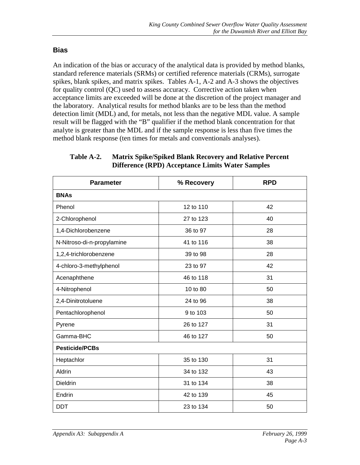#### **Bias**

An indication of the bias or accuracy of the analytical data is provided by method blanks, standard reference materials (SRMs) or certified reference materials (CRMs), surrogate spikes, blank spikes, and matrix spikes. Tables A-1, A-2 and A-3 shows the objectives for quality control (QC) used to assess accuracy. Corrective action taken when acceptance limits are exceeded will be done at the discretion of the project manager and the laboratory. Analytical results for method blanks are to be less than the method detection limit (MDL) and, for metals, not less than the negative MDL value. A sample result will be flagged with the "B" qualifier if the method blank concentration for that analyte is greater than the MDL and if the sample response is less than five times the method blank response (ten times for metals and conventionals analyses).

| <b>Parameter</b>           | % Recovery | <b>RPD</b> |  |  |  |
|----------------------------|------------|------------|--|--|--|
| <b>BNAs</b>                |            |            |  |  |  |
| Phenol                     | 12 to 110  | 42         |  |  |  |
| 2-Chlorophenol             | 27 to 123  | 40         |  |  |  |
| 1,4-Dichlorobenzene        | 36 to 97   | 28         |  |  |  |
| N-Nitroso-di-n-propylamine | 41 to 116  | 38         |  |  |  |
| 1,2,4-trichlorobenzene     | 39 to 98   | 28         |  |  |  |
| 4-chloro-3-methylphenol    | 23 to 97   | 42         |  |  |  |
| Acenaphthene               | 46 to 118  | 31         |  |  |  |
| 4-Nitrophenol              | 10 to 80   | 50         |  |  |  |
| 2,4-Dinitrotoluene         | 24 to 96   | 38         |  |  |  |
| Pentachlorophenol          | 9 to 103   | 50         |  |  |  |
| Pyrene                     | 26 to 127  | 31         |  |  |  |
| Gamma-BHC                  | 46 to 127  | 50         |  |  |  |
| <b>Pesticide/PCBs</b>      |            |            |  |  |  |
| Heptachlor                 | 35 to 130  | 31         |  |  |  |
| Aldrin                     | 34 to 132  | 43         |  |  |  |
| <b>Dieldrin</b>            | 31 to 134  | 38         |  |  |  |
| Endrin                     | 42 to 139  | 45         |  |  |  |
| <b>DDT</b>                 | 23 to 134  | 50         |  |  |  |

**Table A-2. Matrix Spike/Spiked Blank Recovery and Relative Percent Difference (RPD) Acceptance Limits Water Samples**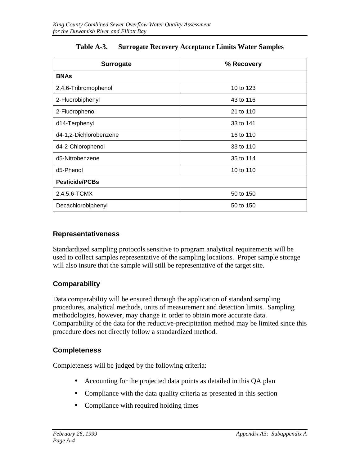| <b>Surrogate</b>       | % Recovery |  |
|------------------------|------------|--|
| <b>BNAs</b>            |            |  |
| 2,4,6-Tribromophenol   | 10 to 123  |  |
| 2-Fluorobiphenyl       | 43 to 116  |  |
| 2-Fluorophenol         | 21 to 110  |  |
| d14-Terphenyl          | 33 to 141  |  |
| d4-1,2-Dichlorobenzene | 16 to 110  |  |
| d4-2-Chlorophenol      | 33 to 110  |  |
| d5-Nitrobenzene        | 35 to 114  |  |
| d5-Phenol              | 10 to 110  |  |
| <b>Pesticide/PCBs</b>  |            |  |
| 2,4,5,6-TCMX           | 50 to 150  |  |
| Decachlorobiphenyl     | 50 to 150  |  |

#### **Table A-3. Surrogate Recovery Acceptance Limits Water Samples**

#### **Representativeness**

Standardized sampling protocols sensitive to program analytical requirements will be used to collect samples representative of the sampling locations. Proper sample storage will also insure that the sample will still be representative of the target site.

#### **Comparability**

Data comparability will be ensured through the application of standard sampling procedures, analytical methods, units of measurement and detection limits. Sampling methodologies, however, may change in order to obtain more accurate data. Comparability of the data for the reductive-precipitation method may be limited since this procedure does not directly follow a standardized method.

#### **Completeness**

Completeness will be judged by the following criteria:

- Accounting for the projected data points as detailed in this QA plan
- Compliance with the data quality criteria as presented in this section
- Compliance with required holding times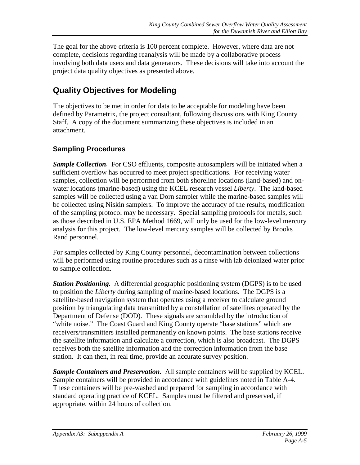The goal for the above criteria is 100 percent complete. However, where data are not complete, decisions regarding reanalysis will be made by a collaborative process involving both data users and data generators. These decisions will take into account the project data quality objectives as presented above.

## **Quality Objectives for Modeling**

The objectives to be met in order for data to be acceptable for modeling have been defined by Parametrix, the project consultant, following discussions with King County Staff. A copy of the document summarizing these objectives is included in an attachment.

#### **Sampling Procedures**

*Sample Collection.* For CSO effluents, composite autosamplers will be initiated when a sufficient overflow has occurred to meet project specifications. For receiving water samples, collection will be performed from both shoreline locations (land-based) and onwater locations (marine-based) using the KCEL research vessel *Liberty*. The land-based samples will be collected using a van Dorn sampler while the marine-based samples will be collected using Niskin samplers. To improve the accuracy of the results, modification of the sampling protocol may be necessary. Special sampling protocols for metals, such as those described in U.S. EPA Method 1669, will only be used for the low-level mercury analysis for this project. The low-level mercury samples will be collected by Brooks Rand personnel.

For samples collected by King County personnel, decontamination between collections will be performed using routine procedures such as a rinse with lab deionized water prior to sample collection.

*Station Positioning.* A differential geographic positioning system (DGPS) is to be used to position the *Liberty* during sampling of marine-based locations. The DGPS is a satellite-based navigation system that operates using a receiver to calculate ground position by triangulating data transmitted by a constellation of satellites operated by the Department of Defense (DOD). These signals are scrambled by the introduction of "white noise." The Coast Guard and King County operate "base stations" which are receivers/transmitters installed permanently on known points. The base stations receive the satellite information and calculate a correction, which is also broadcast. The DGPS receives both the satellite information and the correction information from the base station. It can then, in real time, provide an accurate survey position.

*Sample Containers and Preservation.* All sample containers will be supplied by KCEL. Sample containers will be provided in accordance with guidelines noted in Table A-4. These containers will be pre-washed and prepared for sampling in accordance with standard operating practice of KCEL. Samples must be filtered and preserved, if appropriate, within 24 hours of collection.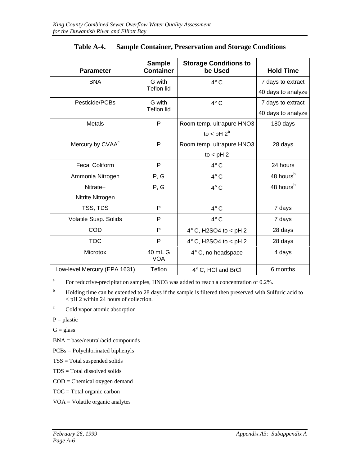| <b>Parameter</b>             | <b>Sample</b><br><b>Container</b> | <b>Storage Conditions to</b><br>be Used | <b>Hold Time</b>      |
|------------------------------|-----------------------------------|-----------------------------------------|-----------------------|
| <b>BNA</b>                   | G with                            | $4^\circ$ C                             | 7 days to extract     |
|                              | <b>Teflon lid</b>                 |                                         | 40 days to analyze    |
| Pesticide/PCBs               | G with                            | $4^\circ$ C                             | 7 days to extract     |
|                              | <b>Teflon lid</b>                 |                                         | 40 days to analyze    |
| Metals                       | P                                 | Room temp. ultrapure HNO3               | 180 days              |
|                              |                                   | to < $pH$ $2^a$                         |                       |
| Mercury by CVAA <sup>c</sup> | $\mathsf{P}$                      | Room temp. ultrapure HNO3               | 28 days               |
|                              |                                   | to $<$ pH 2                             |                       |
| <b>Fecal Coliform</b>        | P                                 | $4^\circ$ C                             | 24 hours              |
| Ammonia Nitrogen             | P, G                              | $4^\circ$ C                             | 48 hours <sup>b</sup> |
| Nitrate+                     | P, G                              | $4^\circ$ C                             | 48 hours <sup>b</sup> |
| Nitrite Nitrogen             |                                   |                                         |                       |
| TSS, TDS                     | P                                 | $4^\circ$ C                             | 7 days                |
| Volatile Susp. Solids        | P                                 | $4^\circ$ C                             | 7 days                |
| COD                          | P                                 | $4^\circ$ C, H2SO4 to < pH 2            | 28 days               |
| <b>TOC</b>                   | P                                 | $4^\circ$ C, H2SO4 to < pH 2            | 28 days               |
| Microtox                     | 40 mL G<br><b>VOA</b>             | $4^\circ$ C, no headspace               | 4 days                |
| Low-level Mercury (EPA 1631) | Teflon                            | 4° C, HCl and BrCl                      | 6 months              |

| Table A-4. |  | <b>Sample Container, Preservation and Storage Conditions</b> |
|------------|--|--------------------------------------------------------------|
|            |  |                                                              |

<sup>a</sup> For reductive-precipitation samples, HNO3 was added to reach a concentration of 0.2%.

<sup>b</sup> Holding time can be extended to 28 days if the sample is filtered then preserved with Sulfuric acid to < pH 2 within 24 hours of collection.

c Cold vapor atomic absorption

 $P =$  plastic

 $G = glass$ 

BNA = base/neutral/acid compounds

PCBs = Polychlorinated biphenyls

- TSS = Total suspended solids
- TDS = Total dissolved solids
- COD = Chemical oxygen demand

TOC = Total organic carbon

VOA = Volatile organic analytes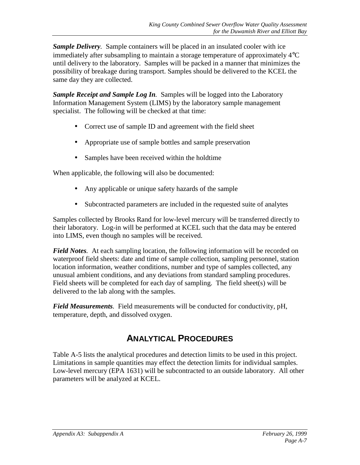*Sample Delivery.* Sample containers will be placed in an insulated cooler with ice immediately after subsampling to maintain a storage temperature of approximately 4°C until delivery to the laboratory. Samples will be packed in a manner that minimizes the possibility of breakage during transport. Samples should be delivered to the KCEL the same day they are collected.

*Sample Receipt and Sample Log In.* Samples will be logged into the Laboratory Information Management System (LIMS) by the laboratory sample management specialist. The following will be checked at that time:

- Correct use of sample ID and agreement with the field sheet
- Appropriate use of sample bottles and sample preservation
- Samples have been received within the holdtime

When applicable, the following will also be documented:

- Any applicable or unique safety hazards of the sample
- Subcontracted parameters are included in the requested suite of analytes

Samples collected by Brooks Rand for low-level mercury will be transferred directly to their laboratory. Log-in will be performed at KCEL such that the data may be entered into LIMS, even though no samples will be received.

*Field Notes.* At each sampling location, the following information will be recorded on waterproof field sheets: date and time of sample collection, sampling personnel, station location information, weather conditions, number and type of samples collected, any unusual ambient conditions, and any deviations from standard sampling procedures. Field sheets will be completed for each day of sampling. The field sheet(s) will be delivered to the lab along with the samples.

*Field Measurements.* Field measurements will be conducted for conductivity, pH, temperature, depth, and dissolved oxygen.

## **ANALYTICAL PROCEDURES**

Table A-5 lists the analytical procedures and detection limits to be used in this project. Limitations in sample quantities may effect the detection limits for individual samples. Low-level mercury (EPA 1631) will be subcontracted to an outside laboratory. All other parameters will be analyzed at KCEL.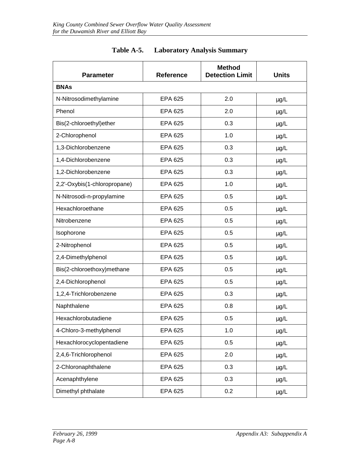| <b>Parameter</b>             | <b>Reference</b> | <b>Method</b><br><b>Detection Limit</b> | <b>Units</b> |
|------------------------------|------------------|-----------------------------------------|--------------|
| <b>BNAs</b>                  |                  |                                         |              |
| N-Nitrosodimethylamine       | EPA 625          | 2.0                                     | $\mu$ g/L    |
| Phenol                       | <b>EPA 625</b>   | 2.0                                     | $\mu$ g/L    |
| Bis(2-chloroethyl)ether      | <b>EPA 625</b>   | 0.3                                     | $\mu$ g/L    |
| 2-Chlorophenol               | <b>EPA 625</b>   | 1.0                                     | $\mu$ g/L    |
| 1,3-Dichlorobenzene          | EPA 625          | 0.3                                     | $\mu$ g/L    |
| 1,4-Dichlorobenzene          | EPA 625          | 0.3                                     | $\mu$ g/L    |
| 1,2-Dichlorobenzene          | <b>EPA 625</b>   | 0.3                                     | $\mu$ g/L    |
| 2,2'-Oxybis(1-chloropropane) | EPA 625          | 1.0                                     | $\mu$ g/L    |
| N-Nitrosodi-n-propylamine    | <b>EPA 625</b>   | 0.5                                     | $\mu$ g/L    |
| Hexachloroethane             | <b>EPA 625</b>   | 0.5                                     | $\mu$ g/L    |
| Nitrobenzene                 | EPA 625          | 0.5                                     | $\mu$ g/L    |
| Isophorone                   | EPA 625          | 0.5                                     | $\mu$ g/L    |
| 2-Nitrophenol                | EPA 625          | 0.5                                     | $\mu$ g/L    |
| 2,4-Dimethylphenol           | EPA 625          | 0.5                                     | $\mu$ g/L    |
| Bis(2-chloroethoxy)methane   | EPA 625          | 0.5                                     | $\mu$ g/L    |
| 2,4-Dichlorophenol           | EPA 625          | 0.5                                     | $\mu$ g/L    |
| 1,2,4-Trichlorobenzene       | EPA 625          | 0.3                                     | $\mu$ g/L    |
| Naphthalene                  | EPA 625          | 0.8                                     | $\mu$ g/L    |
| Hexachlorobutadiene          | EPA 625          | 0.5                                     | $\mu$ g/L    |
| 4-Chloro-3-methylphenol      | EPA 625          | 1.0                                     | $\mu$ g/L    |
| Hexachlorocyclopentadiene    | <b>EPA 625</b>   | 0.5                                     | $\mu$ g/L    |
| 2,4,6-Trichlorophenol        | <b>EPA 625</b>   | 2.0                                     | $\mu$ g/L    |
| 2-Chloronaphthalene          | EPA 625          | 0.3                                     | $\mu$ g/L    |
| Acenaphthylene               | EPA 625          | 0.3                                     | $\mu$ g/L    |
| Dimethyl phthalate           | <b>EPA 625</b>   | 0.2                                     | $\mu$ g/L    |

#### **Table A-5. Laboratory Analysis Summary**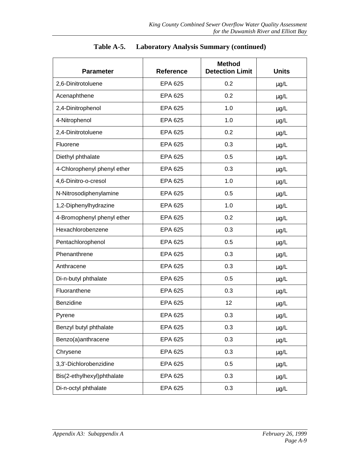| <b>Parameter</b>            | <b>Reference</b> | <b>Method</b><br><b>Detection Limit</b> | <b>Units</b> |
|-----------------------------|------------------|-----------------------------------------|--------------|
| 2,6-Dinitrotoluene          | <b>EPA 625</b>   | 0.2                                     | $\mu$ g/L    |
| Acenaphthene                | <b>EPA 625</b>   | 0.2                                     | $\mu$ g/L    |
| 2,4-Dinitrophenol           | <b>EPA 625</b>   | 1.0                                     | $\mu$ g/L    |
| 4-Nitrophenol               | <b>EPA 625</b>   | 1.0                                     | $\mu$ g/L    |
| 2,4-Dinitrotoluene          | <b>EPA 625</b>   | 0.2                                     | $\mu$ g/L    |
| Fluorene                    | EPA 625          | 0.3                                     | $\mu$ g/L    |
| Diethyl phthalate           | <b>EPA 625</b>   | 0.5                                     | $\mu$ g/L    |
| 4-Chlorophenyl phenyl ether | <b>EPA 625</b>   | 0.3                                     | $\mu$ g/L    |
| 4,6-Dinitro-o-cresol        | <b>EPA 625</b>   | 1.0                                     | $\mu$ g/L    |
| N-Nitrosodiphenylamine      | <b>EPA 625</b>   | 0.5                                     | $\mu$ g/L    |
| 1,2-Diphenylhydrazine       | <b>EPA 625</b>   | 1.0                                     | $\mu$ g/L    |
| 4-Bromophenyl phenyl ether  | <b>EPA 625</b>   | 0.2                                     | $\mu$ g/L    |
| Hexachlorobenzene           | <b>EPA 625</b>   | 0.3                                     | $\mu$ g/L    |
| Pentachlorophenol           | <b>EPA 625</b>   | 0.5                                     | $\mu$ g/L    |
| Phenanthrene                | <b>EPA 625</b>   | 0.3                                     | $\mu$ g/L    |
| Anthracene                  | <b>EPA 625</b>   | 0.3                                     | $\mu$ g/L    |
| Di-n-butyl phthalate        | <b>EPA 625</b>   | 0.5                                     | $\mu$ g/L    |
| Fluoranthene                | EPA 625          | 0.3                                     | $\mu$ g/L    |
| Benzidine                   | <b>EPA 625</b>   | 12                                      | $\mu$ g/L    |
| Pyrene                      | <b>EPA 625</b>   | 0.3                                     | $\mu$ g/L    |
| Benzyl butyl phthalate      | <b>EPA 625</b>   | 0.3                                     | $\mu$ g/L    |
| Benzo(a)anthracene          | <b>EPA 625</b>   | 0.3                                     | $\mu$ g/L    |
| Chrysene                    | <b>EPA 625</b>   | 0.3                                     | $\mu$ g/L    |
| 3,3'-Dichlorobenzidine      | <b>EPA 625</b>   | 0.5                                     | $\mu$ g/L    |
| Bis(2-ethylhexyl)phthalate  | <b>EPA 625</b>   | 0.3                                     | $\mu$ g/L    |
| Di-n-octyl phthalate        | <b>EPA 625</b>   | 0.3                                     | $\mu$ g/L    |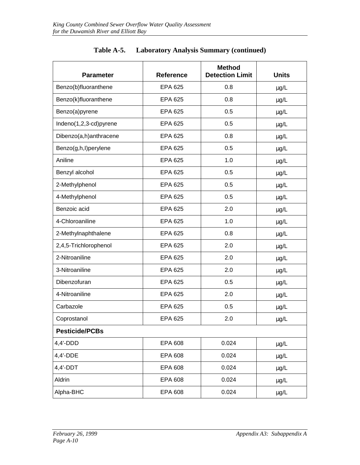| <b>Parameter</b>       | <b>Reference</b> | <b>Method</b><br><b>Detection Limit</b> | <b>Units</b> |
|------------------------|------------------|-----------------------------------------|--------------|
| Benzo(b)fluoranthene   | <b>EPA 625</b>   | 0.8                                     | $\mu$ g/L    |
| Benzo(k)fluoranthene   | EPA 625          | 0.8                                     | $\mu$ g/L    |
| Benzo(a)pyrene         | EPA 625          | 0.5                                     | $\mu$ g/L    |
| Indeno(1,2,3-cd)pyrene | EPA 625          | 0.5                                     | $\mu$ g/L    |
| Dibenzo(a,h)anthracene | EPA 625          | 0.8                                     | µg/L         |
| Benzo(g,h,l)perylene   | EPA 625          | 0.5                                     | $\mu$ g/L    |
| Aniline                | EPA 625          | 1.0                                     | $\mu$ g/L    |
| Benzyl alcohol         | EPA 625          | 0.5                                     | $\mu$ g/L    |
| 2-Methylphenol         | EPA 625          | 0.5                                     | $\mu$ g/L    |
| 4-Methylphenol         | EPA 625          | 0.5                                     | $\mu$ g/L    |
| Benzoic acid           | EPA 625          | 2.0                                     | $\mu$ g/L    |
| 4-Chloroaniline        | EPA 625          | 1.0                                     | $\mu$ g/L    |
| 2-Methylnaphthalene    | EPA 625          | 0.8                                     | $\mu$ g/L    |
| 2,4,5-Trichlorophenol  | <b>EPA 625</b>   | 2.0                                     | $\mu$ g/L    |
| 2-Nitroaniline         | EPA 625          | 2.0                                     | $\mu$ g/L    |
| 3-Nitroaniline         | EPA 625          | 2.0                                     | $\mu$ g/L    |
| Dibenzofuran           | EPA 625          | 0.5                                     | µg/L         |
| 4-Nitroaniline         | EPA 625          | 2.0                                     | $\mu$ g/L    |
| Carbazole              | EPA 625          | 0.5                                     | $\mu$ g/L    |
| Coprostanol            | <b>EPA 625</b>   | 2.0                                     | $\mu$ g/L    |
| <b>Pesticide/PCBs</b>  |                  |                                         |              |
| $4,4'$ -DDD            | EPA 608          | 0.024                                   | $\mu$ g/L    |
| 4,4'-DDE               | <b>EPA 608</b>   | 0.024                                   | $\mu$ g/L    |
| $4,4'$ -DDT            | <b>EPA 608</b>   | 0.024                                   | $\mu$ g/L    |
| Aldrin                 | <b>EPA 608</b>   | 0.024                                   | $\mu$ g/L    |
| Alpha-BHC              | EPA 608          | 0.024                                   | $\mu$ g/L    |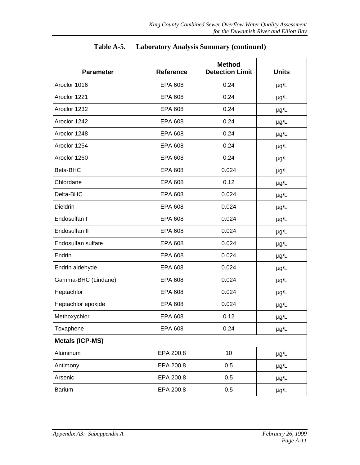| <b>Parameter</b>       | <b>Reference</b> | <b>Method</b><br><b>Detection Limit</b> | <b>Units</b> |
|------------------------|------------------|-----------------------------------------|--------------|
| Aroclor 1016           | <b>EPA 608</b>   | 0.24                                    | $\mu$ g/L    |
| Aroclor 1221           | <b>EPA 608</b>   | 0.24                                    | $\mu$ g/L    |
| Aroclor 1232           | <b>EPA 608</b>   | 0.24                                    | $\mu$ g/L    |
| Aroclor 1242           | <b>EPA 608</b>   | 0.24                                    | $\mu$ g/L    |
| Aroclor 1248           | <b>EPA 608</b>   | 0.24                                    | $\mu$ g/L    |
| Aroclor 1254           | <b>EPA 608</b>   | 0.24                                    | $\mu$ g/L    |
| Aroclor 1260           | <b>EPA 608</b>   | 0.24                                    | $\mu$ g/L    |
| Beta-BHC               | EPA 608          | 0.024                                   | $\mu$ g/L    |
| Chlordane              | <b>EPA 608</b>   | 0.12                                    | $\mu$ g/L    |
| Delta-BHC              | EPA 608          | 0.024                                   | $\mu$ g/L    |
| <b>Dieldrin</b>        | <b>EPA 608</b>   | 0.024                                   | $\mu g/L$    |
| Endosulfan I           | <b>EPA 608</b>   | 0.024                                   | $\mu$ g/L    |
| Endosulfan II          | <b>EPA 608</b>   | 0.024                                   | $\mu$ g/L    |
| Endosulfan sulfate     | <b>EPA 608</b>   | 0.024                                   | $\mu$ g/L    |
| Endrin                 | <b>EPA 608</b>   | 0.024                                   | $\mu$ g/L    |
| Endrin aldehyde        | <b>EPA 608</b>   | 0.024                                   | $\mu$ g/L    |
| Gamma-BHC (Lindane)    | <b>EPA 608</b>   | 0.024                                   | $\mu$ g/L    |
| Heptachlor             | <b>EPA 608</b>   | 0.024                                   | $\mu$ g/L    |
| Heptachlor epoxide     | <b>EPA 608</b>   | 0.024                                   | $\mu$ g/L    |
| Methoxychlor           | <b>EPA 608</b>   | 0.12                                    | $\mu$ g/L    |
| Toxaphene              | <b>EPA 608</b>   | 0.24                                    | $\mu$ g/L    |
| <b>Metals (ICP-MS)</b> |                  |                                         |              |
| Aluminum               | EPA 200.8        | 10                                      | µg/L         |
| Antimony               | EPA 200.8        | 0.5                                     | $\mu$ g/L    |
| Arsenic                | EPA 200.8        | 0.5                                     | $\mu$ g/L    |
| <b>Barium</b>          | EPA 200.8        | 0.5                                     | $\mu$ g/L    |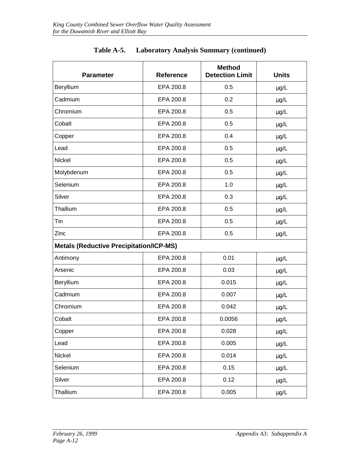| <b>Parameter</b>                               | <b>Reference</b> | <b>Method</b><br><b>Detection Limit</b> | <b>Units</b> |
|------------------------------------------------|------------------|-----------------------------------------|--------------|
| Beryllium                                      | EPA 200.8        | 0.5                                     | $\mu$ g/L    |
| Cadmium                                        | EPA 200.8        | 0.2                                     | $\mu$ g/L    |
| Chromium                                       | EPA 200.8        | 0.5                                     | $\mu$ g/L    |
| Cobalt                                         | EPA 200.8        | 0.5                                     | $\mu$ g/L    |
| Copper                                         | EPA 200.8        | 0.4                                     | $\mu g/L$    |
| Lead                                           | EPA 200.8        | 0.5                                     | $\mu$ g/L    |
| Nickel                                         | EPA 200.8        | 0.5                                     | $\mu$ g/L    |
| Molybdenum                                     | EPA 200.8        | 0.5                                     | $\mu$ g/L    |
| Selenium                                       | EPA 200.8        | 1.0                                     | µg/L         |
| Silver                                         | EPA 200.8        | 0.3                                     | $\mu$ g/L    |
| Thallium                                       | EPA 200.8        | 0.5                                     | $\mu$ g/L    |
| Tin                                            | EPA 200.8        | 0.5                                     | $\mu$ g/L    |
| Zinc                                           | EPA 200.8        | 0.5                                     | $\mu$ g/L    |
| <b>Metals (Reductive Precipitation/ICP-MS)</b> |                  |                                         |              |
| Antimony                                       | EPA 200.8        | 0.01                                    | $\mu$ g/L    |
| Arsenic                                        | EPA 200.8        | 0.03                                    | $\mu$ g/L    |
| Beryllium                                      | EPA 200.8        | 0.015                                   | $\mu$ g/L    |
| Cadmium                                        | EPA 200.8        | 0.007                                   | $\mu$ g/L    |
| Chromium                                       | EPA 200.8        | 0.042                                   | $\mu$ g/L    |
| Cobalt                                         | EPA 200.8        | 0.0056                                  | $\mu$ g/L    |
| Copper                                         | EPA 200.8        | 0.028                                   | $\mu$ g/L    |
| Lead                                           | EPA 200.8        | 0.005                                   | $\mu$ g/L    |
| Nickel                                         | EPA 200.8        | 0.014                                   | $\mu$ g/L    |
| Selenium                                       | EPA 200.8        | 0.15                                    | $\mu$ g/L    |
| Silver                                         | EPA 200.8        | 0.12                                    | $\mu$ g/L    |
| Thallium                                       | EPA 200.8        | 0.005                                   | $\mu$ g/L    |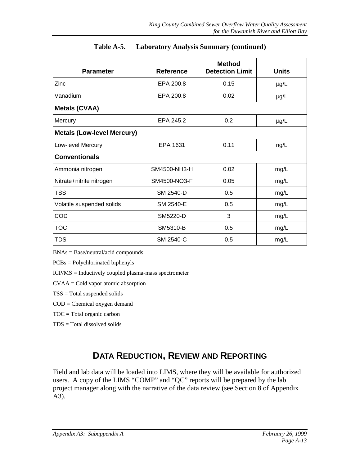| <b>Parameter</b>                  | <b>Reference</b> | <b>Method</b><br><b>Detection Limit</b> | <b>Units</b> |  |  |  |
|-----------------------------------|------------------|-----------------------------------------|--------------|--|--|--|
| Zinc                              | EPA 200.8        | 0.15                                    | $\mu$ g/L    |  |  |  |
| Vanadium                          | EPA 200.8        | 0.02                                    | $\mu$ g/L    |  |  |  |
| <b>Metals (CVAA)</b>              |                  |                                         |              |  |  |  |
| Mercury                           | EPA 245.2        | 0.2                                     | $\mu$ g/L    |  |  |  |
| <b>Metals (Low-level Mercury)</b> |                  |                                         |              |  |  |  |
| Low-level Mercury                 | EPA 1631         | 0.11                                    | ng/L         |  |  |  |
| <b>Conventionals</b>              |                  |                                         |              |  |  |  |
| Ammonia nitrogen                  | SM4500-NH3-H     | 0.02                                    | mg/L         |  |  |  |
| Nitrate+nitrite nitrogen          | SM4500-NO3-F     | 0.05                                    | mg/L         |  |  |  |
| <b>TSS</b>                        | SM 2540-D        | 0.5                                     | mg/L         |  |  |  |
| Volatile suspended solids         | SM 2540-E        | 0.5                                     | mg/L         |  |  |  |
| COD                               | SM5220-D         | 3                                       | mg/L         |  |  |  |
| <b>TOC</b>                        | SM5310-B         | 0.5                                     | mg/L         |  |  |  |
| <b>TDS</b>                        | SM 2540-C        | 0.5                                     | mg/L         |  |  |  |

BNAs = Base/neutral/acid compounds

PCBs = Polychlorinated biphenyls

ICP/MS = Inductively coupled plasma-mass spectrometer

CVAA = Cold vapor atomic absorption

TSS = Total suspended solids

COD = Chemical oxygen demand

TOC = Total organic carbon

TDS = Total dissolved solids

## **DATA REDUCTION, REVIEW AND REPORTING**

Field and lab data will be loaded into LIMS, where they will be available for authorized users. A copy of the LIMS "COMP" and "QC" reports will be prepared by the lab project manager along with the narrative of the data review (see Section 8 of Appendix A3).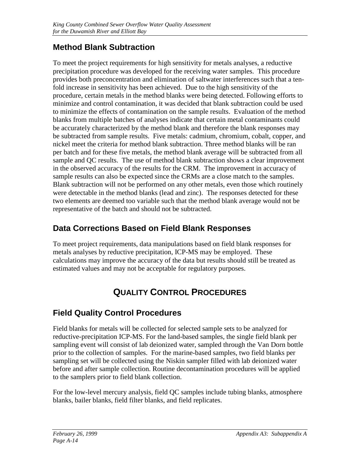## **Method Blank Subtraction**

To meet the project requirements for high sensitivity for metals analyses, a reductive precipitation procedure was developed for the receiving water samples. This procedure provides both preconcentration and elimination of saltwater interferences such that a tenfold increase in sensitivity has been achieved. Due to the high sensitivity of the procedure, certain metals in the method blanks were being detected. Following efforts to minimize and control contamination, it was decided that blank subtraction could be used to minimize the effects of contamination on the sample results. Evaluation of the method blanks from multiple batches of analyses indicate that certain metal contaminants could be accurately characterized by the method blank and therefore the blank responses may be subtracted from sample results. Five metals: cadmium, chromium, cobalt, copper, and nickel meet the criteria for method blank subtraction. Three method blanks will be ran per batch and for these five metals, the method blank average will be subtracted from all sample and QC results. The use of method blank subtraction shows a clear improvement in the observed accuracy of the results for the CRM. The improvement in accuracy of sample results can also be expected since the CRMs are a close match to the samples. Blank subtraction will not be performed on any other metals, even those which routinely were detectable in the method blanks (lead and zinc). The responses detected for these two elements are deemed too variable such that the method blank average would not be representative of the batch and should not be subtracted.

## **Data Corrections Based on Field Blank Responses**

To meet project requirements, data manipulations based on field blank responses for metals analyses by reductive precipitation, ICP-MS may be employed. These calculations may improve the accuracy of the data but results should still be treated as estimated values and may not be acceptable for regulatory purposes.

# **QUALITY CONTROL PROCEDURES**

## **Field Quality Control Procedures**

Field blanks for metals will be collected for selected sample sets to be analyzed for reductive-precipitation ICP-MS. For the land-based samples, the single field blank per sampling event will consist of lab deionized water, sampled through the Van Dorn bottle prior to the collection of samples. For the marine-based samples, two field blanks per sampling set will be collected using the Niskin sampler filled with lab deionized water before and after sample collection. Routine decontamination procedures will be applied to the samplers prior to field blank collection.

For the low-level mercury analysis, field QC samples include tubing blanks, atmosphere blanks, bailer blanks, field filter blanks, and field replicates.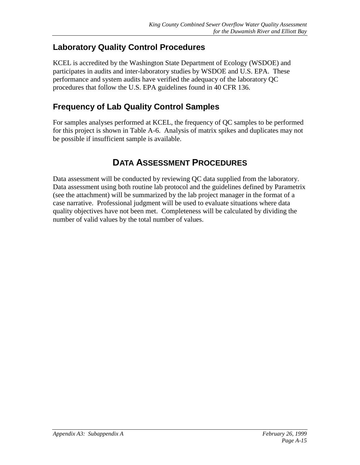## **Laboratory Quality Control Procedures**

KCEL is accredited by the Washington State Department of Ecology (WSDOE) and participates in audits and inter-laboratory studies by WSDOE and U.S. EPA. These performance and system audits have verified the adequacy of the laboratory QC procedures that follow the U.S. EPA guidelines found in 40 CFR 136.

## **Frequency of Lab Quality Control Samples**

For samples analyses performed at KCEL, the frequency of QC samples to be performed for this project is shown in Table A-6. Analysis of matrix spikes and duplicates may not be possible if insufficient sample is available.

## **DATA ASSESSMENT PROCEDURES**

Data assessment will be conducted by reviewing QC data supplied from the laboratory. Data assessment using both routine lab protocol and the guidelines defined by Parametrix (see the attachment) will be summarized by the lab project manager in the format of a case narrative. Professional judgment will be used to evaluate situations where data quality objectives have not been met. Completeness will be calculated by dividing the number of valid values by the total number of values.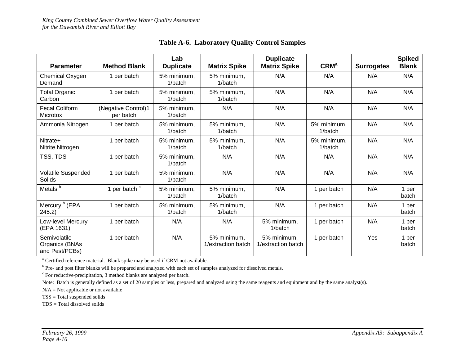| <b>Parameter</b>                                 | <b>Method Blank</b>              | Lab<br><b>Duplicate</b> | <b>Matrix Spike</b>               | <b>Duplicate</b><br><b>Matrix Spike</b> | CRM <sup>a</sup>       | <b>Surrogates</b> | <b>Spiked</b><br><b>Blank</b> |
|--------------------------------------------------|----------------------------------|-------------------------|-----------------------------------|-----------------------------------------|------------------------|-------------------|-------------------------------|
| Chemical Oxygen<br>Demand                        | 1 per batch                      | 5% minimum.<br>1/batch  | 5% minimum.<br>1/batch            | N/A                                     | N/A                    | N/A               | N/A                           |
| <b>Total Organic</b><br>Carbon                   | 1 per batch                      | 5% minimum.<br>1/batch  | 5% minimum.<br>1/batch            | N/A                                     | N/A                    | N/A               | N/A                           |
| <b>Fecal Coliform</b><br><b>Microtox</b>         | (Negative Control)1<br>per batch | 5% minimum.<br>1/batch  | N/A                               | N/A                                     | N/A                    | N/A               | N/A                           |
| Ammonia Nitrogen                                 | 1 per batch                      | 5% minimum.<br>1/batch  | 5% minimum.<br>1/batch            | N/A                                     | 5% minimum.<br>1/batch | N/A               | N/A                           |
| Nitrate+<br>Nitrite Nitrogen                     | 1 per batch                      | 5% minimum.<br>1/batch  | 5% minimum.<br>1/batch            | N/A                                     | 5% minimum.<br>1/batch | N/A               | N/A                           |
| TSS, TDS                                         | 1 per batch                      | 5% minimum.<br>1/batch  | N/A                               | N/A                                     | N/A                    | N/A               | N/A                           |
| Volatile Suspended<br>Solids                     | 1 per batch                      | 5% minimum.<br>1/batch  | N/A                               | N/A                                     | N/A                    | N/A               | N/A                           |
| Metals <sup>b</sup>                              | 1 per batch <sup>c</sup>         | 5% minimum.<br>1/batch  | 5% minimum.<br>1/batch            | N/A                                     | 1 per batch            | N/A               | 1 per<br>batch                |
| Mercury <sup>b</sup> (EPA<br>245.2               | 1 per batch                      | 5% minimum.<br>1/batch  | 5% minimum.<br>1/batch            | N/A                                     | 1 per batch            | N/A               | 1 per<br>batch                |
| Low-level Mercury<br>(EPA 1631)                  | 1 per batch                      | N/A                     | N/A                               | 5% minimum.<br>1/batch                  | 1 per batch            | N/A               | 1 per<br>batch                |
| Semivolatile<br>Organics (BNAs<br>and Pest/PCBs) | 1 per batch                      | N/A                     | 5% minimum.<br>1/extraction batch | 5% minimum.<br>1/extraction batch       | 1 per batch            | Yes               | 1 per<br>batch                |

**Table A-6. Laboratory Quality Control Samples**

<sup>a</sup> Certified reference material. Blank spike may be used if CRM not available.

<sup>b</sup> Pre- and post filter blanks will be prepared and analyzed with each set of samples analyzed for dissolved metals.

 $\textdegree$  For reductive-precipitation, 3 method blanks are analyzed per batch.

Note: Batch is generally defined as a set of 20 samples or less, prepared and analyzed using the same reagents and equipment and by the same analyst(s).

 $N/A = Not$  applicable or not available

TSS = Total suspended solids

TDS = Total dissolved solids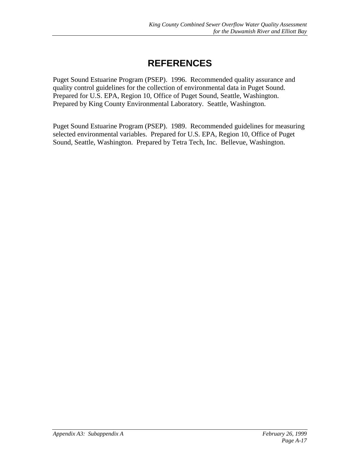# **REFERENCES**

Puget Sound Estuarine Program (PSEP). 1996. Recommended quality assurance and quality control guidelines for the collection of environmental data in Puget Sound. Prepared for U.S. EPA, Region 10, Office of Puget Sound, Seattle, Washington. Prepared by King County Environmental Laboratory. Seattle, Washington.

Puget Sound Estuarine Program (PSEP). 1989. Recommended guidelines for measuring selected environmental variables. Prepared for U.S. EPA, Region 10, Office of Puget Sound, Seattle, Washington. Prepared by Tetra Tech, Inc. Bellevue, Washington.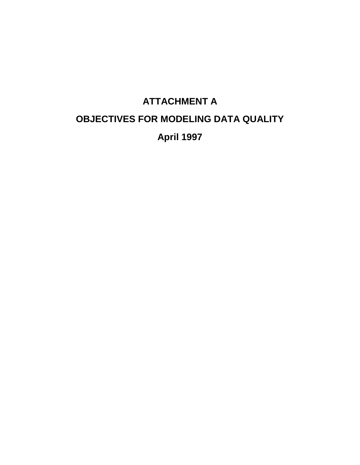# **ATTACHMENT A OBJECTIVES FOR MODELING DATA QUALITY April 1997**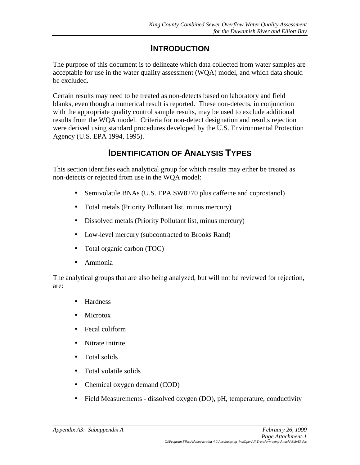## **INTRODUCTION**

The purpose of this document is to delineate which data collected from water samples are acceptable for use in the water quality assessment (WQA) model, and which data should be excluded.

Certain results may need to be treated as non-detects based on laboratory and field blanks, even though a numerical result is reported. These non-detects, in conjunction with the appropriate quality control sample results, may be used to exclude additional results from the WQA model. Criteria for non-detect designation and results rejection were derived using standard procedures developed by the U.S. Environmental Protection Agency (U.S. EPA 1994, 1995).

# **IDENTIFICATION OF ANALYSIS TYPES**

This section identifies each analytical group for which results may either be treated as non-detects or rejected from use in the WQA model:

- Semivolatile BNAs (U.S. EPA SW8270 plus caffeine and coprostanol)
- Total metals (Priority Pollutant list, minus mercury)
- Dissolved metals (Priority Pollutant list, minus mercury)
- Low-level mercury (subcontracted to Brooks Rand)
- Total organic carbon (TOC)
- Ammonia

The analytical groups that are also being analyzed, but will not be reviewed for rejection, are:

- Hardness
- Microtox
- Fecal coliform
- Nitrate+nitrite
- Total solids
- Total volatile solids
- Chemical oxygen demand (COD)
- Field Measurements dissolved oxygen (DO), pH, temperature, conductivity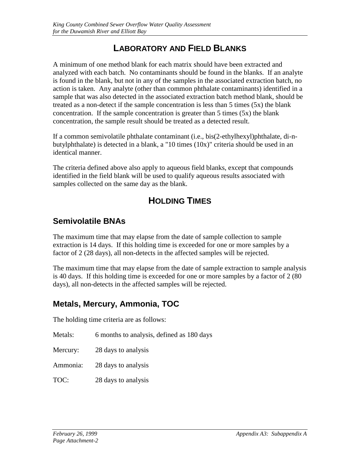## **LABORATORY AND FIELD BLANKS**

A minimum of one method blank for each matrix should have been extracted and analyzed with each batch. No contaminants should be found in the blanks. If an analyte is found in the blank, but not in any of the samples in the associated extraction batch, no action is taken. Any analyte (other than common phthalate contaminants) identified in a sample that was also detected in the associated extraction batch method blank, should be treated as a non-detect if the sample concentration is less than  $5$  times  $(5x)$  the blank concentration. If the sample concentration is greater than  $5$  times  $(5x)$  the blank concentration, the sample result should be treated as a detected result.

If a common semivolatile phthalate contaminant (i.e., bis(2-ethylhexyl)phthalate, di-nbutylphthalate) is detected in a blank, a "10 times (10x)" criteria should be used in an identical manner.

The criteria defined above also apply to aqueous field blanks, except that compounds identified in the field blank will be used to qualify aqueous results associated with samples collected on the same day as the blank.

# **HOLDING TIMES**

## **Semivolatile BNAs**

The maximum time that may elapse from the date of sample collection to sample extraction is 14 days. If this holding time is exceeded for one or more samples by a factor of 2 (28 days), all non-detects in the affected samples will be rejected.

The maximum time that may elapse from the date of sample extraction to sample analysis is 40 days. If this holding time is exceeded for one or more samples by a factor of 2 (80 days), all non-detects in the affected samples will be rejected.

## **Metals, Mercury, Ammonia, TOC**

The holding time criteria are as follows:

- Metals: 6 months to analysis, defined as 180 days
- Mercury: 28 days to analysis
- Ammonia: 28 days to analysis
- TOC: 28 days to analysis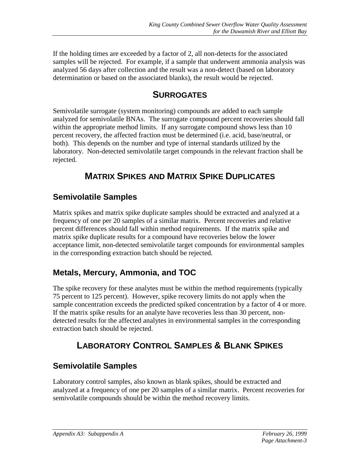If the holding times are exceeded by a factor of 2, all non-detects for the associated samples will be rejected. For example, if a sample that underwent ammonia analysis was analyzed 56 days after collection and the result was a non-detect (based on laboratory determination or based on the associated blanks), the result would be rejected.

# **SURROGATES**

Semivolatile surrogate (system monitoring) compounds are added to each sample analyzed for semivolatile BNAs. The surrogate compound percent recoveries should fall within the appropriate method limits. If any surrogate compound shows less than 10 percent recovery, the affected fraction must be determined (i.e. acid, base/neutral, or both). This depends on the number and type of internal standards utilized by the laboratory. Non-detected semivolatile target compounds in the relevant fraction shall be rejected.

# **MATRIX SPIKES AND MATRIX SPIKE DUPLICATES**

## **Semivolatile Samples**

Matrix spikes and matrix spike duplicate samples should be extracted and analyzed at a frequency of one per 20 samples of a similar matrix. Percent recoveries and relative percent differences should fall within method requirements. If the matrix spike and matrix spike duplicate results for a compound have recoveries below the lower acceptance limit, non-detected semivolatile target compounds for environmental samples in the corresponding extraction batch should be rejected.

## **Metals, Mercury, Ammonia, and TOC**

The spike recovery for these analytes must be within the method requirements (typically 75 percent to 125 percent). However, spike recovery limits do not apply when the sample concentration exceeds the predicted spiked concentration by a factor of 4 or more. If the matrix spike results for an analyte have recoveries less than 30 percent, nondetected results for the affected analytes in environmental samples in the corresponding extraction batch should be rejected.

# **LABORATORY CONTROL SAMPLES & BLANK SPIKES**

# **Semivolatile Samples**

Laboratory control samples, also known as blank spikes, should be extracted and analyzed at a frequency of one per 20 samples of a similar matrix. Percent recoveries for semivolatile compounds should be within the method recovery limits.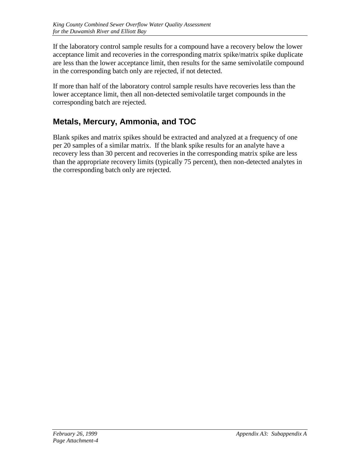If the laboratory control sample results for a compound have a recovery below the lower acceptance limit and recoveries in the corresponding matrix spike/matrix spike duplicate are less than the lower acceptance limit, then results for the same semivolatile compound in the corresponding batch only are rejected, if not detected.

If more than half of the laboratory control sample results have recoveries less than the lower acceptance limit, then all non-detected semivolatile target compounds in the corresponding batch are rejected.

## **Metals, Mercury, Ammonia, and TOC**

Blank spikes and matrix spikes should be extracted and analyzed at a frequency of one per 20 samples of a similar matrix. If the blank spike results for an analyte have a recovery less than 30 percent and recoveries in the corresponding matrix spike are less than the appropriate recovery limits (typically 75 percent), then non-detected analytes in the corresponding batch only are rejected.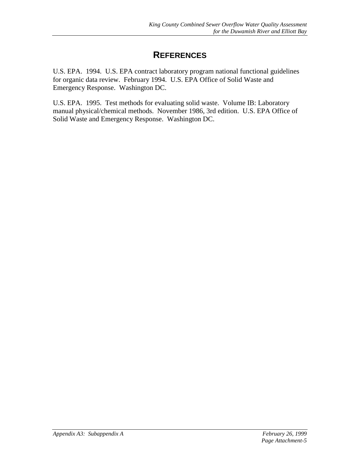## **REFERENCES**

U.S. EPA. 1994. U.S. EPA contract laboratory program national functional guidelines for organic data review. February 1994. U.S. EPA Office of Solid Waste and Emergency Response. Washington DC.

U.S. EPA. 1995. Test methods for evaluating solid waste. Volume IB: Laboratory manual physical/chemical methods. November 1986, 3rd edition. U.S. EPA Office of Solid Waste and Emergency Response. Washington DC.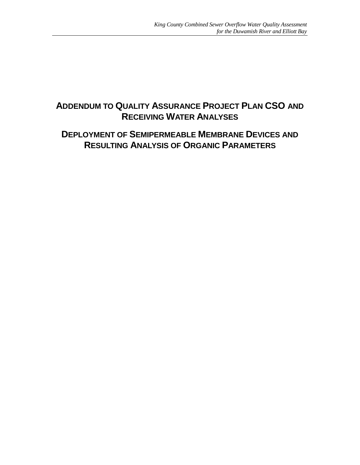## **ADDENDUM TO QUALITY ASSURANCE PROJECT PLAN CSO AND RECEIVING WATER ANALYSES**

## **DEPLOYMENT OF SEMIPERMEABLE MEMBRANE DEVICES AND RESULTING ANALYSIS OF ORGANIC PARAMETERS**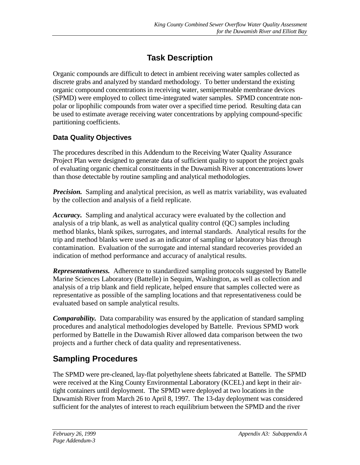# **Task Description**

Organic compounds are difficult to detect in ambient receiving water samples collected as discrete grabs and analyzed by standard methodology. To better understand the existing organic compound concentrations in receiving water, semipermeable membrane devices (SPMD) were employed to collect time-integrated water samples. SPMD concentrate nonpolar or lipophilic compounds from water over a specified time period. Resulting data can be used to estimate average receiving water concentrations by applying compound-specific partitioning coefficients.

#### **Data Quality Objectives**

The procedures described in this Addendum to the Receiving Water Quality Assurance Project Plan were designed to generate data of sufficient quality to support the project goals of evaluating organic chemical constituents in the Duwamish River at concentrations lower than those detectable by routine sampling and analytical methodologies.

*Precision.* Sampling and analytical precision, as well as matrix variability, was evaluated by the collection and analysis of a field replicate.

*Accuracy.* Sampling and analytical accuracy were evaluated by the collection and analysis of a trip blank, as well as analytical quality control (QC) samples including method blanks, blank spikes, surrogates, and internal standards. Analytical results for the trip and method blanks were used as an indicator of sampling or laboratory bias through contamination. Evaluation of the surrogate and internal standard recoveries provided an indication of method performance and accuracy of analytical results.

*Representativeness.* Adherence to standardized sampling protocols suggested by Battelle Marine Sciences Laboratory (Battelle) in Sequim, Washington, as well as collection and analysis of a trip blank and field replicate, helped ensure that samples collected were as representative as possible of the sampling locations and that representativeness could be evaluated based on sample analytical results.

*Comparability.* Data comparability was ensured by the application of standard sampling procedures and analytical methodologies developed by Battelle. Previous SPMD work performed by Battelle in the Duwamish River allowed data comparison between the two projects and a further check of data quality and representativeness.

## **Sampling Procedures**

The SPMD were pre-cleaned, lay-flat polyethylene sheets fabricated at Battelle. The SPMD were received at the King County Environmental Laboratory (KCEL) and kept in their airtight containers until deployment. The SPMD were deployed at two locations in the Duwamish River from March 26 to April 8, 1997. The 13-day deployment was considered sufficient for the analytes of interest to reach equilibrium between the SPMD and the river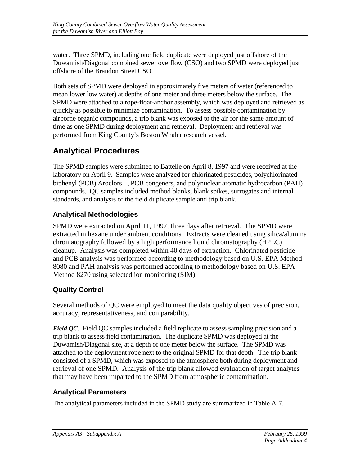water. Three SPMD, including one field duplicate were deployed just offshore of the Duwamish/Diagonal combined sewer overflow (CSO) and two SPMD were deployed just offshore of the Brandon Street CSO.

Both sets of SPMD were deployed in approximately five meters of water (referenced to mean lower low water) at depths of one meter and three meters below the surface. The SPMD were attached to a rope-float-anchor assembly, which was deployed and retrieved as quickly as possible to minimize contamination. To assess possible contamination by airborne organic compounds, a trip blank was exposed to the air for the same amount of time as one SPMD during deployment and retrieval. Deployment and retrieval was performed from King County's Boston Whaler research vessel.

# **Analytical Procedures**

The SPMD samples were submitted to Battelle on April 8, 1997 and were received at the laboratory on April 9. Samples were analyzed for chlorinated pesticides, polychlorinated biphenyl (PCB) Aroclors®, PCB congeners, and polynuclear aromatic hydrocarbon (PAH) compounds. QC samples included method blanks, blank spikes, surrogates and internal standards, and analysis of the field duplicate sample and trip blank.

## **Analytical Methodologies**

SPMD were extracted on April 11, 1997, three days after retrieval. The SPMD were extracted in hexane under ambient conditions. Extracts were cleaned using silica/alumina chromatography followed by a high performance liquid chromatography (HPLC) cleanup. Analysis was completed within 40 days of extraction. Chlorinated pesticide and PCB analysis was performed according to methodology based on U.S. EPA Method 8080 and PAH analysis was performed according to methodology based on U.S. EPA Method 8270 using selected ion monitoring (SIM).

## **Quality Control**

Several methods of QC were employed to meet the data quality objectives of precision, accuracy, representativeness, and comparability.

*Field QC.* Field QC samples included a field replicate to assess sampling precision and a trip blank to assess field contamination. The duplicate SPMD was deployed at the Duwamish/Diagonal site, at a depth of one meter below the surface. The SPMD was attached to the deployment rope next to the original SPMD for that depth. The trip blank consisted of a SPMD, which was exposed to the atmosphere both during deployment and retrieval of one SPMD. Analysis of the trip blank allowed evaluation of target analytes that may have been imparted to the SPMD from atmospheric contamination.

#### **Analytical Parameters**

The analytical parameters included in the SPMD study are summarized in Table A-7.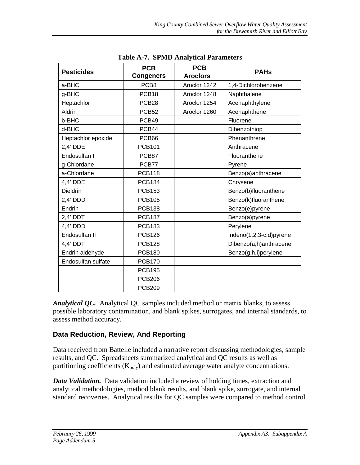| <b>Pesticides</b>  | <b>PCB</b><br><b>Congeners</b> | <b>PCB</b><br><b>Aroclors®</b> | <b>PAHs</b>             |
|--------------------|--------------------------------|--------------------------------|-------------------------|
| a-BHC              | PCB <sub>8</sub>               | Aroclor 1242                   | 1,4-Dichlorobenzene     |
| g-BHC              | PCB <sub>18</sub>              | Aroclor 1248                   | Naphthalene             |
| Heptachlor         | PCB <sub>28</sub>              | Aroclor 1254                   | Acenaphthylene          |
| Aldrin             | PCB <sub>52</sub>              | Aroclor 1260                   | Acenaphthene            |
| b-BHC              | PCB49                          |                                | Fluorene                |
| d-BHC              | PCB44                          |                                | Dibenzothiop            |
| Heptachlor epoxide | PCB66                          |                                | Phenanthrene            |
| $2,4'$ DDE         | <b>PCB101</b>                  |                                | Anthracene              |
| Endosulfan I       | PCB87                          |                                | Fluoranthene            |
| g-Chlordane        | PCB77                          |                                | Pyrene                  |
| a-Chlordane        | <b>PCB118</b>                  |                                | Benzo(a)anthracene      |
| 4,4' DDE           | <b>PCB184</b>                  |                                | Chrysene                |
| <b>Dieldrin</b>    | <b>PCB153</b>                  |                                | Benzo(b)fluoranthene    |
| $2,4'$ DDD         | <b>PCB105</b>                  |                                | Benzo(k)fluoranthene    |
| Endrin             | <b>PCB138</b>                  |                                | Benzo(e)pyrene          |
| $2,4'$ DDT         | <b>PCB187</b>                  |                                | Benzo(a)pyrene          |
| 4,4' DDD           | <b>PCB183</b>                  |                                | Perylene                |
| Endosulfan II      | <b>PCB126</b>                  |                                | Indeno(1,2,3-c,d)pyrene |
| 4,4' DDT           | <b>PCB128</b>                  |                                | Dibenzo(a,h)anthracene  |
| Endrin aldehyde    | <b>PCB180</b>                  |                                | Benzo(g,h,i)perylene    |
| Endosulfan sulfate | <b>PCB170</b>                  |                                |                         |
|                    | <b>PCB195</b>                  |                                |                         |
|                    | <b>PCB206</b>                  |                                |                         |
|                    | <b>PCB209</b>                  |                                |                         |

**Table A-7. SPMD Analytical Parameters**

*Analytical QC.* Analytical QC samples included method or matrix blanks, to assess possible laboratory contamination, and blank spikes, surrogates, and internal standards, to assess method accuracy.

#### **Data Reduction, Review, And Reporting**

Data received from Battelle included a narrative report discussing methodologies, sample results, and QC. Spreadsheets summarized analytical and QC results as well as partitioning coefficients  $(K_{poly})$  and estimated average water analyte concentrations.

*Data Validation.* Data validation included a review of holding times, extraction and analytical methodologies, method blank results, and blank spike, surrogate, and internal standard recoveries. Analytical results for QC samples were compared to method control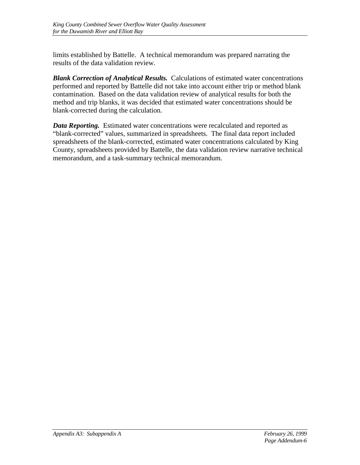limits established by Battelle. A technical memorandum was prepared narrating the results of the data validation review.

*Blank Correction of Analytical Results.* Calculations of estimated water concentrations performed and reported by Battelle did not take into account either trip or method blank contamination. Based on the data validation review of analytical results for both the method and trip blanks, it was decided that estimated water concentrations should be blank-corrected during the calculation.

*Data Reporting.* Estimated water concentrations were recalculated and reported as "blank-corrected" values, summarized in spreadsheets. The final data report included spreadsheets of the blank-corrected, estimated water concentrations calculated by King County, spreadsheets provided by Battelle, the data validation review narrative technical memorandum, and a task-summary technical memorandum.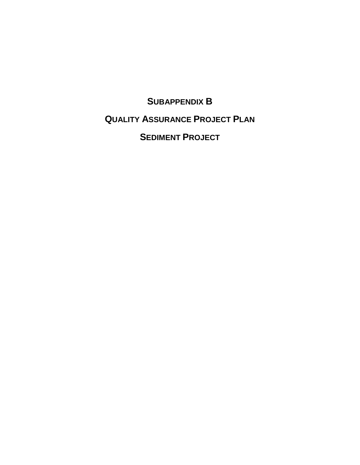# **SUBAPPENDIX B QUALITY ASSURANCE PROJECT PLAN SEDIMENT PROJECT**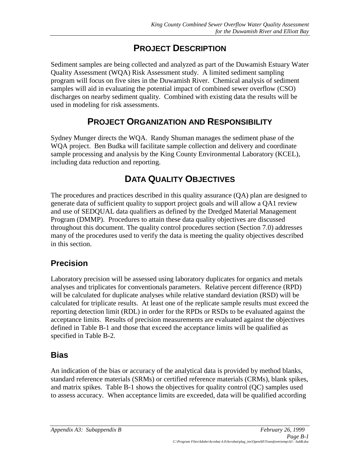# **PROJECT DESCRIPTION**

Sediment samples are being collected and analyzed as part of the Duwamish Estuary Water Quality Assessment (WQA) Risk Assessment study. A limited sediment sampling program will focus on five sites in the Duwamish River. Chemical analysis of sediment samples will aid in evaluating the potential impact of combined sewer overflow (CSO) discharges on nearby sediment quality. Combined with existing data the results will be used in modeling for risk assessments.

# **PROJECT ORGANIZATION AND RESPONSIBILITY**

Sydney Munger directs the WQA. Randy Shuman manages the sediment phase of the WQA project. Ben Budka will facilitate sample collection and delivery and coordinate sample processing and analysis by the King County Environmental Laboratory (KCEL), including data reduction and reporting.

# **DATA QUALITY OBJECTIVES**

The procedures and practices described in this quality assurance (QA) plan are designed to generate data of sufficient quality to support project goals and will allow a QA1 review and use of SEDQUAL data qualifiers as defined by the Dredged Material Management Program (DMMP). Procedures to attain these data quality objectives are discussed throughout this document. The quality control procedures section (Section 7.0) addresses many of the procedures used to verify the data is meeting the quality objectives described in this section.

## **Precision**

Laboratory precision will be assessed using laboratory duplicates for organics and metals analyses and triplicates for conventionals parameters. Relative percent difference (RPD) will be calculated for duplicate analyses while relative standard deviation (RSD) will be calculated for triplicate results. At least one of the replicate sample results must exceed the reporting detection limit (RDL) in order for the RPDs or RSDs to be evaluated against the acceptance limits. Results of precision measurements are evaluated against the objectives defined in Table B-1 and those that exceed the acceptance limits will be qualified as specified in Table B-2.

## **Bias**

An indication of the bias or accuracy of the analytical data is provided by method blanks, standard reference materials (SRMs) or certified reference materials (CRMs), blank spikes, and matrix spikes. Table B-1 shows the objectives for quality control (QC) samples used to assess accuracy. When acceptance limits are exceeded, data will be qualified according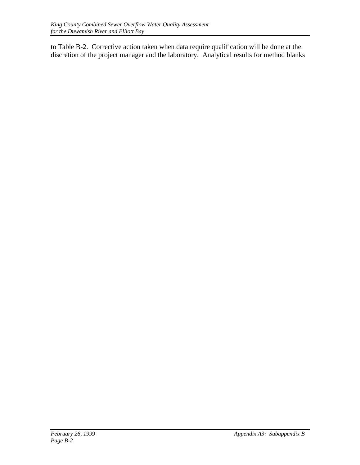to Table B-2. Corrective action taken when data require qualification will be done at the discretion of the project manager and the laboratory. Analytical results for method blanks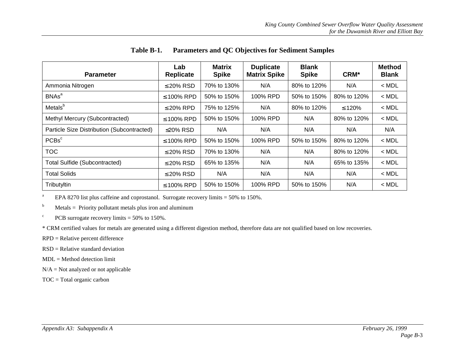| <b>Parameter</b>                           | Lab<br><b>Replicate</b> | <b>Matrix</b><br><b>Spike</b> | <b>Duplicate</b><br><b>Matrix Spike</b> | <b>Blank</b><br><b>Spike</b> | CRM*         | <b>Method</b><br><b>Blank</b> |
|--------------------------------------------|-------------------------|-------------------------------|-----------------------------------------|------------------------------|--------------|-------------------------------|
| Ammonia Nitrogen                           | $\leq$ 20% RSD          | 70% to 130%                   | N/A                                     | 80% to 120%                  | N/A          | $<$ MDL                       |
| <b>BNAs<sup>a</sup></b>                    | $\leq$ 100% RPD         | 50% to 150%                   | 100% RPD                                | 50% to 150%                  | 80% to 120%  | $<$ MDL                       |
| Metals <sup>b</sup>                        | $\leq$ 20% RPD          | 75% to 125%                   | N/A                                     | 80% to 120%                  | $\leq 120\%$ | $<$ MDL                       |
| Methyl Mercury (Subcontracted)             | $\leq$ 100% RPD         | 50% to 150%                   | 100% RPD                                | N/A                          | 80% to 120%  | $<$ MDL                       |
| Particle Size Distribution (Subcontracted) | $\leq$ 20% RSD          | N/A                           | N/A                                     | N/A                          | N/A          | N/A                           |
| PCBs <sup>c</sup>                          | $\leq$ 100% RPD         | 50% to 150%                   | 100% RPD                                | 50% to 150%                  | 80% to 120%  | $<$ MDL                       |
| <b>TOC</b>                                 | $\leq$ 20% RSD          | 70% to 130%                   | N/A                                     | N/A                          | 80% to 120%  | $<$ MDL                       |
| <b>Total Sulfide (Subcontracted)</b>       | $\leq$ 20% RSD          | 65% to 135%                   | N/A                                     | N/A                          | 65% to 135%  | $<$ MDL                       |
| <b>Total Solids</b>                        | $\leq$ 20% RSD          | N/A                           | N/A                                     | N/A                          | N/A          | $<$ MDL                       |
| Tributyltin                                | $\leq$ 100% RPD         | 50% to 150%                   | 100% RPD                                | 50% to 150%                  | N/A          | $<$ MDL                       |

#### **Table B-1. Parameters and QC Objectives for Sediment Samples**

<sup>a</sup> EPA 8270 list plus caffeine and coprostanol. Surrogate recovery limits = 50% to 150%.

 $<sup>b</sup>$  Metals = Priority pollutant metals plus iron and aluminum</sup>

<sup>c</sup> PCB surrogate recovery limits  $=$  50% to 150%.

\* CRM certified values for metals are generated using a different digestion method, therefore data are not qualified based on low recoveries.

- RPD = Relative percent difference
- $RSD = Relative standard deviation$
- MDL = Method detection limit
- $N/A = Not$  analyzed or not applicable
- TOC = Total organic carbon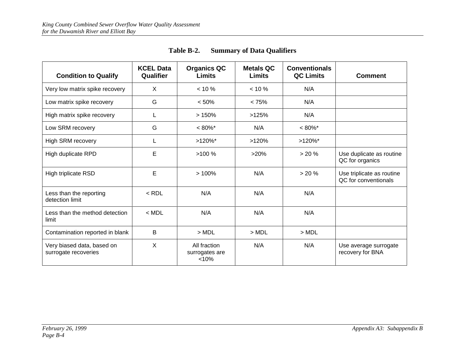| <b>Condition to Qualify</b>                        | <b>KCEL Data</b><br>Qualifier | <b>Organics QC</b><br><b>Limits</b>     | <b>Metals QC</b><br><b>Limits</b> | <b>Conventionals</b><br><b>QC Limits</b> | <b>Comment</b>                                    |
|----------------------------------------------------|-------------------------------|-----------------------------------------|-----------------------------------|------------------------------------------|---------------------------------------------------|
| Very low matrix spike recovery                     | X                             | $< 10 \%$                               | $< 10 \%$                         | N/A                                      |                                                   |
| Low matrix spike recovery                          | G                             | < 50%                                   | < 75%                             | N/A                                      |                                                   |
| High matrix spike recovery                         | L                             | >150%                                   | >125%                             | N/A                                      |                                                   |
| Low SRM recovery                                   | G                             | $< 80\%$ *                              | N/A                               | $< 80\%$ *                               |                                                   |
| <b>High SRM recovery</b>                           | L                             | $>120\%$ *                              | >120%                             | $>120\%$ *                               |                                                   |
| High duplicate RPD                                 | Е                             | $>100\%$                                | >20%                              | > 20%                                    | Use duplicate as routine<br>QC for organics       |
| High triplicate RSD                                | E                             | >100%                                   | N/A                               | > 20%                                    | Use triplicate as routine<br>QC for conventionals |
| Less than the reporting<br>detection limit         | $<$ RDL                       | N/A                                     | N/A                               | N/A                                      |                                                   |
| Less than the method detection<br>limit            | $<$ MDL                       | N/A                                     | N/A                               | N/A                                      |                                                   |
| Contamination reported in blank                    | B                             | $>$ MDL                                 | > MDL                             | $>$ MDL                                  |                                                   |
| Very biased data, based on<br>surrogate recoveries | X                             | All fraction<br>surrogates are<br>< 10% | N/A                               | N/A                                      | Use average surrogate<br>recovery for BNA         |

**Table B-2. Summary of Data Qualifiers**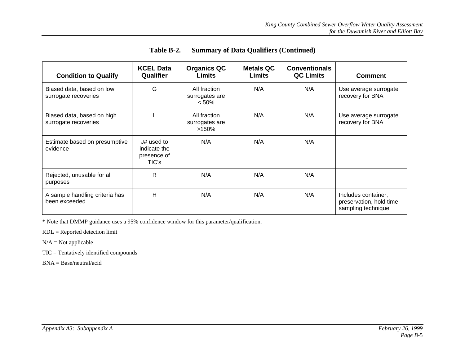| <b>Condition to Qualify</b>                        | <b>KCEL Data</b><br>Qualifier                      | <b>Organics QC</b><br><b>Limits</b>        | <b>Metals QC</b><br>Limits | <b>Conventionals</b><br><b>QC Limits</b> | <b>Comment</b>                                                        |
|----------------------------------------------------|----------------------------------------------------|--------------------------------------------|----------------------------|------------------------------------------|-----------------------------------------------------------------------|
| Biased data, based on low<br>surrogate recoveries  | G                                                  | All fraction<br>surrogates are<br>$< 50\%$ | N/A                        | N/A                                      | Use average surrogate<br>recovery for BNA                             |
| Biased data, based on high<br>surrogate recoveries |                                                    | All fraction<br>surrogates are<br>$>150\%$ | N/A                        | N/A                                      | Use average surrogate<br>recovery for BNA                             |
| Estimate based on presumptive<br>evidence          | J# used to<br>indicate the<br>presence of<br>TIC's | N/A                                        | N/A                        | N/A                                      |                                                                       |
| Rejected, unusable for all<br>purposes             | R                                                  | N/A                                        | N/A                        | N/A                                      |                                                                       |
| A sample handling criteria has<br>been exceeded    | H                                                  | N/A                                        | N/A                        | N/A                                      | Includes container,<br>preservation, hold time,<br>sampling technique |

| Table B-2. |  |  |  | <b>Summary of Data Qualifiers (Continued)</b> |
|------------|--|--|--|-----------------------------------------------|
|------------|--|--|--|-----------------------------------------------|

\* Note that DMMP guidance uses a 95% confidence window for this parameter/qualification.

RDL = Reported detection limit

TIC = Tentatively identified compounds

BNA = Base/neutral/acid

 $N/A = Not$  applicable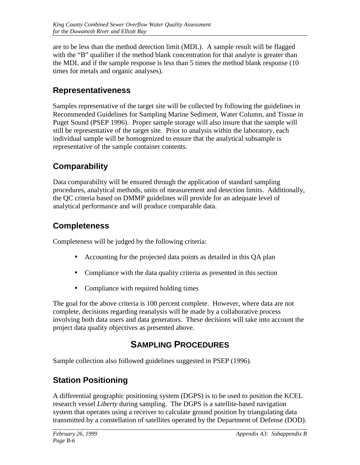are to be less than the method detection limit (MDL). A sample result will be flagged with the "B" qualifier if the method blank concentration for that analyte is greater than the MDL and if the sample response is less than 5 times the method blank response (10 times for metals and organic analyses).

#### **Representativeness**

Samples representative of the target site will be collected by following the guidelines in Recommended Guidelines for Sampling Marine Sediment, Water Column, and Tissue in Puget Sound (PSEP 1996). Proper sample storage will also insure that the sample will still be representative of the target site. Prior to analysis within the laboratory, each individual sample will be homogenized to ensure that the analytical subsample is representative of the sample container contents.

## **Comparability**

Data comparability will be ensured through the application of standard sampling procedures, analytical methods, units of measurement and detection limits. Additionally, the QC criteria based on DMMP guidelines will provide for an adequate level of analytical performance and will produce comparable data.

## **Completeness**

Completeness will be judged by the following criteria:

- Accounting for the projected data points as detailed in this QA plan
- Compliance with the data quality criteria as presented in this section
- Compliance with required holding times

The goal for the above criteria is 100 percent complete. However, where data are not complete, decisions regarding reanalysis will be made by a collaborative process involving both data users and data generators. These decisions will take into account the project data quality objectives as presented above.

# **SAMPLING PROCEDURES**

Sample collection also followed guidelines suggested in PSEP (1996).

## **Station Positioning**

A differential geographic positioning system (DGPS) is to be used to position the KCEL research vessel *Liberty* during sampling. The DGPS is a satellite-based navigation system that operates using a receiver to calculate ground position by triangulating data transmitted by a constellation of satellites operated by the Department of Defense (DOD).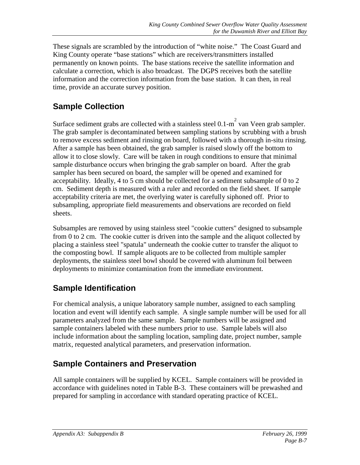These signals are scrambled by the introduction of "white noise." The Coast Guard and King County operate "base stations" which are receivers/transmitters installed permanently on known points. The base stations receive the satellite information and calculate a correction, which is also broadcast. The DGPS receives both the satellite information and the correction information from the base station. It can then, in real time, provide an accurate survey position.

# **Sample Collection**

Surface sediment grabs are collected with a stainless steel  $0.1$ -m<sup>2</sup> van Veen grab sampler. The grab sampler is decontaminated between sampling stations by scrubbing with a brush to remove excess sediment and rinsing on board, followed with a thorough in-situ rinsing. After a sample has been obtained, the grab sampler is raised slowly off the bottom to allow it to close slowly. Care will be taken in rough conditions to ensure that minimal sample disturbance occurs when bringing the grab sampler on board. After the grab sampler has been secured on board, the sampler will be opened and examined for acceptability. Ideally, 4 to 5 cm should be collected for a sediment subsample of 0 to 2 cm. Sediment depth is measured with a ruler and recorded on the field sheet. If sample acceptability criteria are met, the overlying water is carefully siphoned off. Prior to subsampling, appropriate field measurements and observations are recorded on field sheets.

Subsamples are removed by using stainless steel "cookie cutters" designed to subsample from 0 to 2 cm. The cookie cutter is driven into the sample and the aliquot collected by placing a stainless steel "spatula" underneath the cookie cutter to transfer the aliquot to the composting bowl. If sample aliquots are to be collected from multiple sampler deployments, the stainless steel bowl should be covered with aluminum foil between deployments to minimize contamination from the immediate environment.

## **Sample Identification**

For chemical analysis, a unique laboratory sample number, assigned to each sampling location and event will identify each sample. A single sample number will be used for all parameters analyzed from the same sample. Sample numbers will be assigned and sample containers labeled with these numbers prior to use. Sample labels will also include information about the sampling location, sampling date, project number, sample matrix, requested analytical parameters, and preservation information.

## **Sample Containers and Preservation**

All sample containers will be supplied by KCEL. Sample containers will be provided in accordance with guidelines noted in Table B-3. These containers will be prewashed and prepared for sampling in accordance with standard operating practice of KCEL.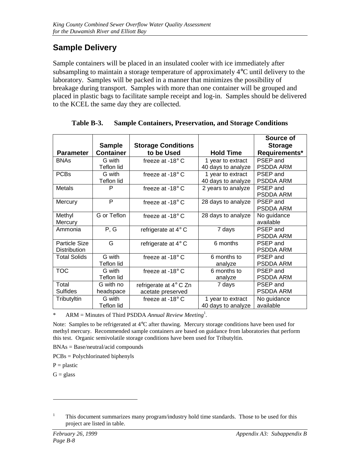# **Sample Delivery**

Sample containers will be placed in an insulated cooler with ice immediately after subsampling to maintain a storage temperature of approximately 4°C until delivery to the laboratory. Samples will be packed in a manner that minimizes the possibility of breakage during transport. Samples with more than one container will be grouped and placed in plastic bags to facilitate sample receipt and log-in. Samples should be delivered to the KCEL the same day they are collected.

|                  |                            |                        | Source of        |
|------------------|----------------------------|------------------------|------------------|
| <b>Sample</b>    | <b>Storage Conditions</b>  |                        | <b>Storage</b>   |
| <b>Container</b> | to be Used                 | <b>Hold Time</b>       | Requirements*    |
| G with           | freeze at -18 $\degree$ C  | 1 year to extract      | PSEP and         |
| Teflon lid       |                            | 40 days to analyze     | PSDDA ARM        |
| G with           | freeze at $-18^\circ$ C    | 1 year to extract      | PSEP and         |
| Teflon lid       |                            | 40 days to analyze     | <b>PSDDA ARM</b> |
| P                | freeze at -18 $\degree$ C  | 2 years to analyze     | PSEP and         |
|                  |                            |                        | PSDDA ARM        |
| P                | freeze at -18 $\degree$ C  | 28 days to analyze     | PSEP and         |
|                  |                            |                        | <b>PSDDA ARM</b> |
| G or Teflon      | freeze at -18 $^{\circ}$ C | 28 days to analyze     | No guidance      |
|                  |                            |                        | available        |
| P, G             | refrigerate at $4^\circ$ C | 7 days                 | PSEP and         |
|                  |                            |                        | <b>PSDDA ARM</b> |
| G                | refrigerate at $4^\circ$ C | 6 months               | PSEP and         |
|                  |                            |                        | <b>PSDDA ARM</b> |
| G with           | freeze at $-18^\circ$ C    | 6 months to            | PSEP and         |
| Teflon lid       |                            | analyze                | <b>PSDDA ARM</b> |
| G with           | freeze at $-18^\circ$ C    | 6 months to            | PSEP and         |
| Teflon lid       |                            | analyze                | <b>PSDDA ARM</b> |
| G with no        |                            | 7 days                 | PSEP and         |
| headspace        | acetate preserved          |                        | PSDDA ARM        |
| G with           | freeze at $-18^\circ$ C    | 1 year to extract      | No guidance      |
| Teflon lid       |                            | 40 days to analyze     | available        |
|                  |                            | refrigerate at 4° C Zn |                  |

**Table B-3. Sample Containers, Preservation, and Storage Conditions**

\* ARM = Minutes of Third PSDDA *Annual Review Meeting*<sup>1</sup> *.*

Note: Samples to be refrigerated at 4°C after thawing. Mercury storage conditions have been used for methyl mercury. Recommended sample containers are based on guidance from laboratories that perform this test. Organic semivolatile storage conditions have been used for Tributyltin.

BNAs = Base/neutral/acid compounds

PCBs = Polychlorinated biphenyls

 $P =$  plastic

 $G = glass$ 

 $\overline{a}$ 

<sup>&</sup>lt;sup>1</sup> This document summarizes many program/industry hold time standards. Those to be used for this project are listed in table.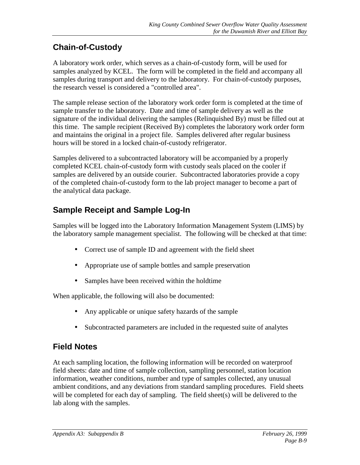# **Chain-of-Custody**

A laboratory work order*,* which serves as a chain-of-custody form, will be used for samples analyzed by KCEL. The form will be completed in the field and accompany all samples during transport and delivery to the laboratory. For chain-of-custody purposes, the research vessel is considered a "controlled area".

The sample release section of the laboratory work order form is completed at the time of sample transfer to the laboratory. Date and time of sample delivery as well as the signature of the individual delivering the samples (Relinquished By) must be filled out at this time. The sample recipient (Received By) completes the laboratory work order form and maintains the original in a project file. Samples delivered after regular business hours will be stored in a locked chain-of-custody refrigerator.

Samples delivered to a subcontracted laboratory will be accompanied by a properly completed KCEL chain-of-custody form with custody seals placed on the cooler if samples are delivered by an outside courier. Subcontracted laboratories provide a copy of the completed chain-of-custody form to the lab project manager to become a part of the analytical data package.

# **Sample Receipt and Sample Log-In**

Samples will be logged into the Laboratory Information Management System (LIMS) by the laboratory sample management specialist. The following will be checked at that time:

- Correct use of sample ID and agreement with the field sheet
- Appropriate use of sample bottles and sample preservation
- Samples have been received within the holdtime

When applicable, the following will also be documented:

- Any applicable or unique safety hazards of the sample
- Subcontracted parameters are included in the requested suite of analytes

## **Field Notes**

At each sampling location, the following information will be recorded on waterproof field sheets: date and time of sample collection, sampling personnel, station location information, weather conditions, number and type of samples collected, any unusual ambient conditions, and any deviations from standard sampling procedures. Field sheets will be completed for each day of sampling. The field sheet(s) will be delivered to the lab along with the samples.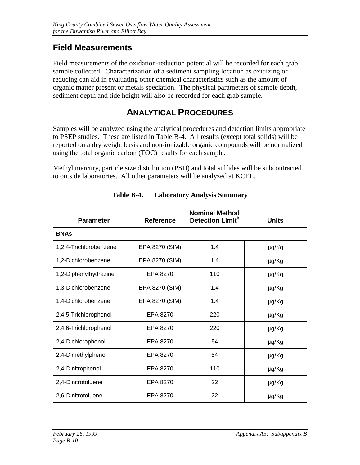## **Field Measurements**

Field measurements of the oxidation-reduction potential will be recorded for each grab sample collected. Characterization of a sediment sampling location as oxidizing or reducing can aid in evaluating other chemical characteristics such as the amount of organic matter present or metals speciation. The physical parameters of sample depth, sediment depth and tide height will also be recorded for each grab sample.

## **ANALYTICAL PROCEDURES**

Samples will be analyzed using the analytical procedures and detection limits appropriate to PSEP studies. These are listed in Table B-4. All results (except total solids) will be reported on a dry weight basis and non-ionizable organic compounds will be normalized using the total organic carbon (TOC) results for each sample.

Methyl mercury, particle size distribution (PSD) and total sulfides will be subcontracted to outside laboratories. All other parameters will be analyzed at KCEL.

| <b>Parameter</b>       | <b>Reference</b> | <b>Nominal Method</b><br>Detection Limit <sup>b</sup> | <b>Units</b> |
|------------------------|------------------|-------------------------------------------------------|--------------|
| <b>BNAs</b>            |                  |                                                       |              |
| 1,2,4-Trichlorobenzene | EPA 8270 (SIM)   | 1.4                                                   | µg/Kg        |
| 1,2-Dichlorobenzene    | EPA 8270 (SIM)   | 1.4                                                   | μg/Kg        |
| 1,2-Diphenylhydrazine  | EPA 8270         | 110                                                   | µg/Kg        |
| 1,3-Dichlorobenzene    | EPA 8270 (SIM)   | 1.4                                                   | μg/Kg        |
| 1,4-Dichlorobenzene    | EPA 8270 (SIM)   | 1.4                                                   | µg/Kg        |
| 2,4,5-Trichlorophenol  | EPA 8270         | 220                                                   | μg/Kg        |
| 2,4,6-Trichlorophenol  | EPA 8270         | 220                                                   | μg/Kg        |
| 2,4-Dichlorophenol     | EPA 8270         | 54                                                    | μg/Kg        |
| 2,4-Dimethylphenol     | EPA 8270         | 54                                                    | μg/Kg        |
| 2,4-Dinitrophenol      | EPA 8270         | 110                                                   | μg/Kg        |
| 2,4-Dinitrotoluene     | EPA 8270         | 22                                                    | μg/Kg        |
| 2,6-Dinitrotoluene     | EPA 8270         | 22                                                    | µg/Kg        |

**Table B-4. Laboratory Analysis Summary**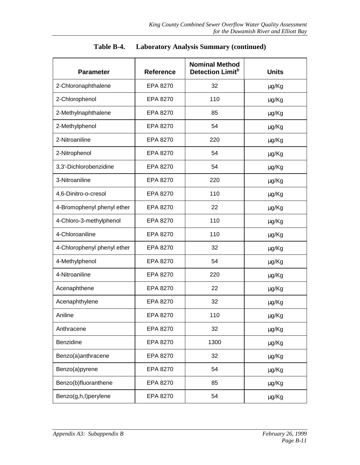| <b>Parameter</b>            | <b>Reference</b> | <b>Nominal Method</b><br>Detection Limit <sup>b</sup> | <b>Units</b> |
|-----------------------------|------------------|-------------------------------------------------------|--------------|
| 2-Chloronaphthalene         | EPA 8270         | 32                                                    | μg/Kg        |
| 2-Chlorophenol              | EPA 8270         | 110                                                   | μg/Kg        |
| 2-Methylnaphthalene         | EPA 8270         | 85                                                    | μg/Kg        |
| 2-Methylphenol              | EPA 8270         | 54                                                    | μg/Kg        |
| 2-Nitroaniline              | EPA 8270         | 220                                                   | µg/Kg        |
| 2-Nitrophenol               | EPA 8270         | 54                                                    | μg/Kg        |
| 3,3'-Dichlorobenzidine      | EPA 8270         | 54                                                    | μg/Kg        |
| 3-Nitroaniline              | EPA 8270         | 220                                                   | μg/Kg        |
| 4,6-Dinitro-o-cresol        | EPA 8270         | 110                                                   | µg/Kg        |
| 4-Bromophenyl phenyl ether  | EPA 8270         | 22                                                    | μg/Kg        |
| 4-Chloro-3-methylphenol     | EPA 8270         | 110                                                   | μg/Kg        |
| 4-Chloroaniline             | EPA 8270         | 110                                                   | μg/Kg        |
| 4-Chlorophenyl phenyl ether | EPA 8270         | 32                                                    | μg/Kg        |
| 4-Methylphenol              | EPA 8270         | 54                                                    | μg/Kg        |
| 4-Nitroaniline              | EPA 8270         | 220                                                   | µg/Kg        |
| Acenaphthene                | EPA 8270         | 22                                                    | μg/Kg        |
| Acenaphthylene              | EPA 8270         | 32                                                    | μg/Kg        |
| Aniline                     | EPA 8270         | 110                                                   | µg/Kg        |
| Anthracene                  | EPA 8270         | 32                                                    | μg/Kg        |
| Benzidine                   | EPA 8270         | 1300                                                  | μg/Kg        |
| Benzo(a)anthracene          | EPA 8270         | 32                                                    | μg/Kg        |
| Benzo(a)pyrene              | EPA 8270         | 54                                                    | μg/Kg        |
| Benzo(b)fluoranthene        | EPA 8270         | 85                                                    | μg/Kg        |
| Benzo(g,h,l)perylene        | EPA 8270         | 54                                                    | μg/Kg        |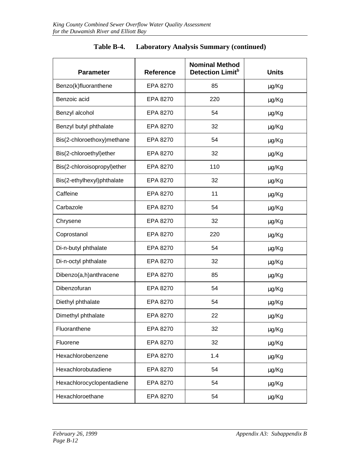| <b>Parameter</b>            | <b>Reference</b> | <b>Nominal Method</b><br>Detection Limit <sup>b</sup> | <b>Units</b> |
|-----------------------------|------------------|-------------------------------------------------------|--------------|
| Benzo(k)fluoranthene        | EPA 8270         | 85                                                    | μg/Kg        |
| Benzoic acid                | EPA 8270         | 220                                                   | μg/Kg        |
| Benzyl alcohol              | EPA 8270         | 54                                                    | μg/Kg        |
| Benzyl butyl phthalate      | EPA 8270         | 32                                                    | μg/Kg        |
| Bis(2-chloroethoxy)methane  | EPA 8270         | 54                                                    | μg/Kg        |
| Bis(2-chloroethyl)ether     | EPA 8270         | 32                                                    | μg/Kg        |
| Bis(2-chloroisopropyl)ether | EPA 8270         | 110                                                   | µg/Kg        |
| Bis(2-ethylhexyl)phthalate  | EPA 8270         | 32                                                    | μg/Kg        |
| Caffeine                    | EPA 8270         | 11                                                    | µg/Kg        |
| Carbazole                   | EPA 8270         | 54                                                    | μg/Kg        |
| Chrysene                    | EPA 8270         | 32                                                    | μg/Kg        |
| Coprostanol                 | EPA 8270         | 220                                                   | μg/Kg        |
| Di-n-butyl phthalate        | EPA 8270         | 54                                                    | μg/Kg        |
| Di-n-octyl phthalate        | EPA 8270         | 32                                                    | μg/Kg        |
| Dibenzo(a,h)anthracene      | EPA 8270         | 85                                                    | μg/Kg        |
| Dibenzofuran                | EPA 8270         | 54                                                    | µg/Kg        |
| Diethyl phthalate           | EPA 8270         | 54                                                    | μg/Kg        |
| Dimethyl phthalate          | EPA 8270         | 22                                                    | µg/Kg        |
| Fluoranthene                | EPA 8270         | 32                                                    | µg/Kg        |
| Fluorene                    | EPA 8270         | 32                                                    | μg/Kg        |
| Hexachlorobenzene           | EPA 8270         | 1.4                                                   | μg/Kg        |
| Hexachlorobutadiene         | EPA 8270         | 54                                                    | µg/Kg        |
| Hexachlorocyclopentadiene   | EPA 8270         | 54                                                    | μg/Kg        |
| Hexachloroethane            | EPA 8270         | 54                                                    | μg/Kg        |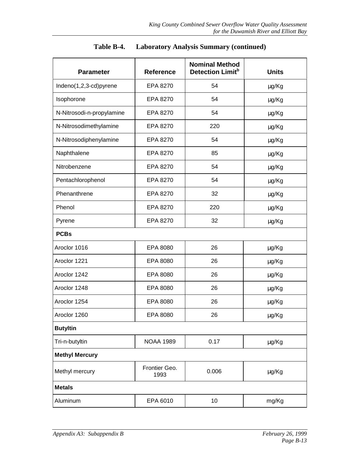| <b>Parameter</b>          | <b>Reference</b>      | <b>Nominal Method</b><br>Detection Limit <sup>b</sup> | <b>Units</b> |
|---------------------------|-----------------------|-------------------------------------------------------|--------------|
| Indeno(1,2,3-cd)pyrene    | EPA 8270              | 54                                                    | μg/Kg        |
| Isophorone                | EPA 8270              | 54                                                    | μg/Kg        |
| N-Nitrosodi-n-propylamine | EPA 8270              | 54                                                    | µg/Kg        |
| N-Nitrosodimethylamine    | EPA 8270              | 220                                                   | μg/Kg        |
| N-Nitrosodiphenylamine    | EPA 8270              | 54                                                    | µg/Kg        |
| Naphthalene               | EPA 8270              | 85                                                    | µg/Kg        |
| Nitrobenzene              | EPA 8270              | 54                                                    | μg/Kg        |
| Pentachlorophenol         | EPA 8270              | 54                                                    | µg/Kg        |
| Phenanthrene              | EPA 8270              | 32                                                    | µg/Kg        |
| Phenol                    | EPA 8270              | 220                                                   | μg/Kg        |
| Pyrene                    | EPA 8270              | 32                                                    | μg/Kg        |
| <b>PCBs</b>               |                       |                                                       |              |
| Aroclor 1016              | EPA 8080              | 26                                                    | μg/Kg        |
| Aroclor 1221              | EPA 8080              | 26                                                    | μg/Kg        |
| Aroclor 1242              | EPA 8080              | 26                                                    | μg/Kg        |
| Aroclor 1248              | EPA 8080              | 26                                                    | μg/Kg        |
| Aroclor 1254              | EPA 8080              | 26                                                    | μg/Kg        |
| Aroclor 1260              | EPA 8080              | 26                                                    | µg/Kg        |
| <b>Butyltin</b>           |                       |                                                       |              |
| Tri-n-butyltin            | <b>NOAA 1989</b>      | 0.17                                                  | μg/Kg        |
| <b>Methyl Mercury</b>     |                       |                                                       |              |
| Methyl mercury            | Frontier Geo.<br>1993 | 0.006                                                 | µg/Kg        |
| <b>Metals</b>             |                       |                                                       |              |
| Aluminum                  | EPA 6010              | 10                                                    | mg/Kg        |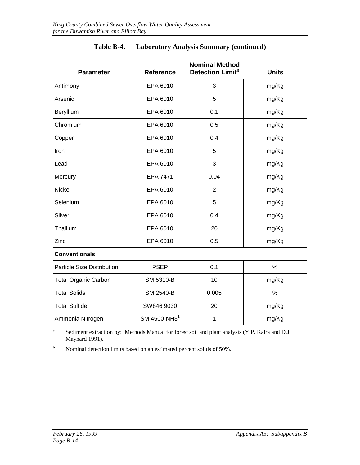| <b>Parameter</b>                  | Reference                | <b>Nominal Method</b><br>Detection Limit <sup>b</sup> | <b>Units</b> |
|-----------------------------------|--------------------------|-------------------------------------------------------|--------------|
| Antimony                          | EPA 6010                 | 3                                                     | mg/Kg        |
| Arsenic                           | EPA 6010                 | 5                                                     | mg/Kg        |
| Beryllium                         | EPA 6010                 | 0.1                                                   | mg/Kg        |
| Chromium                          | EPA 6010                 | 0.5                                                   | mg/Kg        |
| Copper                            | EPA 6010                 | 0.4                                                   | mg/Kg        |
| Iron                              | EPA 6010                 | 5                                                     | mg/Kg        |
| Lead                              | EPA 6010                 | 3                                                     | mg/Kg        |
| Mercury                           | <b>EPA 7471</b>          | 0.04                                                  | mg/Kg        |
| Nickel                            | EPA 6010                 | $\overline{2}$                                        | mg/Kg        |
| Selenium                          | EPA 6010                 | 5                                                     | mg/Kg        |
| Silver                            | EPA 6010                 | 0.4                                                   | mg/Kg        |
| Thallium                          | EPA 6010                 | 20                                                    | mg/Kg        |
| Zinc                              | EPA 6010                 | 0.5                                                   | mg/Kg        |
| <b>Conventionals</b>              |                          |                                                       |              |
| <b>Particle Size Distribution</b> | <b>PSEP</b>              | 0.1                                                   | %            |
| <b>Total Organic Carbon</b>       | SM 5310-B                | 10                                                    | mg/Kg        |
| <b>Total Solids</b>               | SM 2540-B                | 0.005                                                 | $\%$         |
| <b>Total Sulfide</b>              | SW846 9030               | 20                                                    | mg/Kg        |
| Ammonia Nitrogen                  | SM 4500-NH3 <sup>1</sup> | $\mathbf 1$                                           | mg/Kg        |

| Table B-4. |  | <b>Laboratory Analysis Summary (continued)</b> |  |
|------------|--|------------------------------------------------|--|
|------------|--|------------------------------------------------|--|

<sup>a</sup> Sediment extraction by: Methods Manual for forest soil and plant analysis (Y.P. Kalra and D.J. Maynard 1991).

b Nominal detection limits based on an estimated percent solids of 50%.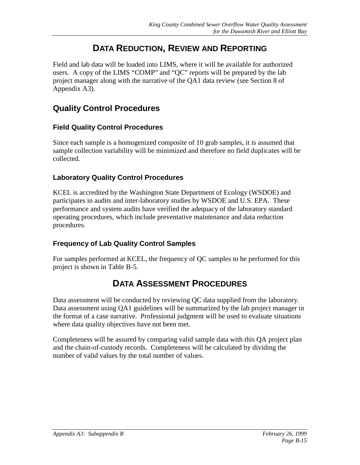## **DATA REDUCTION, REVIEW AND REPORTING**

Field and lab data will be loaded into LIMS, where it will be available for authorized users. A copy of the LIMS "COMP" and "QC" reports will be prepared by the lab project manager along with the narrative of the QA1 data review (see Section 8 of Appendix A3).

#### **Quality Control Procedures**

#### **Field Quality Control Procedures**

Since each sample is a homogenized composite of 10 grab samples, it is assumed that sample collection variability will be minimized and therefore no field duplicates will be collected.

#### **Laboratory Quality Control Procedures**

KCEL is accredited by the Washington State Department of Ecology (WSDOE) and participates in audits and inter-laboratory studies by WSDOE and U.S. EPA. These performance and system audits have verified the adequacy of the laboratory standard operating procedures, which include preventative maintenance and data reduction procedures.

#### **Frequency of Lab Quality Control Samples**

For samples performed at KCEL, the frequency of QC samples to be performed for this project is shown in Table B-5.

## **DATA ASSESSMENT PROCEDURES**

Data assessment will be conducted by reviewing QC data supplied from the laboratory. Data assessment using QA1 guidelines will be summarized by the lab project manager in the format of a case narrative. Professional judgment will be used to evaluate situations where data quality objectives have not been met.

Completeness will be assured by comparing valid sample data with this QA project plan and the chain-of-custody records. Completeness will be calculated by dividing the number of valid values by the total number of values.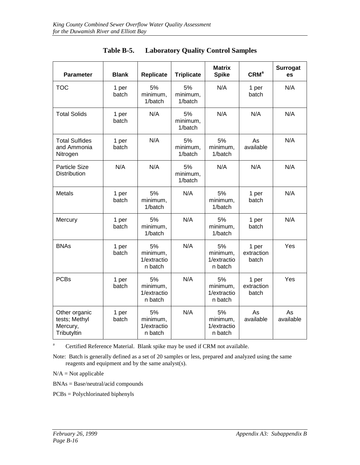| <b>Parameter</b>                                          | <b>Blank</b>   | <b>Replicate</b>                         | <b>Triplicate</b>         | <b>Matrix</b><br><b>Spike</b>            | CRM <sup>a</sup>             | <b>Surrogat</b><br>es |
|-----------------------------------------------------------|----------------|------------------------------------------|---------------------------|------------------------------------------|------------------------------|-----------------------|
| <b>TOC</b>                                                | 1 per<br>batch | 5%<br>minimum,<br>1/batch                | 5%<br>minimum,<br>1/batch | N/A                                      | 1 per<br>batch               | N/A                   |
| <b>Total Solids</b>                                       | 1 per<br>batch | N/A                                      | 5%<br>minimum,<br>1/batch | N/A                                      | N/A                          | N/A                   |
| <b>Total Sulfides</b><br>and Ammonia<br>Nitrogen          | 1 per<br>batch | N/A                                      | 5%<br>minimum,<br>1/batch | 5%<br>minimum,<br>1/batch                | As<br>available              | N/A                   |
| <b>Particle Size</b><br>Distribution                      | N/A            | N/A                                      | 5%<br>minimum,<br>1/batch | N/A                                      | N/A                          | N/A                   |
| Metals                                                    | 1 per<br>batch | 5%<br>minimum,<br>1/batch                | N/A                       | 5%<br>minimum,<br>1/batch                | 1 per<br>batch               | N/A                   |
| Mercury                                                   | 1 per<br>batch | 5%<br>minimum,<br>1/batch                | N/A                       | 5%<br>minimum,<br>1/batch                | 1 per<br>batch               | N/A                   |
| <b>BNAs</b>                                               | 1 per<br>batch | 5%<br>minimum,<br>1/extractio<br>n batch | N/A                       | 5%<br>minimum,<br>1/extractio<br>n batch | 1 per<br>extraction<br>batch | Yes                   |
| <b>PCBs</b>                                               | 1 per<br>batch | 5%<br>minimum,<br>1/extractio<br>n batch | N/A                       | 5%<br>minimum,<br>1/extractio<br>n batch | 1 per<br>extraction<br>batch | Yes                   |
| Other organic<br>tests; Methyl<br>Mercury,<br>Tributyltin | 1 per<br>batch | 5%<br>minimum,<br>1/extractio<br>n batch | N/A                       | 5%<br>minimum,<br>1/extractio<br>n batch | As<br>available              | As<br>available       |

| Table B-5. | <b>Laboratory Quality Control Samples</b> |  |  |
|------------|-------------------------------------------|--|--|
|------------|-------------------------------------------|--|--|

<sup>a</sup> Certified Reference Material. Blank spike may be used if CRM not available.

Note: Batch is generally defined as a set of 20 samples or less, prepared and analyzed using the same reagents and equipment and by the same analyst(s).

 $N/A = Not$  applicable

BNAs = Base/neutral/acid compounds

PCBs = Polychlorinated biphenyls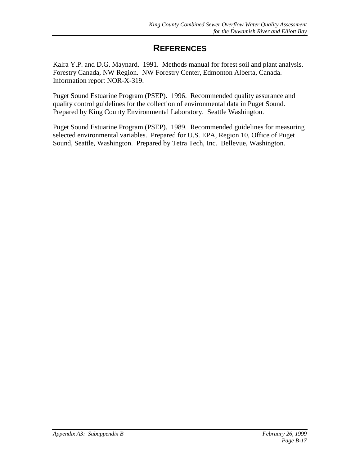## **REFERENCES**

Kalra Y.P. and D.G. Maynard. 1991. Methods manual for forest soil and plant analysis. Forestry Canada, NW Region. NW Forestry Center, Edmonton Alberta, Canada. Information report NOR-X-319.

Puget Sound Estuarine Program (PSEP). 1996. Recommended quality assurance and quality control guidelines for the collection of environmental data in Puget Sound. Prepared by King County Environmental Laboratory. Seattle Washington.

Puget Sound Estuarine Program (PSEP). 1989. Recommended guidelines for measuring selected environmental variables. Prepared for U.S. EPA, Region 10, Office of Puget Sound, Seattle, Washington. Prepared by Tetra Tech, Inc. Bellevue, Washington.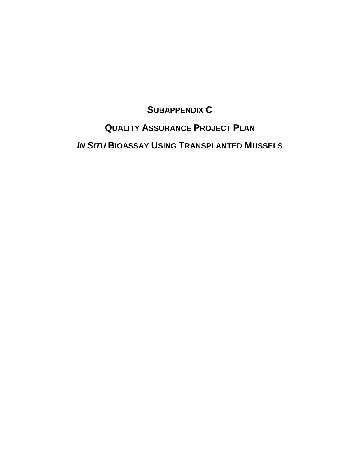## **SUBAPPENDIX C**

## **QUALITY ASSURANCE PROJECT PLAN**

*IN SITU* **BIOASSAY USING TRANSPLANTED MUSSELS**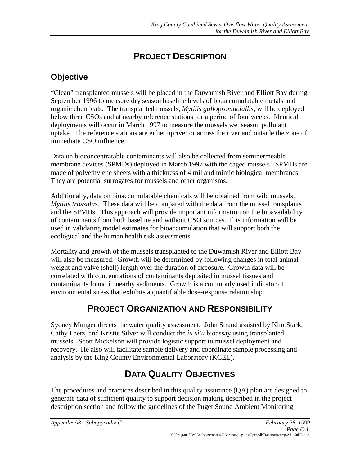# **PROJECT DESCRIPTION**

## **Objective**

"Clean" transplanted mussels will be placed in the Duwamish River and Elliott Bay during September 1996 to measure dry season baseline levels of bioaccumulatable metals and organic chemicals. The transplanted mussels, *Mytilis galloprovinciallis*, will be deployed below three CSOs and at nearby reference stations for a period of four weeks. Identical deployments will occur in March 1997 to measure the mussels wet season pollutant uptake. The reference stations are either upriver or across the river and outside the zone of immediate CSO influence.

Data on bioconcentratable contaminants will also be collected from semipermeable membrane devices (SPMDs) deployed in March 1997 with the caged mussels. SPMDs are made of polyethylene sheets with a thickness of 4 mil and mimic biological membranes. They are potential surrogates for mussels and other organisms.

Additionally, data on bioaccumulatable chemicals will be obtained from wild mussels, *Mytilis trossulus*. These data will be compared with the data from the mussel transplants and the SPMDs. This approach will provide important information on the bioavailability of contaminants from both baseline and without CSO sources. This information will be used in validating model estimates for bioaccumulation that will support both the ecological and the human health risk assessments.

Mortality and growth of the mussels transplanted to the Duwamish River and Elliott Bay will also be measured. Growth will be determined by following changes in total animal weight and valve (shell) length over the duration of exposure. Growth data will be correlated with concentrations of contaminants deposited in mussel tissues and contaminants found in nearby sediments. Growth is a commonly used indicator of environmental stress that exhibits a quantifiable dose-response relationship.

# **PROJECT ORGANIZATION AND RESPONSIBILITY**

Sydney Munger directs the water quality assessment. John Strand assisted by Kim Stark, Cathy Laetz, and Kristie Silver will conduct the *in situ* bioassay using transplanted mussels. Scott Mickelson will provide logistic support to mussel deployment and recovery. He also will facilitate sample delivery and coordinate sample processing and analysis by the King County Environmental Laboratory (KCEL).

# **DATA QUALITY OBJECTIVES**

The procedures and practices described in this quality assurance (QA) plan are designed to generate data of sufficient quality to support decision making described in the project description section and follow the guidelines of the Puget Sound Ambient Monitoring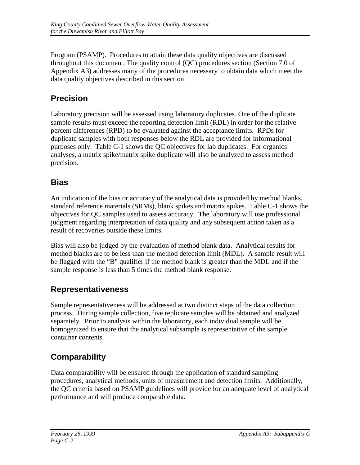Program (PSAMP). Procedures to attain these data quality objectives are discussed throughout this document. The quality control (QC) procedures section (Section 7.0 of Appendix A3) addresses many of the procedures necessary to obtain data which meet the data quality objectives described in this section.

### **Precision**

Laboratory precision will be assessed using laboratory duplicates. One of the duplicate sample results must exceed the reporting detection limit (RDL) in order for the relative percent differences (RPD) to be evaluated against the acceptance limits. RPDs for duplicate samples with both responses below the RDL are provided for informational purposes only. Table C-1 shows the QC objectives for lab duplicates. For organics analyses, a matrix spike/matrix spike duplicate will also be analyzed to assess method precision.

### **Bias**

An indication of the bias or accuracy of the analytical data is provided by method blanks, standard reference materials (SRMs), blank spikes and matrix spikes. Table C-1 shows the objectives for QC samples used to assess accuracy. The laboratory will use professional judgment regarding interpretation of data quality and any subsequent action taken as a result of recoveries outside these limits.

Bias will also be judged by the evaluation of method blank data. Analytical results for method blanks are to be less than the method detection limit (MDL). A sample result will be flagged with the "B" qualifier if the method blank is greater than the MDL and if the sample response is less than 5 times the method blank response.

### **Representativeness**

Sample representativeness will be addressed at two distinct steps of the data collection process. During sample collection, five replicate samples will be obtained and analyzed separately. Prior to analysis within the laboratory, each individual sample will be homogenized to ensure that the analytical subsample is representative of the sample container contents.

# **Comparability**

Data comparability will be ensured through the application of standard sampling procedures, analytical methods, units of measurement and detection limits. Additionally, the QC criteria based on PSAMP guidelines will provide for an adequate level of analytical performance and will produce comparable data.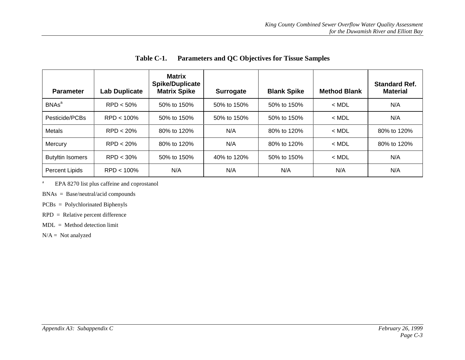| <b>Parameter</b>        | Lab Duplicate | <b>Matrix</b><br><b>Spike/Duplicate</b><br><b>Matrix Spike</b> | <b>Surrogate</b> | <b>Blank Spike</b> | <b>Method Blank</b> | <b>Standard Ref.</b><br><b>Material</b> |
|-------------------------|---------------|----------------------------------------------------------------|------------------|--------------------|---------------------|-----------------------------------------|
| BNAs <sup>a</sup>       | $RPD < 50\%$  | 50% to 150%                                                    | 50% to 150%      | 50% to 150%        | $<$ MDL             | N/A                                     |
| Pesticide/PCBs          | $RPD < 100\%$ | 50% to 150%                                                    | 50% to 150%      | 50% to 150%        | $<$ MDL             | N/A                                     |
| <b>Metals</b>           | RPD < 20%     | 80% to 120%                                                    | N/A              | 80% to 120%        | $<$ MDL             | 80% to 120%                             |
| Mercury                 | $RPD < 20\%$  | 80% to 120%                                                    | N/A              | 80% to 120%        | $<$ MDL             | 80% to 120%                             |
| <b>Butyltin Isomers</b> | $RPD < 30\%$  | 50% to 150%                                                    | 40% to 120%      | 50% to 150%        | $<$ MDL             | N/A                                     |
| <b>Percent Lipids</b>   | $RPD < 100\%$ | N/A                                                            | N/A              | N/A                | N/A                 | N/A                                     |

**Table C-1. Parameters and QC Objectives for Tissue Samples**

<sup>a</sup> EPA 8270 list plus caffeine and coprostanol

BNAs = Base/neutral/acid compounds

PCBs = Polychlorinated Biphenyls

RPD = Relative percent difference

MDL = Method detection limit

 $N/A = Not$  analyzed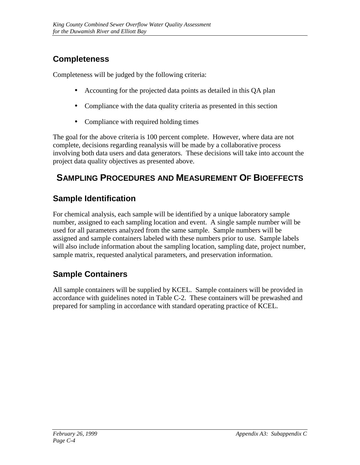## **Completeness**

Completeness will be judged by the following criteria:

- Accounting for the projected data points as detailed in this QA plan
- Compliance with the data quality criteria as presented in this section
- Compliance with required holding times

The goal for the above criteria is 100 percent complete. However, where data are not complete, decisions regarding reanalysis will be made by a collaborative process involving both data users and data generators. These decisions will take into account the project data quality objectives as presented above.

# **SAMPLING PROCEDURES AND MEASUREMENT OF BIOEFFECTS**

# **Sample Identification**

For chemical analysis, each sample will be identified by a unique laboratory sample number, assigned to each sampling location and event. A single sample number will be used for all parameters analyzed from the same sample. Sample numbers will be assigned and sample containers labeled with these numbers prior to use. Sample labels will also include information about the sampling location, sampling date, project number, sample matrix, requested analytical parameters, and preservation information.

# **Sample Containers**

All sample containers will be supplied by KCEL. Sample containers will be provided in accordance with guidelines noted in Table C-2. These containers will be prewashed and prepared for sampling in accordance with standard operating practice of KCEL.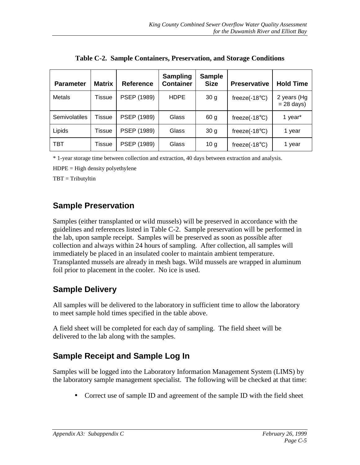| <b>Parameter</b>     | <b>Matrix</b> | <b>Reference</b> | <b>Sampling</b><br>Container | <b>Sample</b><br><b>Size</b> | <b>Preservative</b>      | <b>Hold Time</b>            |
|----------------------|---------------|------------------|------------------------------|------------------------------|--------------------------|-----------------------------|
| Metals               | Tissue        | PSEP (1989)      | <b>HDPE</b>                  | 30 <sub>g</sub>              | freeze( $-18^{\circ}$ C) | 2 years (Hg<br>$= 28$ days) |
| <b>Semivolatiles</b> | Tissue        | PSEP (1989)      | Glass                        | 60 <sub>g</sub>              | freeze( $-18^{\circ}$ C) | 1 year*                     |
| Lipids               | Tissue        | PSEP (1989)      | Glass                        | 30 <sub>g</sub>              | freeze(-18 $^{\circ}$ C) | 1 year                      |
| TBT                  | Tissue        | PSEP (1989)      | Glass                        | 10 <sub>g</sub>              | freeze(-18 $\degree$ C)  | 1 year                      |

**Table C-2. Sample Containers, Preservation, and Storage Conditions**

\* 1-year storage time between collection and extraction, 40 days between extraction and analysis.

 $HDPE = High density polyethylene$ 

TBT = Tributyltin

#### **Sample Preservation**

Samples (either transplanted or wild mussels) will be preserved in accordance with the guidelines and references listed in Table C-2. Sample preservation will be performed in the lab, upon sample receipt. Samples will be preserved as soon as possible after collection and always within 24 hours of sampling. After collection, all samples will immediately be placed in an insulated cooler to maintain ambient temperature. Transplanted mussels are already in mesh bags. Wild mussels are wrapped in aluminum foil prior to placement in the cooler. No ice is used.

### **Sample Delivery**

All samples will be delivered to the laboratory in sufficient time to allow the laboratory to meet sample hold times specified in the table above.

A field sheet will be completed for each day of sampling. The field sheet will be delivered to the lab along with the samples.

### **Sample Receipt and Sample Log In**

Samples will be logged into the Laboratory Information Management System (LIMS) by the laboratory sample management specialist. The following will be checked at that time:

• Correct use of sample ID and agreement of the sample ID with the field sheet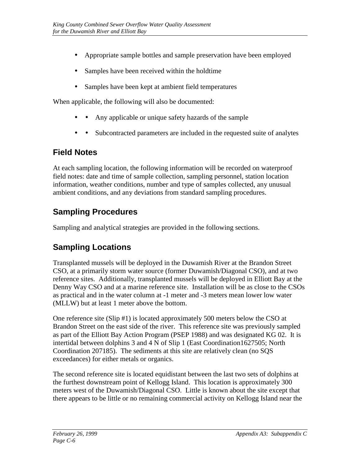- Appropriate sample bottles and sample preservation have been employed
- Samples have been received within the holdtime
- Samples have been kept at ambient field temperatures

When applicable, the following will also be documented:

- Any applicable or unique safety hazards of the sample
- • Subcontracted parameters are included in the requested suite of analytes

#### **Field Notes**

At each sampling location, the following information will be recorded on waterproof field notes: date and time of sample collection, sampling personnel, station location information, weather conditions, number and type of samples collected, any unusual ambient conditions, and any deviations from standard sampling procedures.

## **Sampling Procedures**

Sampling and analytical strategies are provided in the following sections.

### **Sampling Locations**

Transplanted mussels will be deployed in the Duwamish River at the Brandon Street CSO, at a primarily storm water source (former Duwamish/Diagonal CSO), and at two reference sites. Additionally, transplanted mussels will be deployed in Elliott Bay at the Denny Way CSO and at a marine reference site. Installation will be as close to the CSOs as practical and in the water column at -1 meter and -3 meters mean lower low water (MLLW) but at least 1 meter above the bottom.

One reference site (Slip #1) is located approximately 500 meters below the CSO at Brandon Street on the east side of the river. This reference site was previously sampled as part of the Elliott Bay Action Program (PSEP 1988) and was designated KG 02. It is intertidal between dolphins 3 and 4 N of Slip 1 (East Coordination1627505; North Coordination 207185). The sediments at this site are relatively clean (no SQS exceedances) for either metals or organics.

The second reference site is located equidistant between the last two sets of dolphins at the furthest downstream point of Kellogg Island. This location is approximately 300 meters west of the Duwamish/Diagonal CSO. Little is known about the site except that there appears to be little or no remaining commercial activity on Kellogg Island near the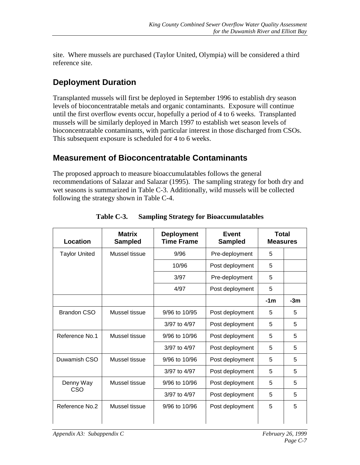site. Where mussels are purchased (Taylor United, Olympia) will be considered a third reference site.

## **Deployment Duration**

Transplanted mussels will first be deployed in September 1996 to establish dry season levels of bioconcentratable metals and organic contaminants. Exposure will continue until the first overflow events occur, hopefully a period of 4 to 6 weeks. Transplanted mussels will be similarly deployed in March 1997 to establish wet season levels of bioconcentratable contaminants, with particular interest in those discharged from CSOs. This subsequent exposure is scheduled for 4 to 6 weeks.

#### **Measurement of Bioconcentratable Contaminants**

The proposed approach to measure bioaccumulatables follows the general recommendations of Salazar and Salazar (1995). The sampling strategy for both dry and wet seasons is summarized in Table C-3. Additionally, wild mussels will be collected following the strategy shown in Table C-4.

| Location             | <b>Matrix</b><br><b>Sampled</b> | <b>Deployment</b><br><b>Time Frame</b> | <b>Event</b><br><b>Sampled</b> | <b>Total</b><br><b>Measures</b> |       |
|----------------------|---------------------------------|----------------------------------------|--------------------------------|---------------------------------|-------|
| <b>Taylor United</b> | Mussel tissue                   | 9/96                                   | Pre-deployment                 | 5                               |       |
|                      |                                 | 10/96                                  | Post deployment                | 5                               |       |
|                      |                                 | 3/97                                   | Pre-deployment                 | 5                               |       |
|                      |                                 | 4/97                                   | Post deployment                | 5                               |       |
|                      |                                 |                                        |                                | $-1m$                           | $-3m$ |
| <b>Brandon CSO</b>   | Mussel tissue                   | 9/96 to 10/95                          | Post deployment                | 5                               | 5     |
|                      |                                 | 3/97 to 4/97                           | Post deployment                | 5                               | 5     |
| Reference No.1       | Mussel tissue                   | 9/96 to 10/96                          | Post deployment                | 5                               | 5     |
|                      |                                 | 3/97 to 4/97                           | Post deployment                | 5                               | 5     |
| Duwamish CSO         | Mussel tissue                   | 9/96 to 10/96                          | Post deployment                | 5                               | 5     |
|                      |                                 | 3/97 to 4/97                           | Post deployment                | 5                               | 5     |
| Denny Way            | Mussel tissue                   | 9/96 to 10/96                          | Post deployment                | 5                               | 5     |
| CSO                  |                                 | 3/97 to 4/97                           | Post deployment                | 5                               | 5     |
| Reference No.2       | Mussel tissue                   | 9/96 to 10/96                          | Post deployment                | 5                               | 5     |

**Table C-3. Sampling Strategy for Bioaccumulatables**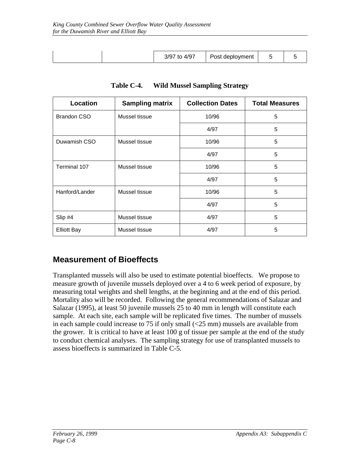| Post deployment<br>3/97 |  | to 4/97 |  |  |
|-------------------------|--|---------|--|--|

| Location           | <b>Sampling matrix</b> | <b>Collection Dates</b> | <b>Total Measures</b> |
|--------------------|------------------------|-------------------------|-----------------------|
| <b>Brandon CSO</b> | Mussel tissue          | 10/96                   | 5                     |
|                    |                        | 4/97                    | 5                     |
| Duwamish CSO       | Mussel tissue          | 10/96                   | 5                     |
|                    |                        | 4/97                    | 5                     |
| Terminal 107       | Mussel tissue          | 10/96                   | 5                     |
|                    |                        | 4/97                    | 5                     |
| Hanford/Lander     | Mussel tissue          | 10/96                   | 5                     |
|                    |                        | 4/97                    | 5                     |
| Slip #4            | Mussel tissue          | 4/97                    | 5                     |
| <b>Elliott Bay</b> | Mussel tissue          | 4/97                    | 5                     |

**Table C-4. Wild Mussel Sampling Strategy**

### **Measurement of Bioeffects**

Transplanted mussels will also be used to estimate potential bioeffects. We propose to measure growth of juvenile mussels deployed over a 4 to 6 week period of exposure, by measuring total weights and shell lengths, at the beginning and at the end of this period. Mortality also will be recorded. Following the general recommendations of Salazar and Salazar (1995), at least 50 juvenile mussels 25 to 40 mm in length will constitute each sample. At each site, each sample will be replicated five times. The number of mussels in each sample could increase to 75 if only small (<25 mm) mussels are available from the grower. It is critical to have at least 100 g of tissue per sample at the end of the study to conduct chemical analyses. The sampling strategy for use of transplanted mussels to assess bioeffects is summarized in Table C-5.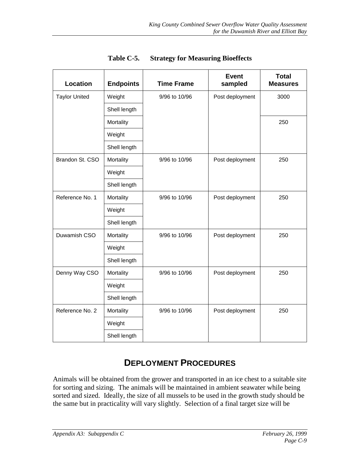| Location             | <b>Endpoints</b> | <b>Time Frame</b> | <b>Event</b><br>sampled | <b>Total</b><br><b>Measures</b> |
|----------------------|------------------|-------------------|-------------------------|---------------------------------|
| <b>Taylor United</b> | Weight           | 9/96 to 10/96     | Post deployment         | 3000                            |
|                      | Shell length     |                   |                         |                                 |
|                      | Mortality        |                   |                         | 250                             |
|                      | Weight           |                   |                         |                                 |
|                      | Shell length     |                   |                         |                                 |
| Brandon St. CSO      | Mortality        | 9/96 to 10/96     | Post deployment         | 250                             |
|                      | Weight           |                   |                         |                                 |
|                      | Shell length     |                   |                         |                                 |
| Reference No. 1      | Mortality        | 9/96 to 10/96     | Post deployment         | 250                             |
|                      | Weight           |                   |                         |                                 |
|                      | Shell length     |                   |                         |                                 |
| Duwamish CSO         | Mortality        | 9/96 to 10/96     | Post deployment         | 250                             |
|                      | Weight           |                   |                         |                                 |
|                      | Shell length     |                   |                         |                                 |
| Denny Way CSO        | Mortality        | 9/96 to 10/96     | Post deployment         | 250                             |
|                      | Weight           |                   |                         |                                 |
|                      | Shell length     |                   |                         |                                 |
| Reference No. 2      | Mortality        | 9/96 to 10/96     | Post deployment         | 250                             |
|                      | Weight           |                   |                         |                                 |
|                      | Shell length     |                   |                         |                                 |

**Table C-5. Strategy for Measuring Bioeffects**

### **DEPLOYMENT PROCEDURES**

Animals will be obtained from the grower and transported in an ice chest to a suitable site for sorting and sizing. The animals will be maintained in ambient seawater while being sorted and sized. Ideally, the size of all mussels to be used in the growth study should be the same but in practicality will vary slightly. Selection of a final target size will be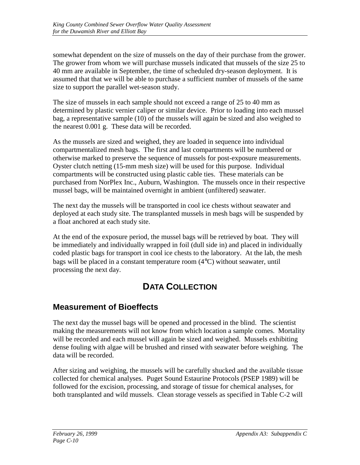somewhat dependent on the size of mussels on the day of their purchase from the grower. The grower from whom we will purchase mussels indicated that mussels of the size 25 to 40 mm are available in September, the time of scheduled dry-season deployment. It is assumed that that we will be able to purchase a sufficient number of mussels of the same size to support the parallel wet-season study.

The size of mussels in each sample should not exceed a range of 25 to 40 mm as determined by plastic vernier caliper or similar device. Prior to loading into each mussel bag, a representative sample (10) of the mussels will again be sized and also weighed to the nearest 0.001 g. These data will be recorded.

As the mussels are sized and weighed, they are loaded in sequence into individual compartmentalized mesh bags. The first and last compartments will be numbered or otherwise marked to preserve the sequence of mussels for post-exposure measurements. Oyster clutch netting (15-mm mesh size) will be used for this purpose. Individual compartments will be constructed using plastic cable ties. These materials can be purchased from NorPlex Inc., Auburn, Washington. The mussels once in their respective mussel bags, will be maintained overnight in ambient (unfiltered) seawater.

The next day the mussels will be transported in cool ice chests without seawater and deployed at each study site. The transplanted mussels in mesh bags will be suspended by a float anchored at each study site.

At the end of the exposure period, the mussel bags will be retrieved by boat. They will be immediately and individually wrapped in foil (dull side in) and placed in individually coded plastic bags for transport in cool ice chests to the laboratory. At the lab, the mesh bags will be placed in a constant temperature room (4°C) without seawater, until processing the next day.

# **DATA COLLECTION**

## **Measurement of Bioeffects**

The next day the mussel bags will be opened and processed in the blind. The scientist making the measurements will not know from which location a sample comes. Mortality will be recorded and each mussel will again be sized and weighed. Mussels exhibiting dense fouling with algae will be brushed and rinsed with seawater before weighing. The data will be recorded.

After sizing and weighing, the mussels will be carefully shucked and the available tissue collected for chemical analyses. Puget Sound Estaurine Protocols (PSEP 1989) will be followed for the excision, processing, and storage of tissue for chemical analyses, for both transplanted and wild mussels. Clean storage vessels as specified in Table C-2 will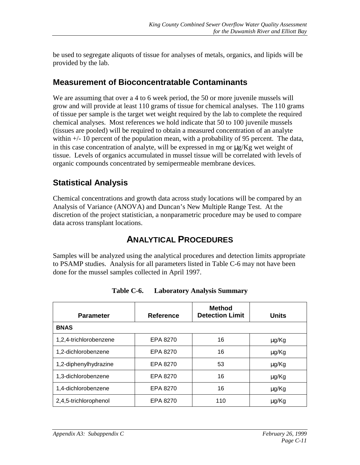be used to segregate aliquots of tissue for analyses of metals, organics, and lipids will be provided by the lab.

#### **Measurement of Bioconcentratable Contaminants**

We are assuming that over a 4 to 6 week period, the 50 or more juvenile mussels will grow and will provide at least 110 grams of tissue for chemical analyses. The 110 grams of tissue per sample is the target wet weight required by the lab to complete the required chemical analyses. Most references we hold indicate that 50 to 100 juvenile mussels (tissues are pooled) will be required to obtain a measured concentration of an analyte within  $+/- 10$  percent of the population mean, with a probability of 95 percent. The data, in this case concentration of analyte, will be expressed in mg or  $\mu g/Kg$  wet weight of tissue. Levels of organics accumulated in mussel tissue will be correlated with levels of organic compounds concentrated by semipermeable membrane devices.

### **Statistical Analysis**

Chemical concentrations and growth data across study locations will be compared by an Analysis of Variance (ANOVA) and Duncan's New Multiple Range Test. At the discretion of the project statistician, a nonparametric procedure may be used to compare data across transplant locations.

## **ANALYTICAL PROCEDURES**

Samples will be analyzed using the analytical procedures and detection limits appropriate to PSAMP studies. Analysis for all parameters listed in Table C-6 may not have been done for the mussel samples collected in April 1997.

| <b>Parameter</b>       | <b>Reference</b> | <b>Method</b><br><b>Detection Limit</b> | <b>Units</b> |
|------------------------|------------------|-----------------------------------------|--------------|
| <b>BNAS</b>            |                  |                                         |              |
| 1,2,4-trichlorobenzene | EPA 8270         | 16                                      | µg/Kg        |
| 1,2-dichlorobenzene    | EPA 8270         | 16                                      | μg/Kg        |
| 1,2-diphenylhydrazine  | EPA 8270         | 53                                      | μg/Kg        |
| 1,3-dichlorobenzene    | EPA 8270         | 16                                      | μg/Kg        |
| 1,4-dichlorobenzene    | EPA 8270         | 16                                      | μg/Kg        |
| 2,4,5-trichlorophenol  | EPA 8270         | 110                                     | μg/Kg        |

**Table C-6. Laboratory Analysis Summary**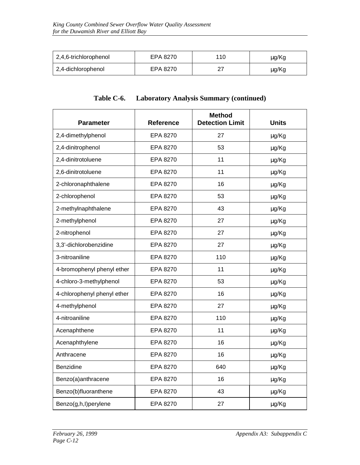| 2,4,6-trichlorophenol | EPA 8270 | 110 | μg/Kg |
|-----------------------|----------|-----|-------|
| 2,4-dichlorophenol    | EPA 8270 |     | μg/Kg |

| <b>Parameter</b>            | <b>Reference</b> | <b>Method</b><br><b>Detection Limit</b> | <b>Units</b> |
|-----------------------------|------------------|-----------------------------------------|--------------|
| 2,4-dimethylphenol          | EPA 8270         | 27                                      | µg/Kg        |
| 2,4-dinitrophenol           | EPA 8270         | 53                                      | µg/Kg        |
| 2,4-dinitrotoluene          | EPA 8270         | 11                                      | µg/Kg        |
| 2,6-dinitrotoluene          | EPA 8270         | 11                                      | µg/Kg        |
| 2-chloronaphthalene         | EPA 8270         | 16                                      | µg/Kg        |
| 2-chlorophenol              | EPA 8270         | 53                                      | µg/Kg        |
| 2-methylnaphthalene         | EPA 8270         | 43                                      | µg/Kg        |
| 2-methylphenol              | EPA 8270         | 27                                      | µg/Kg        |
| 2-nitrophenol               | EPA 8270         | 27                                      | µg/Kg        |
| 3,3'-dichlorobenzidine      | EPA 8270         | 27                                      | µg/Kg        |
| 3-nitroaniline              | EPA 8270         | 110                                     | µg/Kg        |
| 4-bromophenyl phenyl ether  | EPA 8270         | 11                                      | μg/Kg        |
| 4-chloro-3-methylphenol     | EPA 8270         | 53                                      | µg/Kg        |
| 4-chlorophenyl phenyl ether | EPA 8270         | 16                                      | µg/Kg        |
| 4-methylphenol              | EPA 8270         | 27                                      | μg/Kg        |
| 4-nitroaniline              | EPA 8270         | 110                                     | µg/Kg        |
| Acenaphthene                | EPA 8270         | 11                                      | µg/Kg        |
| Acenaphthylene              | EPA 8270         | 16                                      | µg/Kg        |
| Anthracene                  | EPA 8270         | 16                                      | µg/Kg        |
| Benzidine                   | EPA 8270         | 640                                     | µg/Kg        |
| Benzo(a)anthracene          | EPA 8270         | 16                                      | µg/Kg        |
| Benzo(b)fluoranthene        | EPA 8270         | 43                                      | μg/Kg        |
| Benzo(g,h,l)perylene        | EPA 8270         | 27                                      | µg/Kg        |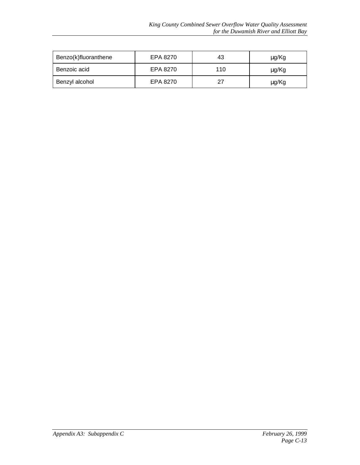| Benzo(k)fluoranthene | EPA 8270 | 43  | μg/Kg |
|----------------------|----------|-----|-------|
| Benzoic acid         | EPA 8270 | 110 | μg/Kg |
| Benzyl alcohol       | EPA 8270 | 27  | μg/Kg |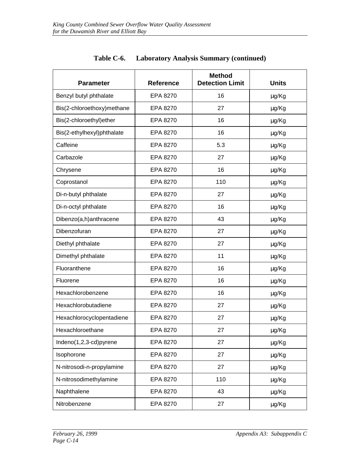| <b>Parameter</b>           | <b>Reference</b> | <b>Method</b><br><b>Detection Limit</b> | <b>Units</b> |
|----------------------------|------------------|-----------------------------------------|--------------|
| Benzyl butyl phthalate     | EPA 8270         | 16                                      | µg/Kg        |
| Bis(2-chloroethoxy)methane | EPA 8270         | 27                                      | µg/Kg        |
| Bis(2-chloroethyl)ether    | EPA 8270         | 16                                      | μg/Kg        |
| Bis(2-ethylhexyl)phthalate | EPA 8270         | 16                                      | μg/Kg        |
| Caffeine                   | EPA 8270         | 5.3                                     | µg/Kg        |
| Carbazole                  | EPA 8270         | 27                                      | µg/Kg        |
| Chrysene                   | EPA 8270         | 16                                      | μg/Kg        |
| Coprostanol                | EPA 8270         | 110                                     | μg/Kg        |
| Di-n-butyl phthalate       | EPA 8270         | 27                                      | μg/Kg        |
| Di-n-octyl phthalate       | EPA 8270         | 16                                      | µg/Kg        |
| Dibenzo(a,h)anthracene     | EPA 8270         | 43                                      | μg/Kg        |
| Dibenzofuran               | EPA 8270         | 27                                      | μg/Kg        |
| Diethyl phthalate          | EPA 8270         | 27                                      | μg/Kg        |
| Dimethyl phthalate         | EPA 8270         | 11                                      | µg/Kg        |
| Fluoranthene               | EPA 8270         | 16                                      | μg/Kg        |
| Fluorene                   | EPA 8270         | 16                                      | μg/Kg        |
| Hexachlorobenzene          | EPA 8270         | 16                                      | μg/Kg        |
| Hexachlorobutadiene        | EPA 8270         | 27                                      | µg/Kg        |
| Hexachlorocyclopentadiene  | EPA 8270         | 27                                      | µg/Kg        |
| Hexachloroethane           | EPA 8270         | 27                                      | μg/Kg        |
| Indeno(1,2,3-cd)pyrene     | EPA 8270         | 27                                      | µg/Kg        |
| Isophorone                 | EPA 8270         | 27                                      | µg/Kg        |
| N-nitrosodi-n-propylamine  | EPA 8270         | 27                                      | µg/Kg        |
| N-nitrosodimethylamine     | EPA 8270         | 110                                     | µg/Kg        |
| Naphthalene                | EPA 8270         | 43                                      | µg/Kg        |
| Nitrobenzene               | EPA 8270         | 27                                      | µg/Kg        |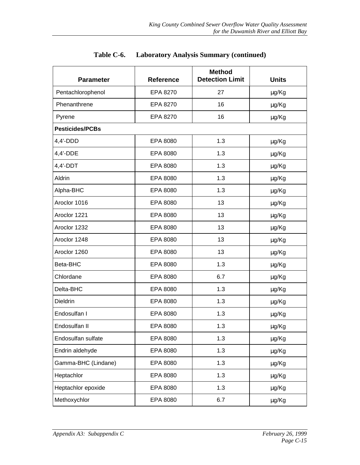| <b>Parameter</b>       | <b>Reference</b> | <b>Method</b><br><b>Detection Limit</b> | <b>Units</b> |
|------------------------|------------------|-----------------------------------------|--------------|
| Pentachlorophenol      | EPA 8270         | 27                                      | µg/Kg        |
| Phenanthrene           | EPA 8270         | 16                                      | µg/Kg        |
| Pyrene                 | EPA 8270         | 16                                      | µg/Kg        |
| <b>Pesticides/PCBs</b> |                  |                                         |              |
| $4,4'$ -DDD            | EPA 8080         | 1.3                                     | µg/Kg        |
| 4,4'-DDE               | EPA 8080         | 1.3                                     | µg/Kg        |
| $4,4'$ -DDT            | EPA 8080         | 1.3                                     | µg/Kg        |
| Aldrin                 | EPA 8080         | 1.3                                     | µg/Kg        |
| Alpha-BHC              | EPA 8080         | 1.3                                     | µg/Kg        |
| Aroclor 1016           | EPA 8080         | 13                                      | µg/Kg        |
| Aroclor 1221           | EPA 8080         | 13                                      | µg/Kg        |
| Aroclor 1232           | EPA 8080         | 13                                      | µg/Kg        |
| Aroclor 1248           | EPA 8080         | 13                                      | µg/Kg        |
| Aroclor 1260           | EPA 8080         | 13                                      | µg/Kg        |
| Beta-BHC               | EPA 8080         | 1.3                                     | µg/Kg        |
| Chlordane              | EPA 8080         | 6.7                                     | µg/Kg        |
| Delta-BHC              | EPA 8080         | 1.3                                     | µg/Kg        |
| Dieldrin               | EPA 8080         | 1.3                                     | µg/Kg        |
| Endosulfan I           | EPA 8080         | 1.3                                     | µg/Kg        |
| Endosulfan II          | EPA 8080         | 1.3                                     | μg/Kg        |
| Endosulfan sulfate     | EPA 8080         | 1.3                                     | µg/Kg        |
| Endrin aldehyde        | EPA 8080         | 1.3                                     | µg/Kg        |
| Gamma-BHC (Lindane)    | EPA 8080         | 1.3                                     | µg/Kg        |
| Heptachlor             | EPA 8080         | 1.3                                     | µg/Kg        |
| Heptachlor epoxide     | EPA 8080         | 1.3                                     | µg/Kg        |
| Methoxychlor           | EPA 8080         | 6.7                                     | µg/Kg        |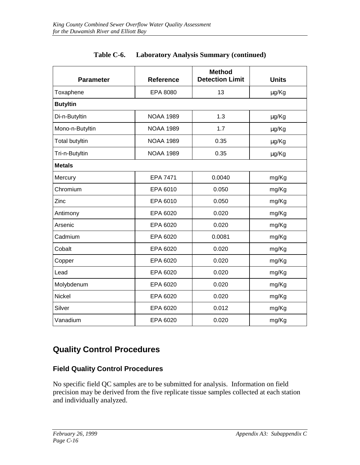| <b>Parameter</b>      | <b>Reference</b> | <b>Method</b><br><b>Detection Limit</b> | <b>Units</b> |
|-----------------------|------------------|-----------------------------------------|--------------|
| Toxaphene             | EPA 8080         | 13                                      | µg/Kg        |
| <b>Butyltin</b>       |                  |                                         |              |
| Di-n-Butyltin         | <b>NOAA 1989</b> | 1.3                                     | µg/Kg        |
| Mono-n-Butyltin       | <b>NOAA 1989</b> | 1.7                                     | µg/Kg        |
| <b>Total butyltin</b> | <b>NOAA 1989</b> | 0.35                                    | µg/Kg        |
| Tri-n-Butyltin        | <b>NOAA 1989</b> | 0.35                                    | µg/Kg        |
| <b>Metals</b>         |                  |                                         |              |
| Mercury               | <b>EPA 7471</b>  | 0.0040                                  | mg/Kg        |
| Chromium              | EPA 6010         | 0.050                                   | mg/Kg        |
| Zinc                  | EPA 6010         | 0.050                                   | mg/Kg        |
| Antimony              | EPA 6020         | 0.020                                   | mg/Kg        |
| Arsenic               | EPA 6020         | 0.020                                   | mg/Kg        |
| Cadmium               | EPA 6020         | 0.0081                                  | mg/Kg        |
| Cobalt                | EPA 6020         | 0.020                                   | mg/Kg        |
| Copper                | EPA 6020         | 0.020                                   | mg/Kg        |
| Lead                  | EPA 6020         | 0.020                                   | mg/Kg        |
| Molybdenum            | EPA 6020         | 0.020                                   | mg/Kg        |
| <b>Nickel</b>         | EPA 6020         | 0.020                                   | mg/Kg        |
| Silver                | EPA 6020         | 0.012                                   | mg/Kg        |
| Vanadium              | EPA 6020         | 0.020                                   | mg/Kg        |

#### **Quality Control Procedures**

#### **Field Quality Control Procedures**

No specific field QC samples are to be submitted for analysis. Information on field precision may be derived from the five replicate tissue samples collected at each station and individually analyzed.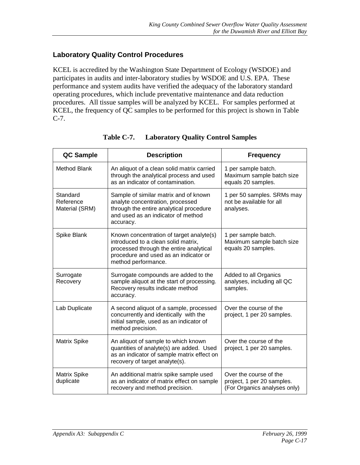#### **Laboratory Quality Control Procedures**

KCEL is accredited by the Washington State Department of Ecology (WSDOE) and participates in audits and inter-laboratory studies by WSDOE and U.S. EPA. These performance and system audits have verified the adequacy of the laboratory standard operating procedures, which include preventative maintenance and data reduction procedures. All tissue samples will be analyzed by KCEL. For samples performed at KCEL, the frequency of QC samples to be performed for this project is shown in Table C-7.

| <b>QC Sample</b>                        | <b>Description</b>                                                                                                                                                                         | <b>Frequency</b>                                                                     |
|-----------------------------------------|--------------------------------------------------------------------------------------------------------------------------------------------------------------------------------------------|--------------------------------------------------------------------------------------|
| <b>Method Blank</b>                     | An aliquot of a clean solid matrix carried<br>through the analytical process and used<br>as an indicator of contamination.                                                                 | 1 per sample batch.<br>Maximum sample batch size<br>equals 20 samples.               |
| Standard<br>Reference<br>Material (SRM) | Sample of similar matrix and of known<br>analyte concentration, processed<br>through the entire analytical procedure<br>and used as an indicator of method<br>accuracy.                    | 1 per 50 samples. SRMs may<br>not be available for all<br>analyses.                  |
| Spike Blank                             | Known concentration of target analyte(s)<br>introduced to a clean solid matrix,<br>processed through the entire analytical<br>procedure and used as an indicator or<br>method performance. | 1 per sample batch.<br>Maximum sample batch size<br>equals 20 samples.               |
| Surrogate<br>Recovery                   | Surrogate compounds are added to the<br>sample aliquot at the start of processing.<br>Recovery results indicate method<br>accuracy.                                                        | Added to all Organics<br>analyses, including all QC<br>samples.                      |
| Lab Duplicate                           | A second aliquot of a sample, processed<br>concurrently and identically with the<br>initial sample, used as an indicator of<br>method precision.                                           | Over the course of the<br>project, 1 per 20 samples.                                 |
| <b>Matrix Spike</b>                     | An aliquot of sample to which known<br>quantities of analyte(s) are added. Used<br>as an indicator of sample matrix effect on<br>recovery of target analyte(s).                            | Over the course of the<br>project, 1 per 20 samples.                                 |
| <b>Matrix Spike</b><br>duplicate        | An additional matrix spike sample used<br>as an indicator of matrix effect on sample<br>recovery and method precision.                                                                     | Over the course of the<br>project, 1 per 20 samples.<br>(For Organics analyses only) |

#### **Table C-7. Laboratory Quality Control Samples**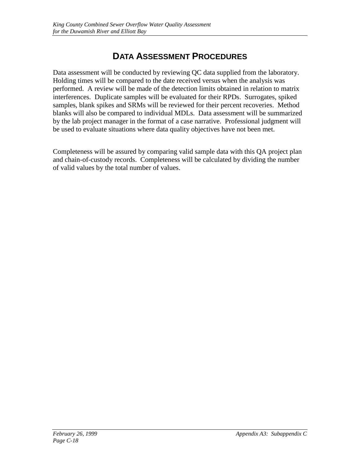# **DATA ASSESSMENT PROCEDURES**

Data assessment will be conducted by reviewing QC data supplied from the laboratory. Holding times will be compared to the date received versus when the analysis was performed. A review will be made of the detection limits obtained in relation to matrix interferences. Duplicate samples will be evaluated for their RPDs. Surrogates, spiked samples, blank spikes and SRMs will be reviewed for their percent recoveries. Method blanks will also be compared to individual MDLs. Data assessment will be summarized by the lab project manager in the format of a case narrative. Professional judgment will be used to evaluate situations where data quality objectives have not been met.

Completeness will be assured by comparing valid sample data with this QA project plan and chain-of-custody records. Completeness will be calculated by dividing the number of valid values by the total number of values.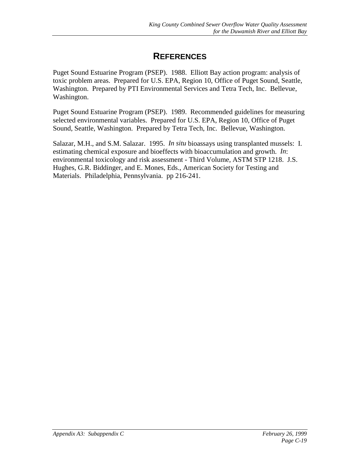## **REFERENCES**

Puget Sound Estuarine Program (PSEP). 1988. Elliott Bay action program: analysis of toxic problem areas. Prepared for U.S. EPA, Region 10, Office of Puget Sound, Seattle, Washington. Prepared by PTI Environmental Services and Tetra Tech, Inc. Bellevue, Washington.

Puget Sound Estuarine Program (PSEP). 1989. Recommended guidelines for measuring selected environmental variables. Prepared for U.S. EPA, Region 10, Office of Puget Sound, Seattle, Washington. Prepared by Tetra Tech, Inc. Bellevue, Washington.

Salazar, M.H., and S.M. Salazar. 1995. *In situ* bioassays using transplanted mussels: I. estimating chemical exposure and bioeffects with bioaccumulation and growth. *In*: environmental toxicology and risk assessment - Third Volume, ASTM STP 1218. J.S. Hughes, G.R. Biddinger, and E. Mones, Eds., American Society for Testing and Materials. Philadelphia, Pennsylvania. pp 216-241.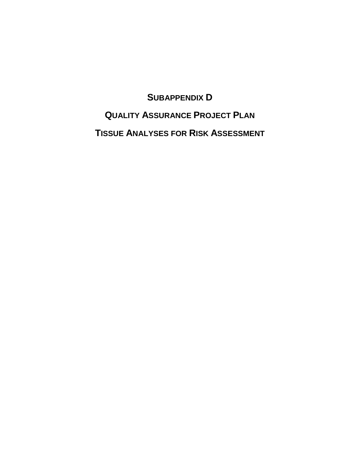**SUBAPPENDIX D**

**QUALITY ASSURANCE PROJECT PLAN TISSUE ANALYSES FOR RISK ASSESSMENT**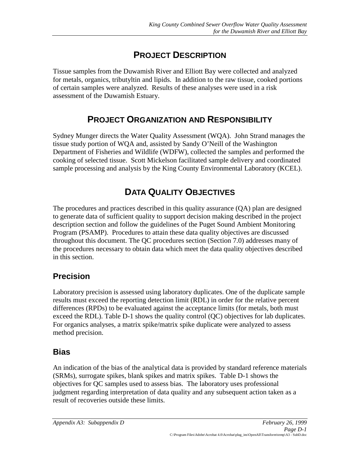# **PROJECT DESCRIPTION**

Tissue samples from the Duwamish River and Elliott Bay were collected and analyzed for metals, organics, tributyltin and lipids. In addition to the raw tissue, cooked portions of certain samples were analyzed. Results of these analyses were used in a risk assessment of the Duwamish Estuary.

## **PROJECT ORGANIZATION AND RESPONSIBILITY**

Sydney Munger directs the Water Quality Assessment (WQA). John Strand manages the tissue study portion of WQA and, assisted by Sandy O'Neill of the Washington Department of Fisheries and Wildlife (WDFW), collected the samples and performed the cooking of selected tissue. Scott Mickelson facilitated sample delivery and coordinated sample processing and analysis by the King County Environmental Laboratory (KCEL).

# **DATA QUALITY OBJECTIVES**

The procedures and practices described in this quality assurance (QA) plan are designed to generate data of sufficient quality to support decision making described in the project description section and follow the guidelines of the Puget Sound Ambient Monitoring Program (PSAMP). Procedures to attain these data quality objectives are discussed throughout this document. The QC procedures section (Section 7.0) addresses many of the procedures necessary to obtain data which meet the data quality objectives described in this section.

#### **Precision**

Laboratory precision is assessed using laboratory duplicates. One of the duplicate sample results must exceed the reporting detection limit (RDL) in order for the relative percent differences (RPDs) to be evaluated against the acceptance limits (for metals, both must exceed the RDL). Table D-1 shows the quality control (QC) objectives for lab duplicates. For organics analyses, a matrix spike/matrix spike duplicate were analyzed to assess method precision.

#### **Bias**

An indication of the bias of the analytical data is provided by standard reference materials (SRMs), surrogate spikes, blank spikes and matrix spikes. Table D-1 shows the objectives for QC samples used to assess bias. The laboratory uses professional judgment regarding interpretation of data quality and any subsequent action taken as a result of recoveries outside these limits.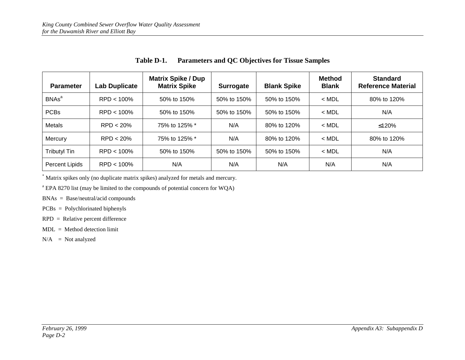| <b>Parameter</b>    | Lab Duplicate | <b>Matrix Spike / Dup</b><br><b>Matrix Spike</b> | <b>Surrogate</b> | <b>Blank Spike</b> | <b>Method</b><br><b>Blank</b> | <b>Standard</b><br><b>Reference Material</b> |
|---------------------|---------------|--------------------------------------------------|------------------|--------------------|-------------------------------|----------------------------------------------|
| BNAs <sup>a</sup>   | $RPD < 100\%$ | 50% to 150%                                      | 50% to 150%      | 50% to 150%        | $<$ MDL                       | 80% to 120%                                  |
| <b>PCBs</b>         | $RPD < 100\%$ | 50% to 150%                                      | 50% to 150%      | 50% to 150%        | $<$ MDL                       | N/A                                          |
| Metals              | $RPD < 20\%$  | 75% to 125% *                                    | N/A              | 80% to 120%        | $<$ MDL                       | ≤120%                                        |
| Mercury             | RPD < 20%     | 75% to 125% *                                    | N/A              | 80% to 120%        | $<$ MDL                       | 80% to 120%                                  |
| <b>Tributyl Tin</b> | $RPD < 100\%$ | 50% to 150%                                      | 50% to 150%      | 50% to 150%        | $<$ MDL                       | N/A                                          |
| Percent Lipids      | $RPD < 100\%$ | N/A                                              | N/A              | N/A                | N/A                           | N/A                                          |

**Table D-1. Parameters and QC Objectives for Tissue Samples**

\* Matrix spikes only (no duplicate matrix spikes) analyzed for metals and mercury.

<sup>a</sup> EPA 8270 list (may be limited to the compounds of potential concern for WQA)

BNAs = Base/neutral/acid compounds

PCBs = Polychlorinated biphenyls

RPD = Relative percent difference

 $MDL = Method detection limit$ 

 $N/A$  = Not analyzed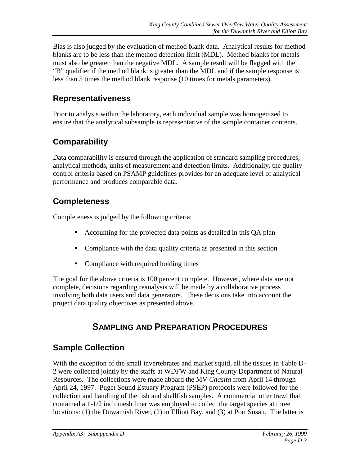Bias is also judged by the evaluation of method blank data. Analytical results for method blanks are to be less than the method detection limit (MDL). Method blanks for metals must also be greater than the negative MDL. A sample result will be flagged with the "B" qualifier if the method blank is greater than the MDL and if the sample response is less than 5 times the method blank response (10 times for metals parameters).

#### **Representativeness**

Prior to analysis within the laboratory, each individual sample was homogenized to ensure that the analytical subsample is representative of the sample container contents.

## **Comparability**

Data comparability is ensured through the application of standard sampling procedures, analytical methods, units of measurement and detection limits. Additionally, the quality control criteria based on PSAMP guidelines provides for an adequate level of analytical performance and produces comparable data.

# **Completeness**

Completeness is judged by the following criteria:

- Accounting for the projected data points as detailed in this QA plan
- Compliance with the data quality criteria as presented in this section
- Compliance with required holding times

The goal for the above criteria is 100 percent complete. However, where data are not complete, decisions regarding reanalysis will be made by a collaborative process involving both data users and data generators. These decisions take into account the project data quality objectives as presented above.

# **SAMPLING AND PREPARATION PROCEDURES**

## **Sample Collection**

With the exception of the small invertebrates and market squid, all the tissues in Table D-2 were collected jointly by the staffs at WDFW and King County Department of Natural Resources. The collections were made aboard the MV *Chasita* from April 14 through April 24, 1997. Puget Sound Estuary Program (PSEP) protocols were followed for the collection and handling of the fish and shellfish samples. A commercial otter trawl that contained a 1-1/2 inch mesh liner was employed to collect the target species at three locations: (1) the Duwamish River, (2) in Elliott Bay, and (3) at Port Susan. The latter is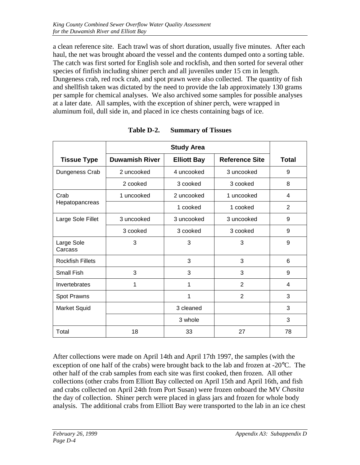a clean reference site. Each trawl was of short duration, usually five minutes. After each haul, the net was brought aboard the vessel and the contents dumped onto a sorting table. The catch was first sorted for English sole and rockfish, and then sorted for several other species of finfish including shiner perch and all juveniles under 15 cm in length. Dungeness crab, red rock crab, and spot prawn were also collected. The quantity of fish and shellfish taken was dictated by the need to provide the lab approximately 130 grams per sample for chemical analyses. We also archived some samples for possible analyses at a later date. All samples, with the exception of shiner perch, were wrapped in aluminum foil, dull side in, and placed in ice chests containing bags of ice.

| <b>Tissue Type</b>      | <b>Duwamish River</b> | <b>Elliott Bay</b> | <b>Reference Site</b> | <b>Total</b>   |
|-------------------------|-----------------------|--------------------|-----------------------|----------------|
| Dungeness Crab          | 2 uncooked            | 4 uncooked         | 3 uncooked            | 9              |
|                         | 2 cooked              | 3 cooked           | 3 cooked              | 8              |
| Crab                    | 1 uncooked            | 2 uncooked         | 1 uncooked            | $\overline{4}$ |
| Hepatopancreas          |                       | 1 cooked           | 1 cooked              | $\overline{2}$ |
| Large Sole Fillet       | 3 uncooked            | 3 uncooked         | 3 uncooked            | 9              |
|                         | 3 cooked              | 3 cooked           | 3 cooked              | 9              |
| Large Sole<br>Carcass   | 3                     | 3                  | 3                     | 9              |
| <b>Rockfish Fillets</b> |                       | 3                  | 3                     | 6              |
| <b>Small Fish</b>       | 3                     | 3                  | 3                     | 9              |
| Invertebrates           | 1                     | 1                  | $\overline{2}$        | 4              |
| Spot Prawns             |                       | 1                  | $\overline{2}$        | 3              |
| <b>Market Squid</b>     |                       | 3 cleaned          |                       | 3              |
|                         |                       | 3 whole            |                       | 3              |
| Total                   | 18                    | 33                 | 27                    | 78             |

**Table D-2. Summary of Tissues**

After collections were made on April 14th and April 17th 1997, the samples (with the exception of one half of the crabs) were brought back to the lab and frozen at -20°C. The other half of the crab samples from each site was first cooked, then frozen. All other collections (other crabs from Elliott Bay collected on April 15th and April 16th, and fish and crabs collected on April 24th from Port Susan) were frozen onboard the MV *Chasita* the day of collection. Shiner perch were placed in glass jars and frozen for whole body analysis. The additional crabs from Elliott Bay were transported to the lab in an ice chest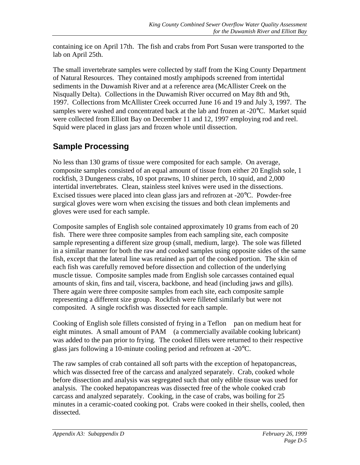containing ice on April 17th. The fish and crabs from Port Susan were transported to the lab on April 25th.

The small invertebrate samples were collected by staff from the King County Department of Natural Resources. They contained mostly amphipods screened from intertidal sediments in the Duwamish River and at a reference area (McAllister Creek on the Nisqually Delta). Collections in the Duwamish River occurred on May 8th and 9th, 1997. Collections from McAllister Creek occurred June 16 and 19 and July 3, 1997. The samples were washed and concentrated back at the lab and frozen at -20°C. Market squid were collected from Elliott Bay on December 11 and 12, 1997 employing rod and reel. Squid were placed in glass jars and frozen whole until dissection.

# **Sample Processing**

No less than 130 grams of tissue were composited for each sample. On average, composite samples consisted of an equal amount of tissue from either 20 English sole, 1 rockfish, 3 Dungeness crabs, 10 spot prawns, 10 shiner perch, 10 squid, and 2,000 intertidal invertebrates. Clean, stainless steel knives were used in the dissections. Excised tissues were placed into clean glass jars and refrozen at -20°C. Powder-free surgical gloves were worn when excising the tissues and both clean implements and gloves were used for each sample.

Composite samples of English sole contained approximately 10 grams from each of 20 fish. There were three composite samples from each sampling site, each composite sample representing a different size group (small, medium, large). The sole was filleted in a similar manner for both the raw and cooked samples using opposite sides of the same fish, except that the lateral line was retained as part of the cooked portion. The skin of each fish was carefully removed before dissection and collection of the underlying muscle tissue. Composite samples made from English sole carcasses contained equal amounts of skin, fins and tail, viscera, backbone, and head (including jaws and gills). There again were three composite samples from each site, each composite sample representing a different size group. Rockfish were filleted similarly but were not composited. A single rockfish was dissected for each sample.

Cooking of English sole fillets consisted of frying in a  $\text{Teflon} \otimes \text{pan}$  on medium heat for eight minutes. A small amount of PAM® (a commercially available cooking lubricant) was added to the pan prior to frying. The cooked fillets were returned to their respective glass jars following a 10-minute cooling period and refrozen at -20°C.

The raw samples of crab contained all soft parts with the exception of hepatopancreas, which was dissected free of the carcass and analyzed separately. Crab, cooked whole before dissection and analysis was segregated such that only edible tissue was used for analysis. The cooked hepatopancreas was dissected free of the whole cooked crab carcass and analyzed separately. Cooking, in the case of crabs, was boiling for 25 minutes in a ceramic-coated cooking pot. Crabs were cooked in their shells, cooled, then dissected.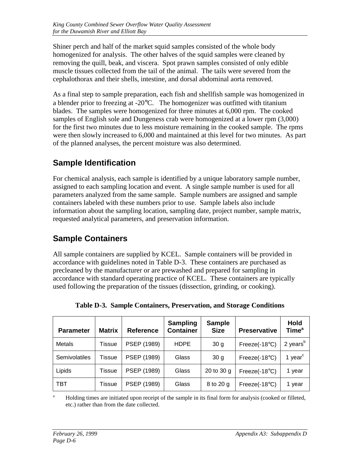Shiner perch and half of the market squid samples consisted of the whole body homogenized for analysis. The other halves of the squid samples were cleaned by removing the quill, beak, and viscera. Spot prawn samples consisted of only edible muscle tissues collected from the tail of the animal. The tails were severed from the cephalothorax and their shells, intestine, and dorsal abdominal aorta removed.

As a final step to sample preparation, each fish and shellfish sample was homogenized in a blender prior to freezing at -20°C. The homogenizer was outfitted with titanium blades. The samples were homogenized for three minutes at 6,000 rpm. The cooked samples of English sole and Dungeness crab were homogenized at a lower rpm (3,000) for the first two minutes due to less moisture remaining in the cooked sample. The rpms were then slowly increased to 6,000 and maintained at this level for two minutes. As part of the planned analyses, the percent moisture was also determined.

# **Sample Identification**

For chemical analysis, each sample is identified by a unique laboratory sample number, assigned to each sampling location and event. A single sample number is used for all parameters analyzed from the same sample. Sample numbers are assigned and sample containers labeled with these numbers prior to use. Sample labels also include information about the sampling location, sampling date, project number, sample matrix, requested analytical parameters, and preservation information.

# **Sample Containers**

All sample containers are supplied by KCEL. Sample containers will be provided in accordance with guidelines noted in Table D-3. These containers are purchased as precleaned by the manufacturer or are prewashed and prepared for sampling in accordance with standard operating practice of KCEL. These containers are typically used following the preparation of the tissues (dissection, grinding, or cooking).

| <b>Parameter</b> | <b>Matrix</b> | <b>Reference</b> | <b>Sampling</b><br><b>Container</b> | <b>Sample</b><br><b>Size</b> | <b>Preservative</b>     | <b>Hold</b><br>Time <sup>a</sup> |
|------------------|---------------|------------------|-------------------------------------|------------------------------|-------------------------|----------------------------------|
| Metals           | Tissue        | PSEP (1989)      | <b>HDPE</b>                         | 30 <sub>g</sub>              | Freeze $(-18^{\circ}C)$ | 2 years <sup>b</sup>             |
| Semivolatiles    | Tissue        | PSEP (1989)      | Glass                               | 30 <sub>g</sub>              | Freeze $(-18^{\circ}C)$ | 1 year $c$                       |
| Lipids           | Tissue        | PSEP (1989)      | Glass                               | 20 to 30 g                   | Freeze $(-18^{\circ}C)$ | 1 year                           |
| TBT              | Tissue        | PSEP (1989)      | Glass                               | 8 to 20 g                    | Freeze $(-18^{\circ}C)$ | 1 year                           |

**Table D-3. Sample Containers, Preservation, and Storage Conditions**

 Holding times are initiated upon receipt of the sample in its final form for analysis (cooked or filleted, etc.) rather than from the date collected.

a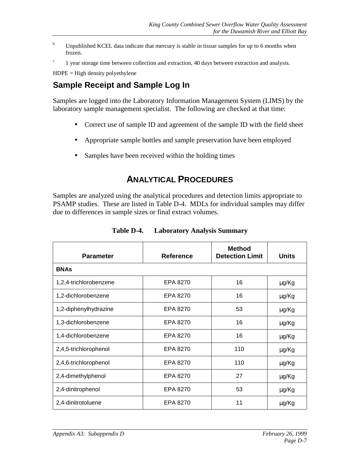- b Unpublished KCEL data indicate that mercury is stable in tissue samples for up to 6 months when frozen.
- c 1 year storage time between collection and extraction, 40 days between extraction and analysis.

 $HDPE = High density polyethylene$ 

#### **Sample Receipt and Sample Log In**

Samples are logged into the Laboratory Information Management System (LIMS) by the laboratory sample management specialist. The following are checked at that time:

- Correct use of sample ID and agreement of the sample ID with the field sheet
- Appropriate sample bottles and sample preservation have been employed
- Samples have been received within the holding times

#### **ANALYTICAL PROCEDURES**

Samples are analyzed using the analytical procedures and detection limits appropriate to PSAMP studies. These are listed in Table D-4. MDLs for individual samples may differ due to differences in sample sizes or final extract volumes.

| <b>Parameter</b>       | <b>Reference</b> | <b>Method</b><br><b>Detection Limit</b> | <b>Units</b> |
|------------------------|------------------|-----------------------------------------|--------------|
| <b>BNAs</b>            |                  |                                         |              |
| 1,2,4-trichlorobenzene | EPA 8270         | 16                                      | μg/Kg        |
| 1,2-dichlorobenzene    | EPA 8270         | 16                                      | μg/Kg        |
| 1,2-diphenylhydrazine  | EPA 8270         | 53                                      | μg/Kg        |
| 1,3-dichlorobenzene    | EPA 8270         | 16                                      | μg/Kg        |
| 1,4-dichlorobenzene    | EPA 8270         | 16                                      | μg/Kg        |
| 2,4,5-trichlorophenol  | EPA 8270         | 110                                     | μg/Kg        |
| 2,4,6-trichlorophenol  | EPA 8270         | 110                                     | μg/Kg        |
| 2,4-dimethylphenol     | EPA 8270         | 27                                      | μg/Kg        |
| 2,4-dinitrophenol      | EPA 8270         | 53                                      | μg/Kg        |
| 2,4-dinitrotoluene     | EPA 8270         | 11                                      | μg/Kg        |

**Table D-4. Laboratory Analysis Summary**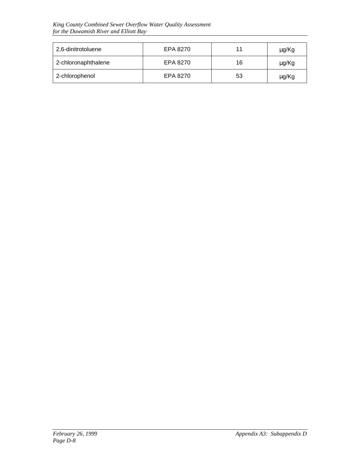| 2,6-dinitrotoluene  | EPA 8270 | 11 | μg/Kg |
|---------------------|----------|----|-------|
| 2-chloronaphthalene | EPA 8270 | 16 | μg/Kg |
| 2-chlorophenol      | EPA 8270 | 53 | μg/Kg |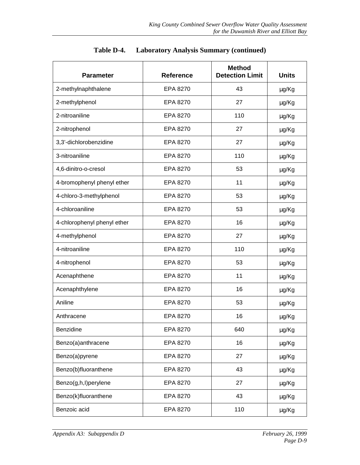| <b>Parameter</b>            | <b>Reference</b> | <b>Method</b><br><b>Detection Limit</b> | <b>Units</b> |
|-----------------------------|------------------|-----------------------------------------|--------------|
| 2-methylnaphthalene         | EPA 8270         | 43                                      | µg/Kg        |
| 2-methylphenol              | EPA 8270         | 27                                      | µg/Kg        |
| 2-nitroaniline              | EPA 8270         | 110                                     | µg/Kg        |
| 2-nitrophenol               | EPA 8270         | 27                                      | μg/Kg        |
| 3,3'-dichlorobenzidine      | EPA 8270         | 27                                      | μg/Kg        |
| 3-nitroaniline              | EPA 8270         | 110                                     | µg/Kg        |
| 4,6-dinitro-o-cresol        | EPA 8270         | 53                                      | μg/Kg        |
| 4-bromophenyl phenyl ether  | EPA 8270         | 11                                      | μg/Kg        |
| 4-chloro-3-methylphenol     | EPA 8270         | 53                                      | μg/Kg        |
| 4-chloroaniline             | EPA 8270         | 53                                      | μg/Kg        |
| 4-chlorophenyl phenyl ether | EPA 8270         | 16                                      | μg/Kg        |
| 4-methylphenol              | EPA 8270         | 27                                      | μg/Kg        |
| 4-nitroaniline              | EPA 8270         | 110                                     | µg/Kg        |
| 4-nitrophenol               | EPA 8270         | 53                                      | μg/Kg        |
| Acenaphthene                | EPA 8270         | 11                                      | µg/Kg        |
| Acenaphthylene              | EPA 8270         | 16                                      | μg/Kg        |
| Aniline                     | EPA 8270         | 53                                      | μg/Kg        |
| Anthracene                  | EPA 8270         | 16                                      | μg/Kg        |
| Benzidine                   | EPA 8270         | 640                                     | µg/Kg        |
| Benzo(a)anthracene          | EPA 8270         | 16                                      | µg/Kg        |
| Benzo(a)pyrene              | EPA 8270         | 27                                      | μg/Kg        |
| Benzo(b)fluoranthene        | EPA 8270         | 43                                      | μg/Kg        |
| Benzo(g,h,l)perylene        | EPA 8270         | 27                                      | μg/Kg        |
| Benzo(k)fluoranthene        | EPA 8270         | 43                                      | μg/Kg        |
| Benzoic acid                | EPA 8270         | 110                                     | μg/Kg        |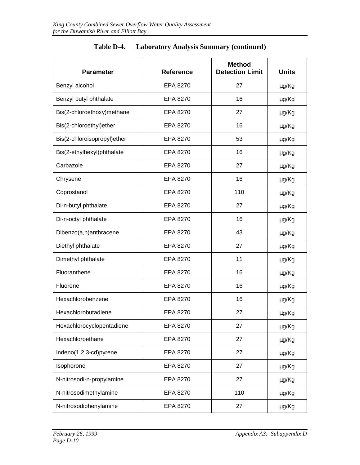| <b>Parameter</b>            | <b>Reference</b> | <b>Method</b><br><b>Detection Limit</b> | <b>Units</b> |
|-----------------------------|------------------|-----------------------------------------|--------------|
| Benzyl alcohol              | EPA 8270         | 27                                      | μg/Kg        |
| Benzyl butyl phthalate      | EPA 8270         | 16                                      | μg/Kg        |
| Bis(2-chloroethoxy)methane  | EPA 8270         | 27                                      | μg/Kg        |
| Bis(2-chloroethyl)ether     | EPA 8270         | 16                                      | µg/Kg        |
| Bis(2-chloroisopropyl)ether | EPA 8270         | 53                                      | μg/Kg        |
| Bis(2-ethylhexyl)phthalate  | EPA 8270         | 16                                      | µg/Kg        |
| Carbazole                   | EPA 8270         | 27                                      | μg/Kg        |
| Chrysene                    | EPA 8270         | 16                                      | μg/Kg        |
| Coprostanol                 | EPA 8270         | 110                                     | μg/Kg        |
| Di-n-butyl phthalate        | EPA 8270         | 27                                      | µg/Kg        |
| Di-n-octyl phthalate        | EPA 8270         | 16                                      | μg/Kg        |
| Dibenzo(a,h)anthracene      | EPA 8270         | 43                                      | μg/Kg        |
| Diethyl phthalate           | EPA 8270         | 27                                      | μg/Kg        |
| Dimethyl phthalate          | EPA 8270         | 11                                      | μg/Kg        |
| Fluoranthene                | EPA 8270         | 16                                      | μg/Kg        |
| Fluorene                    | 16<br>EPA 8270   |                                         | µg/Kg        |
| Hexachlorobenzene           | EPA 8270         | 16                                      | µg/Kg        |
| Hexachlorobutadiene         | EPA 8270         | 27                                      | μg/Kg        |
| Hexachlorocyclopentadiene   | EPA 8270         | 27                                      | µg/Kg        |
| Hexachloroethane            | EPA 8270         | 27                                      | µg/Kg        |
| Indeno(1,2,3-cd)pyrene      | EPA 8270         | 27                                      | µg/Kg        |
| Isophorone                  | EPA 8270         | 27                                      | µg/Kg        |
| N-nitrosodi-n-propylamine   | EPA 8270         | 27                                      | µg/Kg        |
| N-nitrosodimethylamine      | EPA 8270         | 110                                     | µg/Kg        |
| N-nitrosodiphenylamine      | EPA 8270         | 27                                      | µg/Kg        |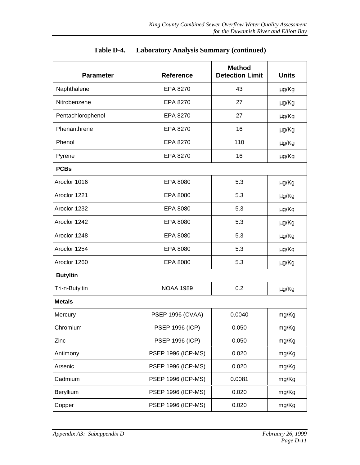| <b>Parameter</b>  | <b>Method</b><br><b>Detection Limit</b><br><b>Reference</b> |        | <b>Units</b> |  |
|-------------------|-------------------------------------------------------------|--------|--------------|--|
| Naphthalene       | 43<br>EPA 8270                                              |        | μg/Kg        |  |
| Nitrobenzene      | EPA 8270                                                    | 27     | µg/Kg        |  |
| Pentachlorophenol | EPA 8270                                                    | 27     | µg/Kg        |  |
| Phenanthrene      | EPA 8270                                                    | 16     | µg/Kg        |  |
| Phenol            | 110<br>EPA 8270                                             |        | μg/Kg        |  |
| Pyrene            | EPA 8270<br>16                                              |        | µg/Kg        |  |
| <b>PCBs</b>       |                                                             |        |              |  |
| Aroclor 1016      | 5.3<br>EPA 8080                                             |        | μg/Kg        |  |
| Aroclor 1221      | EPA 8080                                                    | 5.3    | µg/Kg        |  |
| Aroclor 1232      | EPA 8080                                                    | 5.3    | µg/Kg        |  |
| Aroclor 1242      | EPA 8080                                                    | 5.3    | µg/Kg        |  |
| Aroclor 1248      | EPA 8080                                                    | 5.3    | µg/Kg        |  |
| Aroclor 1254      | EPA 8080                                                    | 5.3    | µg/Kg        |  |
| Aroclor 1260      | 5.3<br>EPA 8080                                             |        | μg/Kg        |  |
| <b>Butyltin</b>   |                                                             |        |              |  |
| Tri-n-Butyltin    | <b>NOAA 1989</b>                                            | 0.2    | μg/Kg        |  |
| <b>Metals</b>     |                                                             |        |              |  |
| Mercury           | 0.0040<br><b>PSEP 1996 (CVAA)</b>                           |        | mg/Kg        |  |
| Chromium          | <b>PSEP 1996 (ICP)</b><br>0.050                             |        | mg/Kg        |  |
| Zinc              | <b>PSEP 1996 (ICP)</b><br>0.050                             |        | mg/Kg        |  |
| Antimony          | <b>PSEP 1996 (ICP-MS)</b><br>0.020                          |        | mg/Kg        |  |
| Arsenic           | <b>PSEP 1996 (ICP-MS)</b><br>0.020                          |        | mg/Kg        |  |
| Cadmium           | <b>PSEP 1996 (ICP-MS)</b>                                   | 0.0081 | mg/Kg        |  |
| Beryllium         | <b>PSEP 1996 (ICP-MS)</b>                                   | 0.020  | mg/Kg        |  |
| Copper            | <b>PSEP 1996 (ICP-MS)</b>                                   | 0.020  | mg/Kg        |  |

| Table D-4. | <b>Laboratory Analysis Summary (continued)</b> |  |  |  |
|------------|------------------------------------------------|--|--|--|
|------------|------------------------------------------------|--|--|--|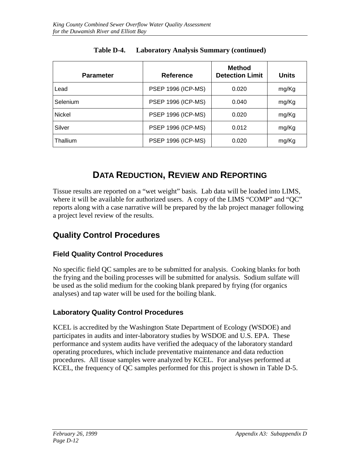| <b>Parameter</b> | <b>Reference</b>          | <b>Method</b><br><b>Detection Limit</b> | <b>Units</b> |
|------------------|---------------------------|-----------------------------------------|--------------|
| Lead             | <b>PSEP 1996 (ICP-MS)</b> | 0.020                                   | mg/Kg        |
| Selenium         | <b>PSEP 1996 (ICP-MS)</b> | 0.040                                   | mg/Kg        |
| <b>Nickel</b>    | <b>PSEP 1996 (ICP-MS)</b> | 0.020                                   | mg/Kg        |
| Silver           | <b>PSEP 1996 (ICP-MS)</b> | 0.012                                   | mg/Kg        |
| Thallium         | <b>PSEP 1996 (ICP-MS)</b> | 0.020                                   | mg/Kg        |

#### **Table D-4. Laboratory Analysis Summary (continued)**

### **DATA REDUCTION, REVIEW AND REPORTING**

Tissue results are reported on a "wet weight" basis. Lab data will be loaded into LIMS, where it will be available for authorized users. A copy of the LIMS "COMP" and "QC" reports along with a case narrative will be prepared by the lab project manager following a project level review of the results.

#### **Quality Control Procedures**

#### **Field Quality Control Procedures**

No specific field QC samples are to be submitted for analysis. Cooking blanks for both the frying and the boiling processes will be submitted for analysis. Sodium sulfate will be used as the solid medium for the cooking blank prepared by frying (for organics analyses) and tap water will be used for the boiling blank.

#### **Laboratory Quality Control Procedures**

KCEL is accredited by the Washington State Department of Ecology (WSDOE) and participates in audits and inter-laboratory studies by WSDOE and U.S. EPA. These performance and system audits have verified the adequacy of the laboratory standard operating procedures, which include preventative maintenance and data reduction procedures. All tissue samples were analyzed by KCEL. For analyses performed at KCEL, the frequency of QC samples performed for this project is shown in Table D-5.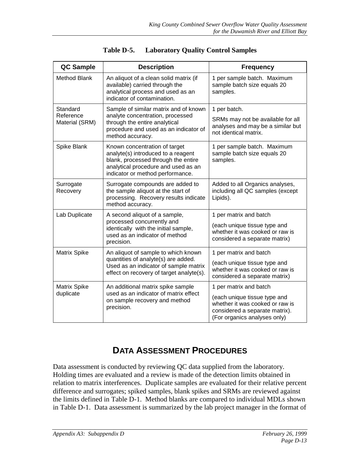| <b>QC Sample</b>                                         | <b>Description</b>                                                                                                                                                                    | <b>Frequency</b>                                                                                                                  |
|----------------------------------------------------------|---------------------------------------------------------------------------------------------------------------------------------------------------------------------------------------|-----------------------------------------------------------------------------------------------------------------------------------|
| <b>Method Blank</b>                                      | An aliquot of a clean solid matrix (if<br>available) carried through the<br>analytical process and used as an<br>indicator of contamination.                                          | 1 per sample batch. Maximum<br>sample batch size equals 20<br>samples.                                                            |
| Standard<br>Reference<br>Material (SRM)                  | Sample of similar matrix and of known<br>analyte concentration, processed<br>through the entire analytical<br>procedure and used as an indicator of<br>method accuracy.               | 1 per batch.<br>SRMs may not be available for all<br>analyses and may be a similar but<br>not identical matrix.                   |
| Spike Blank                                              | Known concentration of target<br>analyte(s) introduced to a reagent<br>blank, processed through the entire<br>analytical procedure and used as an<br>indicator or method performance. | 1 per sample batch. Maximum<br>sample batch size equals 20<br>samples.                                                            |
| Surrogate<br>Recovery                                    | Surrogate compounds are added to<br>the sample aliquot at the start of<br>processing. Recovery results indicate<br>method accuracy.                                                   | Added to all Organics analyses,<br>including all QC samples (except<br>Lipids).                                                   |
| Lab Duplicate                                            | A second aliquot of a sample,                                                                                                                                                         | 1 per matrix and batch                                                                                                            |
|                                                          | processed concurrently and<br>identically with the initial sample,<br>used as an indicator of method<br>precision.                                                                    | (each unique tissue type and<br>whether it was cooked or raw is<br>considered a separate matrix)                                  |
| Matrix Spike                                             | An aliquot of sample to which known                                                                                                                                                   | 1 per matrix and batch                                                                                                            |
|                                                          | quantities of analyte(s) are added.<br>Used as an indicator of sample matrix<br>effect on recovery of target analyte(s).                                                              | (each unique tissue type and<br>whether it was cooked or raw is<br>considered a separate matrix)                                  |
| <b>Matrix Spike</b><br>An additional matrix spike sample |                                                                                                                                                                                       | 1 per matrix and batch                                                                                                            |
| duplicate                                                | used as an indicator of matrix effect<br>on sample recovery and method<br>precision.                                                                                                  | (each unique tissue type and<br>whether it was cooked or raw is<br>considered a separate matrix).<br>(For organics analyses only) |

| Table D-5. | <b>Laboratory Quality Control Samples</b> |  |  |
|------------|-------------------------------------------|--|--|
|            |                                           |  |  |

### **DATA ASSESSMENT PROCEDURES**

Data assessment is conducted by reviewing QC data supplied from the laboratory. Holding times are evaluated and a review is made of the detection limits obtained in relation to matrix interferences. Duplicate samples are evaluated for their relative percent difference and surrogates; spiked samples, blank spikes and SRMs are reviewed against the limits defined in Table D-1. Method blanks are compared to individual MDLs shown in Table D-1. Data assessment is summarized by the lab project manager in the format of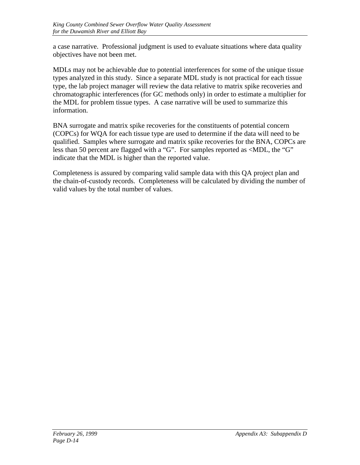a case narrative. Professional judgment is used to evaluate situations where data quality objectives have not been met.

MDLs may not be achievable due to potential interferences for some of the unique tissue types analyzed in this study. Since a separate MDL study is not practical for each tissue type, the lab project manager will review the data relative to matrix spike recoveries and chromatographic interferences (for GC methods only) in order to estimate a multiplier for the MDL for problem tissue types. A case narrative will be used to summarize this information.

BNA surrogate and matrix spike recoveries for the constituents of potential concern (COPCs) for WQA for each tissue type are used to determine if the data will need to be qualified. Samples where surrogate and matrix spike recoveries for the BNA, COPCs are less than 50 percent are flagged with a "G". For samples reported as <MDL, the "G" indicate that the MDL is higher than the reported value.

Completeness is assured by comparing valid sample data with this QA project plan and the chain-of-custody records. Completeness will be calculated by dividing the number of valid values by the total number of values.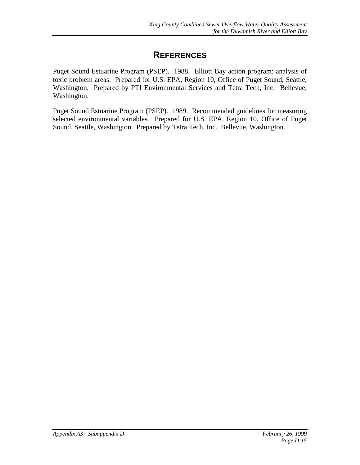### **REFERENCES**

Puget Sound Estuarine Program (PSEP). 1988. Elliott Bay action program: analysis of toxic problem areas. Prepared for U.S. EPA, Region 10, Office of Puget Sound, Seattle, Washington. Prepared by PTI Environmental Services and Tetra Tech, Inc. Bellevue, Washington.

Puget Sound Estuarine Program (PSEP). 1989. Recommended guidelines for measuring selected environmental variables. Prepared for U.S. EPA, Region 10, Office of Puget Sound, Seattle, Washington. Prepared by Tetra Tech, Inc. Bellevue, Washington.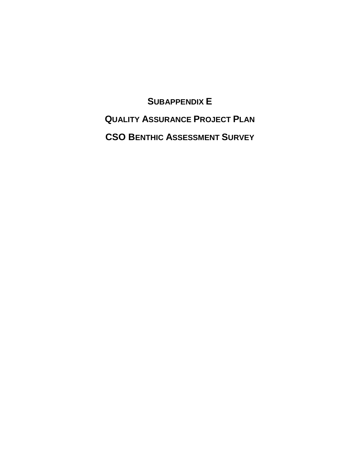**SUBAPPENDIX E QUALITY ASSURANCE PROJECT PLAN CSO BENTHIC ASSESSMENT SURVEY**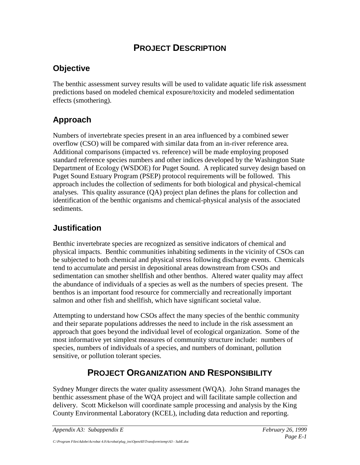## **PROJECT DESCRIPTION**

### **Objective**

The benthic assessment survey results will be used to validate aquatic life risk assessment predictions based on modeled chemical exposure/toxicity and modeled sedimentation effects (smothering).

## **Approach**

Numbers of invertebrate species present in an area influenced by a combined sewer overflow (CSO) will be compared with similar data from an in-river reference area. Additional comparisons (impacted vs. reference) will be made employing proposed standard reference species numbers and other indices developed by the Washington State Department of Ecology (WSDOE) for Puget Sound. A replicated survey design based on Puget Sound Estuary Program (PSEP) protocol requirements will be followed. This approach includes the collection of sediments for both biological and physical-chemical analyses. This quality assurance (QA) project plan defines the plans for collection and identification of the benthic organisms and chemical-physical analysis of the associated sediments.

### **Justification**

Benthic invertebrate species are recognized as sensitive indicators of chemical and physical impacts. Benthic communities inhabiting sediments in the vicinity of CSOs can be subjected to both chemical and physical stress following discharge events. Chemicals tend to accumulate and persist in depositional areas downstream from CSOs and sedimentation can smother shellfish and other benthos. Altered water quality may affect the abundance of individuals of a species as well as the numbers of species present. The benthos is an important food resource for commercially and recreationally important salmon and other fish and shellfish, which have significant societal value.

Attempting to understand how CSOs affect the many species of the benthic community and their separate populations addresses the need to include in the risk assessment an approach that goes beyond the individual level of ecological organization. Some of the most informative yet simplest measures of community structure include: numbers of species, numbers of individuals of a species, and numbers of dominant, pollution sensitive, or pollution tolerant species.

# **PROJECT ORGANIZATION AND RESPONSIBILITY**

Sydney Munger directs the water quality assessment (WQA). John Strand manages the benthic assessment phase of the WQA project and will facilitate sample collection and delivery. Scott Mickelson will coordinate sample processing and analysis by the King County Environmental Laboratory (KCEL), including data reduction and reporting.

*Appendix A3: Subappendix E February 26, 1999*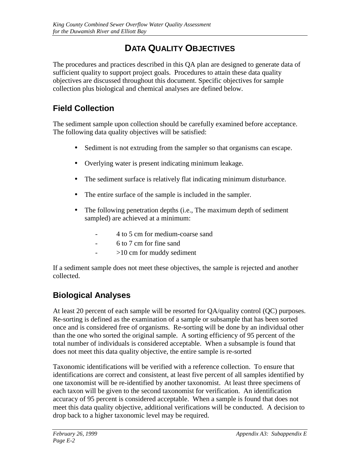# **DATA QUALITY OBJECTIVES**

The procedures and practices described in this QA plan are designed to generate data of sufficient quality to support project goals. Procedures to attain these data quality objectives are discussed throughout this document. Specific objectives for sample collection plus biological and chemical analyses are defined below.

## **Field Collection**

The sediment sample upon collection should be carefully examined before acceptance. The following data quality objectives will be satisfied:

- Sediment is not extruding from the sampler so that organisms can escape.
- Overlying water is present indicating minimum leakage.
- The sediment surface is relatively flat indicating minimum disturbance.
- The entire surface of the sample is included in the sampler.
- The following penetration depths (i.e., The maximum depth of sediment sampled) are achieved at a minimum:
	- 4 to 5 cm for medium-coarse sand
	- 6 to 7 cm for fine sand
	- >10 cm for muddy sediment

If a sediment sample does not meet these objectives, the sample is rejected and another collected.

# **Biological Analyses**

At least 20 percent of each sample will be resorted for QA/quality control (QC) purposes. Re-sorting is defined as the examination of a sample or subsample that has been sorted once and is considered free of organisms. Re-sorting will be done by an individual other than the one who sorted the original sample. A sorting efficiency of 95 percent of the total number of individuals is considered acceptable. When a subsample is found that does not meet this data quality objective, the entire sample is re-sorted

Taxonomic identifications will be verified with a reference collection. To ensure that identifications are correct and consistent, at least five percent of all samples identified by one taxonomist will be re-identified by another taxonomist. At least three specimens of each taxon will be given to the second taxonomist for verification. An identification accuracy of 95 percent is considered acceptable. When a sample is found that does not meet this data quality objective, additional verifications will be conducted. A decision to drop back to a higher taxonomic level may be required.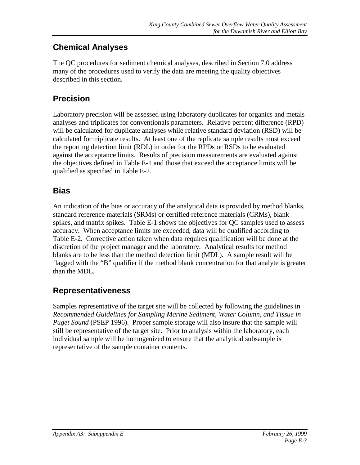#### **Chemical Analyses**

The QC procedures for sediment chemical analyses, described in Section 7.0 address many of the procedures used to verify the data are meeting the quality objectives described in this section.

#### **Precision**

Laboratory precision will be assessed using laboratory duplicates for organics and metals analyses and triplicates for conventionals parameters. Relative percent difference (RPD) will be calculated for duplicate analyses while relative standard deviation (RSD) will be calculated for triplicate results. At least one of the replicate sample results must exceed the reporting detection limit (RDL) in order for the RPDs or RSDs to be evaluated against the acceptance limits. Results of precision measurements are evaluated against the objectives defined in Table E-1 and those that exceed the acceptance limits will be qualified as specified in Table E-2.

#### **Bias**

An indication of the bias or accuracy of the analytical data is provided by method blanks, standard reference materials (SRMs) or certified reference materials (CRMs), blank spikes, and matrix spikes. Table E-1 shows the objectives for QC samples used to assess accuracy. When acceptance limits are exceeded, data will be qualified according to Table E-2. Corrective action taken when data requires qualification will be done at the discretion of the project manager and the laboratory. Analytical results for method blanks are to be less than the method detection limit (MDL). A sample result will be flagged with the "B" qualifier if the method blank concentration for that analyte is greater than the MDL.

#### **Representativeness**

Samples representative of the target site will be collected by following the guidelines in *Recommended Guidelines for Sampling Marine Sediment, Water Column, and Tissue in Puget Sound* (PSEP 1996). Proper sample storage will also insure that the sample will still be representative of the target site. Prior to analysis within the laboratory, each individual sample will be homogenized to ensure that the analytical subsample is representative of the sample container contents.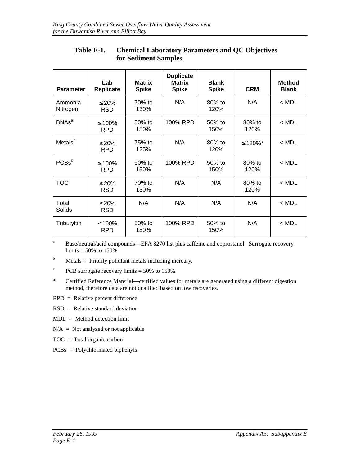| <b>Parameter</b>        | Lab<br>Replicate           | <b>Matrix</b><br><b>Spike</b> | <b>Duplicate</b><br><b>Matrix</b><br><b>Spike</b> | <b>Blank</b><br><b>Spike</b> | <b>CRM</b>        | <b>Method</b><br><b>Blank</b> |
|-------------------------|----------------------------|-------------------------------|---------------------------------------------------|------------------------------|-------------------|-------------------------------|
| Ammonia<br>Nitrogen     | $\leq 20\%$<br><b>RSD</b>  | 70% to<br>130%                | N/A                                               | $80\%$ to<br>120%            | N/A               | $<$ MDL                       |
| <b>BNAs<sup>a</sup></b> | ≤ 100%<br><b>RPD</b>       | $50%$ to<br>150%              | 100% RPD                                          | 50% to<br>150%               | 80% to<br>120%    | $<$ MDL                       |
| Metals <sup>b</sup>     | $\leq 20\%$<br><b>RPD</b>  | 75% to<br>125%                | N/A                                               | $80\%$ to<br>120%            | ≤ 120%*           | $<$ MDL                       |
| PCBs <sup>c</sup>       | ≤ 100%<br><b>RPD</b>       | $50%$ to<br>150%              | 100% RPD                                          | 50% to<br>150%               | $80\%$ to<br>120% | $<$ MDL                       |
| <b>TOC</b>              | $\leq 20\%$<br><b>RSD</b>  | 70% to<br>130%                | N/A                                               | N/A                          | $80%$ to<br>120%  | $<$ MDL                       |
| Total<br>Solids         | $\leq 20\%$<br><b>RSD</b>  | N/A                           | N/A                                               | N/A                          | N/A               | $<$ MDL                       |
| Tributyltin             | $\leq 100\%$<br><b>RPD</b> | $50\%$ to<br>150%             | 100% RPD                                          | 50% to<br>150%               | N/A               | $<$ MDL                       |

#### **Table E-1. Chemical Laboratory Parameters and QC Objectives for Sediment Samples**

a Base/neutral/acid compounds—EPA 8270 list plus caffeine and coprostanol. Surrogate recovery limits  $= 50\%$  to 150%.

b Metals = Priority pollutant metals including mercury.

 $\mathbf c$ PCB surrogate recovery limits = 50% to 150%.

\* Certified Reference Material—certified values for metals are generated using a different digestion method, therefore data are not qualified based on low recoveries.

RPD = Relative percent difference

 $RSD = Relative standard deviation$ 

MDL = Method detection limit

 $N/A$  = Not analyzed or not applicable

TOC = Total organic carbon

PCBs = Polychlorinated biphenyls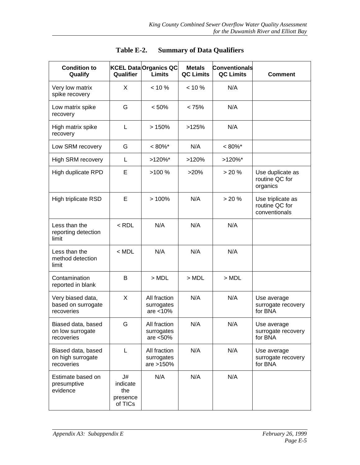| <b>Condition to</b><br>Qualify                        | Qualifier                                    | <b>KCEL Data Organics QC</b><br><b>Limits</b> | <b>Metals</b><br><b>QC Limits</b> | <b>Conventionals</b><br><b>QC Limits</b> | <b>Comment</b>                                       |
|-------------------------------------------------------|----------------------------------------------|-----------------------------------------------|-----------------------------------|------------------------------------------|------------------------------------------------------|
| Very low matrix<br>spike recovery                     | X                                            | $< 10 \%$                                     | $< 10 \%$                         | N/A                                      |                                                      |
| Low matrix spike<br>recovery                          | G                                            | < 50%                                         | < 75%                             | N/A                                      |                                                      |
| High matrix spike<br>recovery                         | L                                            | >150%                                         | >125%                             | N/A                                      |                                                      |
| Low SRM recovery                                      | G                                            | $< 80\%$ *                                    | N/A                               | $< 80\%$ *                               |                                                      |
| High SRM recovery                                     | L                                            | $>120\%$ *                                    | >120%                             | $>120\%$ *                               |                                                      |
| High duplicate RPD                                    | E                                            | >100%                                         | >20%                              | > 20%                                    | Use duplicate as<br>routine QC for<br>organics       |
| High triplicate RSD                                   | E                                            | >100%                                         | N/A                               | > 20%                                    | Use triplicate as<br>routine QC for<br>conventionals |
| Less than the<br>reporting detection<br>limit         | $<$ RDL                                      | N/A                                           | N/A                               | N/A                                      |                                                      |
| Less than the<br>method detection<br>limit            | $<$ MDL                                      | N/A                                           | N/A                               | N/A                                      |                                                      |
| Contamination<br>reported in blank                    | В                                            | $>$ MDL                                       | $>$ MDL                           | $>$ MDL                                  |                                                      |
| Very biased data,<br>based on surrogate<br>recoveries | X                                            | All fraction<br>surrogates<br>are $<$ 10%     | N/A                               | N/A                                      | Use average<br>surrogate recovery<br>for BNA         |
| Biased data, based<br>on low surrogate<br>recoveries  | G                                            | All fraction<br>surrogates<br>are $< 50%$     | N/A                               | N/A                                      | Use average<br>surrogate recovery<br>for BNA         |
| Biased data, based<br>on high surrogate<br>recoveries | L                                            | All fraction<br>surrogates<br>are >150%       | N/A                               | N/A                                      | Use average<br>surrogate recovery<br>for BNA         |
| Estimate based on<br>presumptive<br>evidence          | J#<br>indicate<br>the<br>presence<br>of TICs | N/A                                           | N/A                               | N/A                                      |                                                      |

**Table E-2. Summary of Data Qualifiers**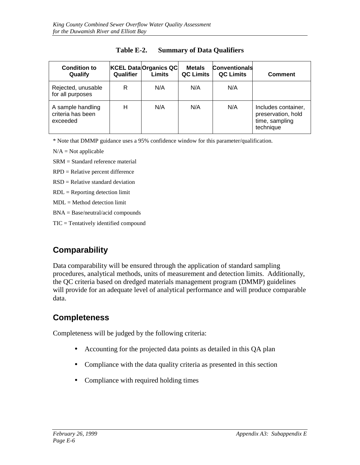| <b>Condition to</b><br>Qualify                     | Qualifier | <b>KCEL DataOrganics QC</b><br><b>Limits</b> | <b>Metals</b><br><b>QC Limits</b> | <b>Conventionals</b><br><b>QC Limits</b> | <b>Comment</b>                                                           |
|----------------------------------------------------|-----------|----------------------------------------------|-----------------------------------|------------------------------------------|--------------------------------------------------------------------------|
| Rejected, unusable<br>for all purposes             | R         | N/A                                          | N/A                               | N/A                                      |                                                                          |
| A sample handling<br>criteria has been<br>exceeded | н         | N/A                                          | N/A                               | N/A                                      | Includes container,<br>preservation, hold<br>time, sampling<br>technique |

#### **Table E-2. Summary of Data Qualifiers**

\* Note that DMMP guidance uses a 95% confidence window for this parameter/qualification.

 $N/A = Not$  applicable

SRM = Standard reference material

RPD = Relative percent difference

RSD = Relative standard deviation

 $RDL =$  Reporting detection limit

 $MDL = Method$  detection limit

BNA = Base/neutral/acid compounds

TIC = Tentatively identified compound

### **Comparability**

Data comparability will be ensured through the application of standard sampling procedures, analytical methods, units of measurement and detection limits. Additionally, the QC criteria based on dredged materials management program (DMMP) guidelines will provide for an adequate level of analytical performance and will produce comparable data.

#### **Completeness**

Completeness will be judged by the following criteria:

- Accounting for the projected data points as detailed in this QA plan
- Compliance with the data quality criteria as presented in this section
- Compliance with required holding times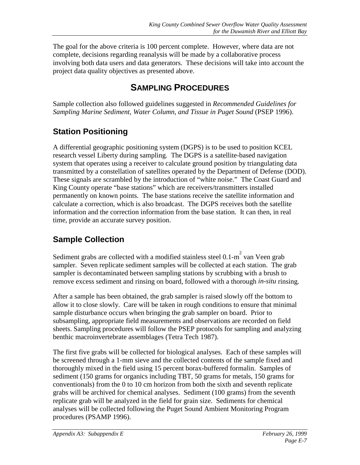The goal for the above criteria is 100 percent complete. However, where data are not complete, decisions regarding reanalysis will be made by a collaborative process involving both data users and data generators. These decisions will take into account the project data quality objectives as presented above.

## **SAMPLING PROCEDURES**

Sample collection also followed guidelines suggested in *Recommended Guidelines for Sampling Marine Sediment, Water Column, and Tissue in Puget Sound (PSEP 1996).* 

## **Station Positioning**

A differential geographic positioning system (DGPS) is to be used to position KCEL research vessel Liberty during sampling. The DGPS is a satellite-based navigation system that operates using a receiver to calculate ground position by triangulating data transmitted by a constellation of satellites operated by the Department of Defense (DOD). These signals are scrambled by the introduction of "white noise." The Coast Guard and King County operate "base stations" which are receivers/transmitters installed permanently on known points. The base stations receive the satellite information and calculate a correction, which is also broadcast. The DGPS receives both the satellite information and the correction information from the base station. It can then, in real time, provide an accurate survey position.

## **Sample Collection**

Sediment grabs are collected with a modified stainless steel  $0.1$ -m<sup>2</sup> van Veen grab sampler. Seven replicate sediment samples will be collected at each station. The grab sampler is decontaminated between sampling stations by scrubbing with a brush to remove excess sediment and rinsing on board, followed with a thorough *in-situ* rinsing.

After a sample has been obtained, the grab sampler is raised slowly off the bottom to allow it to close slowly. Care will be taken in rough conditions to ensure that minimal sample disturbance occurs when bringing the grab sampler on board. Prior to subsampling, appropriate field measurements and observations are recorded on field sheets. Sampling procedures will follow the PSEP protocols for sampling and analyzing benthic macroinvertebrate assemblages (Tetra Tech 1987).

The first five grabs will be collected for biological analyses. Each of these samples will be screened through a 1-mm sieve and the collected contents of the sample fixed and thoroughly mixed in the field using 15 percent borax-buffered formalin. Samples of sediment (150 grams for organics including TBT, 50 grams for metals, 150 grams for conventionals) from the 0 to 10 cm horizon from both the sixth and seventh replicate grabs will be archived for chemical analyses. Sediment (100 grams) from the seventh replicate grab will be analyzed in the field for grain size. Sediments for chemical analyses will be collected following the Puget Sound Ambient Monitoring Program procedures (PSAMP 1996).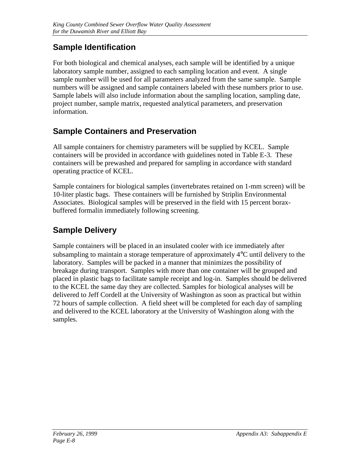### **Sample Identification**

For both biological and chemical analyses, each sample will be identified by a unique laboratory sample number, assigned to each sampling location and event. A single sample number will be used for all parameters analyzed from the same sample. Sample numbers will be assigned and sample containers labeled with these numbers prior to use. Sample labels will also include information about the sampling location, sampling date, project number, sample matrix, requested analytical parameters, and preservation information.

## **Sample Containers and Preservation**

All sample containers for chemistry parameters will be supplied by KCEL. Sample containers will be provided in accordance with guidelines noted in Table E-3. These containers will be prewashed and prepared for sampling in accordance with standard operating practice of KCEL.

Sample containers for biological samples (invertebrates retained on 1-mm screen) will be 10-liter plastic bags. These containers will be furnished by Striplin Environmental Associates. Biological samples will be preserved in the field with 15 percent boraxbuffered formalin immediately following screening.

# **Sample Delivery**

Sample containers will be placed in an insulated cooler with ice immediately after subsampling to maintain a storage temperature of approximately 4°C until delivery to the laboratory. Samples will be packed in a manner that minimizes the possibility of breakage during transport. Samples with more than one container will be grouped and placed in plastic bags to facilitate sample receipt and log-in. Samples should be delivered to the KCEL the same day they are collected. Samples for biological analyses will be delivered to Jeff Cordell at the University of Washington as soon as practical but within 72 hours of sample collection. A field sheet will be completed for each day of sampling and delivered to the KCEL laboratory at the University of Washington along with the samples.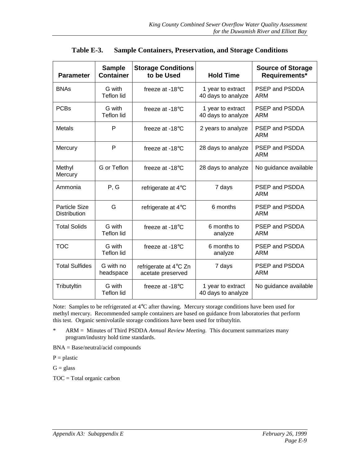| <b>Parameter</b>                     | <b>Sample</b><br><b>Container</b> | <b>Storage Conditions</b><br>to be Used    | <b>Hold Time</b>                        | <b>Source of Storage</b><br>Requirements* |
|--------------------------------------|-----------------------------------|--------------------------------------------|-----------------------------------------|-------------------------------------------|
| <b>BNAs</b>                          | G with<br><b>Teflon lid</b>       | freeze at $-18^{\circ}$ C                  | 1 year to extract<br>40 days to analyze | PSEP and PSDDA<br><b>ARM</b>              |
| <b>PCBs</b>                          | G with<br>Teflon lid              | freeze at $-18^{\circ}$ C                  | 1 year to extract<br>40 days to analyze | PSEP and PSDDA<br><b>ARM</b>              |
| <b>Metals</b>                        | P                                 | freeze at $-18^{\circ}$ C                  | 2 years to analyze                      | PSEP and PSDDA<br><b>ARM</b>              |
| Mercury                              | P                                 | freeze at -18°C                            | 28 days to analyze                      | PSEP and PSDDA<br><b>ARM</b>              |
| Methyl<br>Mercury                    | G or Teflon                       | freeze at $-18^{\circ}$ C                  | 28 days to analyze                      | No guidance available                     |
| Ammonia                              | P, G                              | refrigerate at 4°C                         | 7 days                                  | <b>PSEP and PSDDA</b><br>ARM              |
| <b>Particle Size</b><br>Distribution | G                                 | refrigerate at 4°C                         | 6 months                                | PSEP and PSDDA<br>ARM                     |
| <b>Total Solids</b>                  | G with<br>Teflon lid              | freeze at $-18^{\circ}$ C                  | 6 months to<br>analyze                  | PSEP and PSDDA<br>ARM                     |
| <b>TOC</b>                           | G with<br>Teflon lid              | freeze at $-18^{\circ}$ C                  | 6 months to<br>analyze                  | PSEP and PSDDA<br>ARM                     |
| <b>Total Sulfides</b>                | G with no<br>headspace            | refrigerate at 4°C Zn<br>acetate preserved | 7 days                                  | <b>PSEP and PSDDA</b><br><b>ARM</b>       |
| Tributyltin                          | G with<br><b>Teflon lid</b>       | freeze at $-18^{\circ}$ C                  | 1 year to extract<br>40 days to analyze | No guidance available                     |

| Table E-3. |  | <b>Sample Containers, Preservation, and Storage Conditions</b> |  |
|------------|--|----------------------------------------------------------------|--|
|            |  |                                                                |  |

Note: Samples to be refrigerated at 4°C after thawing. Mercury storage conditions have been used for methyl mercury. Recommended sample containers are based on guidance from laboratories that perform this test. Organic semivolatile storage conditions have been used for tributyltin.

\* ARM = Minutes of Third PSDDA *Annual Review Meeting.* This document summarizes many program/industry hold time standards.

BNA = Base/neutral/acid compounds

 $P =$  plastic

 $G = glass$ 

TOC = Total organic carbon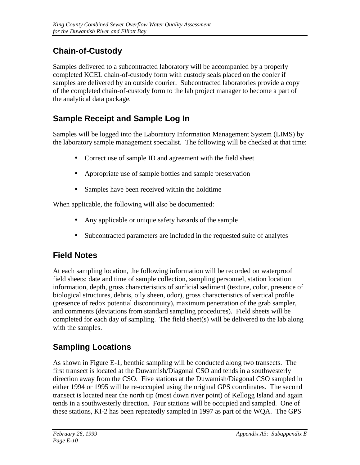# **Chain-of-Custody**

Samples delivered to a subcontracted laboratory will be accompanied by a properly completed KCEL chain-of-custody form with custody seals placed on the cooler if samples are delivered by an outside courier. Subcontracted laboratories provide a copy of the completed chain-of-custody form to the lab project manager to become a part of the analytical data package.

### **Sample Receipt and Sample Log In**

Samples will be logged into the Laboratory Information Management System (LIMS) by the laboratory sample management specialist. The following will be checked at that time:

- Correct use of sample ID and agreement with the field sheet
- Appropriate use of sample bottles and sample preservation
- Samples have been received within the holdtime

When applicable, the following will also be documented:

- Any applicable or unique safety hazards of the sample
- Subcontracted parameters are included in the requested suite of analytes

### **Field Notes**

At each sampling location, the following information will be recorded on waterproof field sheets: date and time of sample collection, sampling personnel, station location information, depth, gross characteristics of surficial sediment (texture, color, presence of biological structures, debris, oily sheen, odor), gross characteristics of vertical profile (presence of redox potential discontinuity), maximum penetration of the grab sampler, and comments (deviations from standard sampling procedures). Field sheets will be completed for each day of sampling. The field sheet(s) will be delivered to the lab along with the samples.

## **Sampling Locations**

As shown in Figure E-1, benthic sampling will be conducted along two transects. The first transect is located at the Duwamish/Diagonal CSO and tends in a southwesterly direction away from the CSO. Five stations at the Duwamish/Diagonal CSO sampled in either 1994 or 1995 will be re-occupied using the original GPS coordinates. The second transect is located near the north tip (most down river point) of Kellogg Island and again tends in a southwesterly direction. Four stations will be occupied and sampled. One of these stations, KI-2 has been repeatedly sampled in 1997 as part of the WQA. The GPS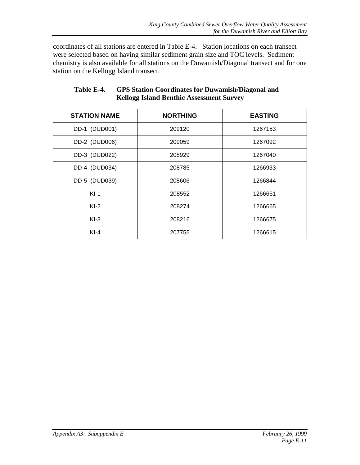coordinates of all stations are entered in Table E-4. Station locations on each transect were selected based on having similar sediment grain size and TOC levels. Sediment chemistry is also available for all stations on the Duwamish/Diagonal transect and for one station on the Kellogg Island transect.

| <b>STATION NAME</b> | <b>NORTHING</b> | <b>EASTING</b> |
|---------------------|-----------------|----------------|
| DD-1 (DUD001)       | 209120          | 1267153        |
| DD-2 (DUD006)       | 209059          | 1267092        |
| DD-3 (DUD022)       | 208929          | 1267040        |
| DD-4 (DUD034)       | 208785          | 1266933        |
| DD-5 (DUD039)       | 208606          | 1266844        |
| $KI-1$              | 208552          | 1266651        |
| $KI-2$              | 208274          | 1266665        |
| $KI-3$              | 208216          | 1266675        |
| $KI-4$              | 207755          | 1266615        |

#### **Table E-4. GPS Station Coordinates for Duwamish/Diagonal and Kellogg Island Benthic Assessment Survey**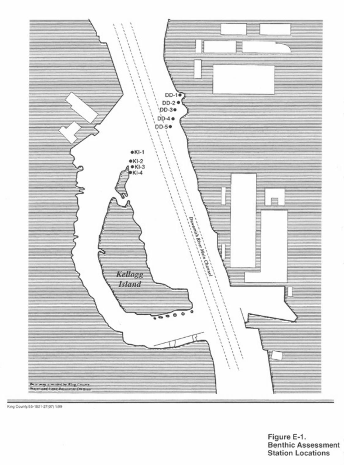

King County 66 1521 27:00 1.99

Figure E-1.<br>Benthic Assessme<br>Station Locations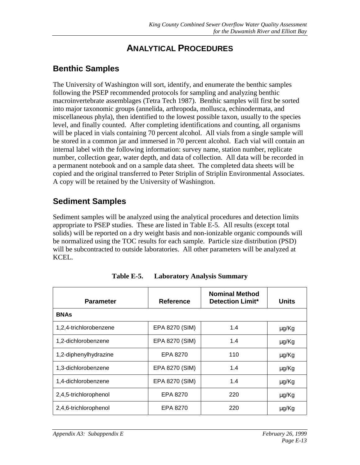### **ANALYTICAL PROCEDURES**

#### **Benthic Samples**

The University of Washington will sort, identify, and enumerate the benthic samples following the PSEP recommended protocols for sampling and analyzing benthic macroinvertebrate assemblages (Tetra Tech 1987). Benthic samples will first be sorted into major taxonomic groups (annelida, arthropoda, mollusca, echinodermata, and miscellaneous phyla), then identified to the lowest possible taxon, usually to the species level, and finally counted. After completing identifications and counting, all organisms will be placed in vials containing 70 percent alcohol. All vials from a single sample will be stored in a common jar and immersed in 70 percent alcohol. Each vial will contain an internal label with the following information: survey name, station number, replicate number, collection gear, water depth, and data of collection. All data will be recorded in a permanent notebook and on a sample data sheet. The completed data sheets will be copied and the original transferred to Peter Striplin of Striplin Environmental Associates. A copy will be retained by the University of Washington.

#### **Sediment Samples**

Sediment samples will be analyzed using the analytical procedures and detection limits appropriate to PSEP studies. These are listed in Table E-5. All results (except total solids) will be reported on a dry weight basis and non-ionizable organic compounds will be normalized using the TOC results for each sample. Particle size distribution (PSD) will be subcontracted to outside laboratories. All other parameters will be analyzed at KCEL.

| <b>Parameter</b>       | <b>Reference</b> | <b>Nominal Method</b><br><b>Detection Limit*</b> | <b>Units</b> |
|------------------------|------------------|--------------------------------------------------|--------------|
| <b>BNAs</b>            |                  |                                                  |              |
| 1,2,4-trichlorobenzene | EPA 8270 (SIM)   | 1.4                                              | $\mu$ g/Kg   |
| 1,2-dichlorobenzene    | EPA 8270 (SIM)   | 1.4                                              | $\mu$ g/Kg   |
| 1,2-diphenylhydrazine  | EPA 8270         | 110                                              | $\mu$ g/Kg   |
| 1,3-dichlorobenzene    | EPA 8270 (SIM)   | 1.4                                              | $\mu$ g/Kg   |
| 1,4-dichlorobenzene    | EPA 8270 (SIM)   | 1.4                                              | $\mu$ g/Kg   |
| 2,4,5-trichlorophenol  | EPA 8270         | 220                                              | $\mu$ g/Kg   |
| 2,4,6-trichlorophenol  | EPA 8270         | 220                                              | $\mu$ g/Kg   |

**Table E-5. Laboratory Analysis Summary**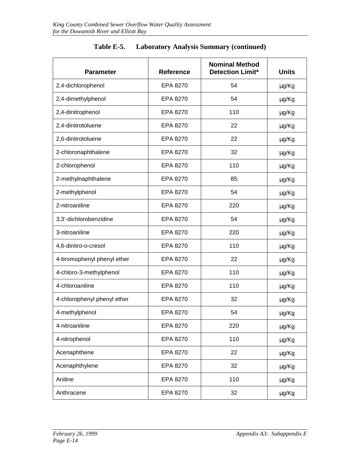| <b>Parameter</b>            | <b>Reference</b> | <b>Nominal Method</b><br><b>Detection Limit*</b> | <b>Units</b> |
|-----------------------------|------------------|--------------------------------------------------|--------------|
| 2,4-dichlorophenol          | EPA 8270         | 54                                               | μg/Kg        |
| 2,4-dimethylphenol          | EPA 8270         | 54                                               | μg/Kg        |
| 2,4-dinitrophenol           | EPA 8270         | 110                                              | μg/Kg        |
| 2,4-dinitrotoluene          | EPA 8270         | 22                                               | µg/Kg        |
| 2,6-dinitrotoluene          | EPA 8270         | 22                                               | µg/Kg        |
| 2-chloronaphthalene         | EPA 8270         | 32                                               | µg/Kg        |
| 2-chlorophenol              | EPA 8270         | 110                                              | μg/Kg        |
| 2-methylnaphthalene         | EPA 8270         | 85                                               | μg/Kg        |
| 2-methylphenol              | EPA 8270         | 54                                               | μg/Kg        |
| 2-nitroaniline              | EPA 8270         | 220                                              | µg/Kg        |
| 3,3'-dichlorobenzidine      | EPA 8270         | 54                                               | μg/Kg        |
| 3-nitroaniline              | EPA 8270         | 220                                              | μg/Kg        |
| 4,6-dinitro-o-cresol        | EPA 8270         | 110                                              | $\mu$ g/Kg   |
| 4-bromophenyl phenyl ether  | EPA 8270         | 22                                               | μg/Kg        |
| 4-chloro-3-methylphenol     | EPA 8270         | 110                                              | μg/Kg        |
| 4-chloroaniline             | EPA 8270         | 110                                              | µg/Kg        |
| 4-chlorophenyl phenyl ether | EPA 8270         | 32                                               | μg/Kg        |
| 4-methylphenol              | EPA 8270         | 54                                               | μg/Kg        |
| 4-nitroaniline              | EPA 8270         | 220                                              | µg/Kg        |
| 4-nitrophenol               | EPA 8270         | 110                                              | µg/Kg        |
| Acenaphthene                | EPA 8270         | 22                                               | µg/Kg        |
| Acenaphthylene              | EPA 8270         | 32                                               | µg/Kg        |
| Aniline                     | EPA 8270         | 110                                              | μg/Kg        |
| Anthracene                  | EPA 8270         | 32                                               | µg/Kg        |

| Table E-5. | <b>Laboratory Analysis Summary (continued)</b> |  |  |
|------------|------------------------------------------------|--|--|
|            |                                                |  |  |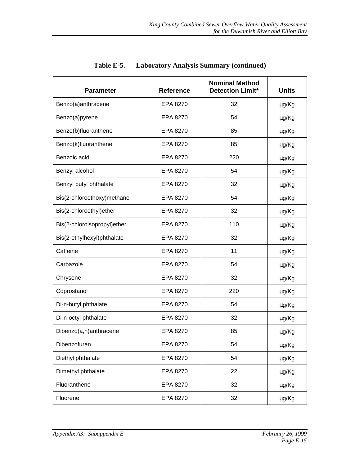| <b>Parameter</b>            | <b>Reference</b> | <b>Nominal Method</b><br><b>Detection Limit*</b> | <b>Units</b> |
|-----------------------------|------------------|--------------------------------------------------|--------------|
| Benzo(a)anthracene          | EPA 8270         | 32                                               | μg/Kg        |
| Benzo(a)pyrene              | EPA 8270         | 54                                               | μg/Kg        |
| Benzo(b)fluoranthene        | EPA 8270         | 85                                               | µg/Kg        |
| Benzo(k)fluoranthene        | EPA 8270         | 85                                               | μg/Kg        |
| Benzoic acid                | EPA 8270         | 220                                              | µg/Kg        |
| Benzyl alcohol              | EPA 8270         | 54                                               | μg/Kg        |
| Benzyl butyl phthalate      | EPA 8270         | 32                                               | μg/Kg        |
| Bis(2-chloroethoxy)methane  | EPA 8270         | 54                                               | μg/Kg        |
| Bis(2-chloroethyl)ether     | EPA 8270         | 32                                               | μg/Kg        |
| Bis(2-chloroisopropyl)ether | EPA 8270         | 110                                              | μg/Kg        |
| Bis(2-ethylhexyl)phthalate  | EPA 8270         | 32                                               | μg/Kg        |
| Caffeine                    | EPA 8270         | 11                                               | μg/Kg        |
| Carbazole                   | EPA 8270         | 54                                               | μg/Kg        |
| Chrysene                    | EPA 8270         | 32                                               | μg/Kg        |
| Coprostanol                 | EPA 8270         | 220                                              | µg/Kg        |
| Di-n-butyl phthalate        | EPA 8270         | 54                                               | μg/Kg        |
| Di-n-octyl phthalate        | EPA 8270         | 32                                               | μg/Kg        |
| Dibenzo(a,h)anthracene      | EPA 8270         | 85                                               | µg/Kg        |
| Dibenzofuran                | EPA 8270         | 54                                               | µg/Kg        |
| Diethyl phthalate           | EPA 8270         | 54                                               | µg/Kg        |
| Dimethyl phthalate          | EPA 8270         | 22                                               | μg/Kg        |
| Fluoranthene                | EPA 8270         | 32                                               | μg/Kg        |
| Fluorene                    | EPA 8270         | 32                                               | μg/Kg        |

| Table E-5. | <b>Laboratory Analysis Summary (continued)</b> |  |  |  |
|------------|------------------------------------------------|--|--|--|
|------------|------------------------------------------------|--|--|--|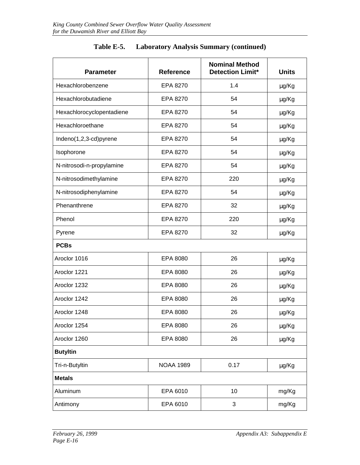| <b>Parameter</b>          | <b>Reference</b> | <b>Nominal Method</b><br><b>Detection Limit*</b> | <b>Units</b> |  |
|---------------------------|------------------|--------------------------------------------------|--------------|--|
| Hexachlorobenzene         | EPA 8270         | 1.4                                              | μg/Kg        |  |
| Hexachlorobutadiene       | EPA 8270         | 54                                               | µg/Kg        |  |
| Hexachlorocyclopentadiene | EPA 8270         | 54                                               | μg/Kg        |  |
| Hexachloroethane          | EPA 8270         | 54                                               | µg/Kg        |  |
| Indeno(1,2,3-cd)pyrene    | EPA 8270         | 54                                               | μg/Kg        |  |
| Isophorone                | EPA 8270         | 54                                               | µg/Kg        |  |
| N-nitrosodi-n-propylamine | EPA 8270         | 54                                               | μg/Kg        |  |
| N-nitrosodimethylamine    | EPA 8270         | 220                                              | µg/Kg        |  |
| N-nitrosodiphenylamine    | EPA 8270         | 54                                               | μg/Kg        |  |
| Phenanthrene              | EPA 8270         | 32                                               | µg/Kg        |  |
| Phenol                    | EPA 8270         | 220                                              | μg/Kg        |  |
| Pyrene                    | EPA 8270         | 32                                               | μg/Kg        |  |
| <b>PCBs</b>               |                  |                                                  |              |  |
| Aroclor 1016              | EPA 8080         | 26                                               | µg/Kg        |  |
| Aroclor 1221              | EPA 8080         | 26                                               | µg/Kg        |  |
| Aroclor 1232              | EPA 8080         | 26                                               | μg/Kg        |  |
| Aroclor 1242              | EPA 8080         | 26                                               | μg/Kg        |  |
| Aroclor 1248              | EPA 8080         | 26                                               | µg/Kg        |  |
| Aroclor 1254              | EPA 8080         | 26                                               | µg/Kg        |  |
| Aroclor 1260              | EPA 8080         | 26                                               | µg/Kg        |  |
| <b>Butyltin</b>           |                  |                                                  |              |  |
| Tri-n-Butyltin            | <b>NOAA 1989</b> | 0.17                                             | µg/Kg        |  |
| <b>Metals</b>             |                  |                                                  |              |  |
| Aluminum                  | EPA 6010         | 10                                               | mg/Kg        |  |
| Antimony                  | EPA 6010         | 3                                                | mg/Kg        |  |

#### **Table E-5. Laboratory Analysis Summary (continued)**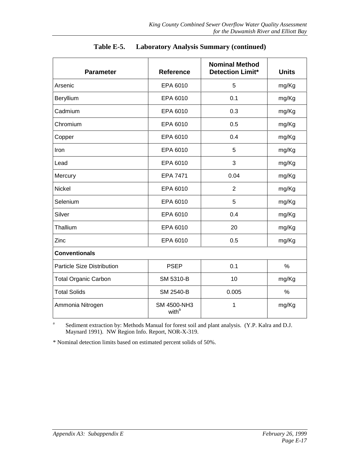| <b>Parameter</b>                  | <b>Reference</b>                        | <b>Nominal Method</b><br><b>Detection Limit*</b> | <b>Units</b> |
|-----------------------------------|-----------------------------------------|--------------------------------------------------|--------------|
| Arsenic                           | EPA 6010                                | 5                                                | mg/Kg        |
| Beryllium                         | EPA 6010                                | 0.1                                              | mg/Kg        |
| Cadmium                           | EPA 6010                                | 0.3                                              | mg/Kg        |
| Chromium                          | EPA 6010                                | 0.5                                              | mg/Kg        |
| Copper                            | EPA 6010                                | 0.4                                              | mg/Kg        |
| Iron                              | EPA 6010                                | 5                                                | mg/Kg        |
| Lead                              | EPA 6010                                | 3                                                | mg/Kg        |
| Mercury                           | EPA 7471                                | 0.04                                             | mg/Kg        |
| Nickel                            | EPA 6010                                | $\overline{2}$                                   | mg/Kg        |
| Selenium                          | EPA 6010                                | 5                                                | mg/Kg        |
| Silver                            | EPA 6010                                | 0.4                                              | mg/Kg        |
| Thallium                          | EPA 6010                                | 20                                               | mg/Kg        |
| Zinc                              | EPA 6010                                | 0.5                                              | mg/Kg        |
| <b>Conventionals</b>              |                                         |                                                  |              |
| <b>Particle Size Distribution</b> | <b>PSEP</b>                             | 0.1                                              | %            |
| <b>Total Organic Carbon</b>       | SM 5310-B                               | 10                                               | mg/Kg        |
| <b>Total Solids</b>               | SM 2540-B                               | 0.005                                            | $\%$         |
| Ammonia Nitrogen                  | <b>SM 4500-NH3</b><br>with <sup>a</sup> | 1                                                | mg/Kg        |

#### **Table E-5. Laboratory Analysis Summary (continued)**

<sup>a</sup> Sediment extraction by: Methods Manual for forest soil and plant analysis. (Y.P. Kalra and D.J. Maynard 1991). NW Region Info. Report, NOR-X-319.

\* Nominal detection limits based on estimated percent solids of 50%.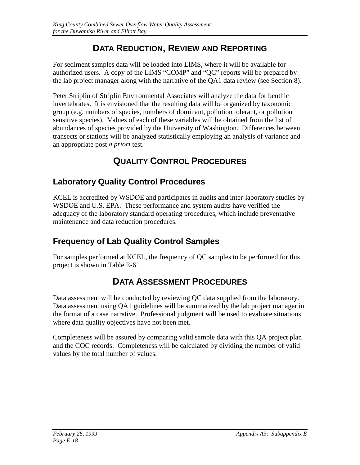# **DATA REDUCTION, REVIEW AND REPORTING**

For sediment samples data will be loaded into LIMS, where it will be available for authorized users. A copy of the LIMS "COMP" and "QC" reports will be prepared by the lab project manager along with the narrative of the QA1 data review (see Section 8).

Peter Striplin of Striplin Environmental Associates will analyze the data for benthic invertebrates. It is envisioned that the resulting data will be organized by taxonomic group (e.g. numbers of species, numbers of dominant, pollution tolerant, or pollution sensitive species). Values of each of these variables will be obtained from the list of abundances of species provided by the University of Washington. Differences between transects or stations will be analyzed statistically employing an analysis of variance and an appropriate post *a priori* test.

# **QUALITY CONTROL PROCEDURES**

## **Laboratory Quality Control Procedures**

KCEL is accredited by WSDOE and participates in audits and inter-laboratory studies by WSDOE and U.S. EPA. These performance and system audits have verified the adequacy of the laboratory standard operating procedures, which include preventative maintenance and data reduction procedures.

### **Frequency of Lab Quality Control Samples**

For samples performed at KCEL, the frequency of QC samples to be performed for this project is shown in Table E-6.

# **DATA ASSESSMENT PROCEDURES**

Data assessment will be conducted by reviewing QC data supplied from the laboratory. Data assessment using QA1 guidelines will be summarized by the lab project manager in the format of a case narrative. Professional judgment will be used to evaluate situations where data quality objectives have not been met.

Completeness will be assured by comparing valid sample data with this QA project plan and the COC records. Completeness will be calculated by dividing the number of valid values by the total number of values.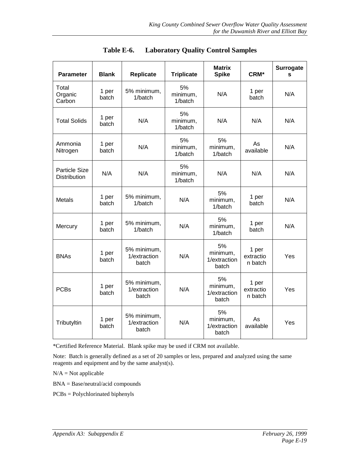| <b>Parameter</b>                            | <b>Blank</b>   | <b>Replicate</b>                     | <b>Triplicate</b>         | <b>Matrix</b><br><b>Spike</b>           | CRM*                          | <b>Surrogate</b><br>S |
|---------------------------------------------|----------------|--------------------------------------|---------------------------|-----------------------------------------|-------------------------------|-----------------------|
| Total<br>Organic<br>Carbon                  | 1 per<br>batch | 5% minimum,<br>1/batch               | 5%<br>minimum,<br>1/batch | N/A                                     | 1 per<br>batch                | N/A                   |
| <b>Total Solids</b>                         | 1 per<br>batch | N/A                                  | 5%<br>minimum,<br>1/batch | N/A                                     | N/A                           | N/A                   |
| Ammonia<br>Nitrogen                         | 1 per<br>batch | N/A                                  | 5%<br>minimum,<br>1/batch | 5%<br>minimum,<br>1/batch               | As<br>available               | N/A                   |
| <b>Particle Size</b><br><b>Distribution</b> | N/A            | N/A                                  | 5%<br>minimum,<br>1/batch | N/A                                     | N/A                           | N/A                   |
| <b>Metals</b>                               | 1 per<br>batch | 5% minimum,<br>1/batch               | N/A                       | 5%<br>minimum,<br>1/batch               | 1 per<br>batch                | N/A                   |
| Mercury                                     | 1 per<br>batch | 5% minimum,<br>1/batch               | N/A                       | 5%<br>minimum,<br>1/batch               | 1 per<br>batch                | N/A                   |
| <b>BNAs</b>                                 | 1 per<br>batch | 5% minimum,<br>1/extraction<br>batch | N/A                       | 5%<br>minimum,<br>1/extraction<br>batch | 1 per<br>extractio<br>n batch | Yes                   |
| <b>PCBs</b>                                 | 1 per<br>batch | 5% minimum,<br>1/extraction<br>batch | N/A                       | 5%<br>minimum,<br>1/extraction<br>batch | 1 per<br>extractio<br>n batch | Yes                   |
| Tributyltin                                 | 1 per<br>batch | 5% minimum,<br>1/extraction<br>batch | N/A                       | 5%<br>minimum,<br>1/extraction<br>batch | As<br>available               | Yes                   |

**Table E-6. Laboratory Quality Control Samples**

\*Certified Reference Material. Blank spike may be used if CRM not available.

Note: Batch is generally defined as a set of 20 samples or less, prepared and analyzed using the same reagents and equipment and by the same analyst(s).

 $N/A = Not applicable$ 

BNA = Base/neutral/acid compounds

PCBs = Polychlorinated biphenyls